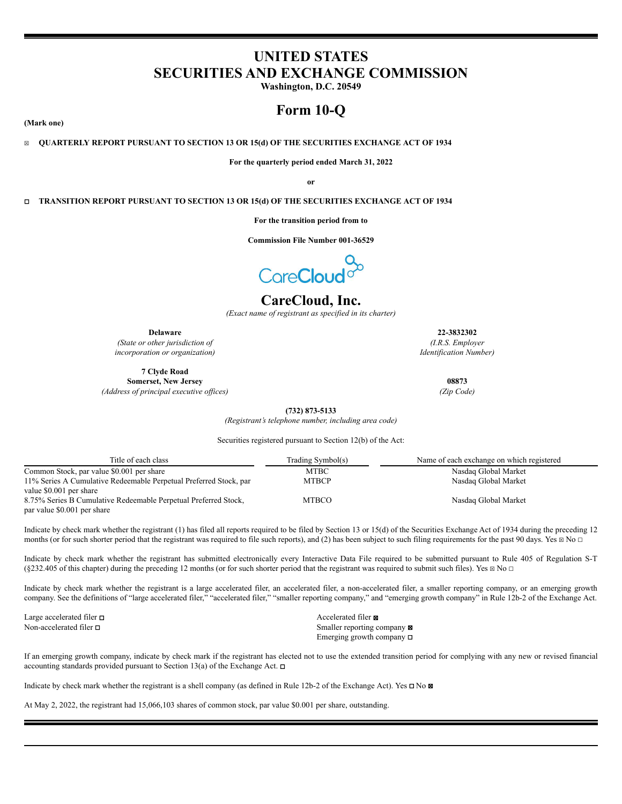# **UNITED STATES SECURITIES AND EXCHANGE COMMISSION**

**Washington, D.C. 20549**

# **Form 10-Q**

**(Mark one)**

☒ **QUARTERLY REPORT PURSUANT TO SECTION 13 OR 15(d) OF THE SECURITIES EXCHANGE ACT OF 1934**

**For the quarterly period ended March 31, 2022**

**or**

☐ **TRANSITION REPORT PURSUANT TO SECTION 13 OR 15(d) OF THE SECURITIES EXCHANGE ACT OF 1934**

**For the transition period from to**

**Commission File Number 001-36529**

Care**Cloud<sup>oo</sup>** 

# **CareCloud, Inc.**

*(Exact name of registrant as specified in its charter)*

*(State or other jurisdiction of incorporation or organization)*

**7 Clyde Road Somerset, New Jersey 08873** *(Address of principal executive of ices) (Zip Code)*

**Delaware 22-3832302** *(I.R.S. Employer Identification Number)*

**(732) 873-5133**

*(Registrant's telephone number, including area code)*

Securities registered pursuant to Section 12(b) of the Act:

| Title of each class                                               | Trading Symbol(s) | Name of each exchange on which registered |
|-------------------------------------------------------------------|-------------------|-------------------------------------------|
| Common Stock, par value \$0.001 per share                         | <b>MTBC</b>       | Nasdaq Global Market                      |
| 11% Series A Cumulative Redeemable Perpetual Preferred Stock, par | <b>MTBCP</b>      | Nasdaq Global Market                      |
| value \$0.001 per share                                           |                   |                                           |
| 8.75% Series B Cumulative Redeemable Perpetual Preferred Stock,   | <b>MTBCO</b>      | Nasdag Global Market                      |
| par value \$0.001 per share                                       |                   |                                           |

Indicate by check mark whether the registrant (1) has filed all reports required to be filed by Section 13 or 15(d) of the Securities Exchange Act of 1934 during the preceding 12 months (or for such shorter period that the registrant was required to file such reports), and (2) has been subject to such filing requirements for the past 90 days. Yes  $\boxtimes$  No  $\Box$ 

Indicate by check mark whether the registrant has submitted electronically every Interactive Data File required to be submitted pursuant to Rule 405 of Regulation S-T (§232.405 of this chapter) during the preceding 12 months (or for such shorter period that the registrant was required to submit such files). Yes ⊠ No □

Indicate by check mark whether the registrant is a large accelerated filer, an accelerated filer, a non-accelerated filer, a smaller reporting company, or an emerging growth company. See the definitions of "large accelerated filer," "accelerated filer," "smaller reporting company," and "emerging growth company" in Rule 12b-2 of the Exchange Act.

Large accelerated filer □ accelerated filer **⊠** 

Non-accelerated filer □ smaller reporting company **⊠** Emerging growth company ☐

If an emerging growth company, indicate by check mark if the registrant has elected not to use the extended transition period for complying with any new or revised financial accounting standards provided pursuant to Section 13(a) of the Exchange Act.  $\Box$ 

Indicate by check mark whether the registrant is a shell company (as defined in Rule 12b-2 of the Exchange Act). Yes □ No ⊠

At May 2, 2022, the registrant had 15,066,103 shares of common stock, par value \$0.001 per share, outstanding.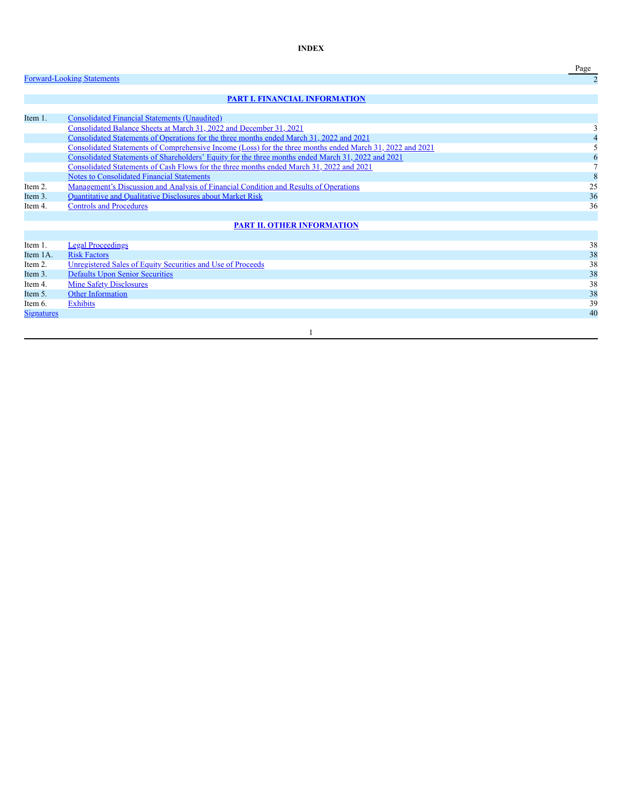# **INDEX**

| <b>Forward-Looking Statements</b> |  |
|-----------------------------------|--|
|                                   |  |
|                                   |  |

# **PART I. FINANCIAL [INFORMATION](#page-3-0)**

| Item 1. | <b>Consolidated Financial Statements (Unaudited)</b>                                                      |    |
|---------|-----------------------------------------------------------------------------------------------------------|----|
|         | Consolidated Balance Sheets at March 31, 2022 and December 31, 2021                                       |    |
|         | Consolidated Statements of Operations for the three months ended March 31, 2022 and 2021                  |    |
|         | Consolidated Statements of Comprehensive Income (Loss) for the three months ended March 31, 2022 and 2021 |    |
|         | Consolidated Statements of Shareholders' Equity for the three months ended March 31, 2022 and 2021        |    |
|         | Consolidated Statements of Cash Flows for the three months ended March 31, 2022 and 2021                  |    |
|         | Notes to Consolidated Financial Statements                                                                |    |
| Item 2. | Management's Discussion and Analysis of Financial Condition and Results of Operations                     | 25 |
| Item 3. | Quantitative and Qualitative Disclosures about Market Risk                                                | 36 |
| Item 4. | <b>Controls and Procedures</b>                                                                            | 36 |
|         |                                                                                                           |    |

# **PART II. OTHER [INFORMATION](#page-38-0)**

| Item 1.           | <b>Legal Proceedings</b>                                           | 38 |
|-------------------|--------------------------------------------------------------------|----|
| Item 1A.          | <b>Risk Factors</b>                                                | 38 |
| Item 2.           | <b>Unregistered Sales of Equity Securities and Use of Proceeds</b> | 38 |
| Item 3.           | <b>Defaults Upon Senior Securities</b>                             | 38 |
| Item 4.           | <b>Mine Safety Disclosures</b>                                     | 38 |
| Item 5.           | Other Information                                                  | 38 |
| Item 6.           | <b>Exhibits</b>                                                    | 39 |
| <b>Signatures</b> |                                                                    | 40 |
|                   |                                                                    |    |

# 1

Page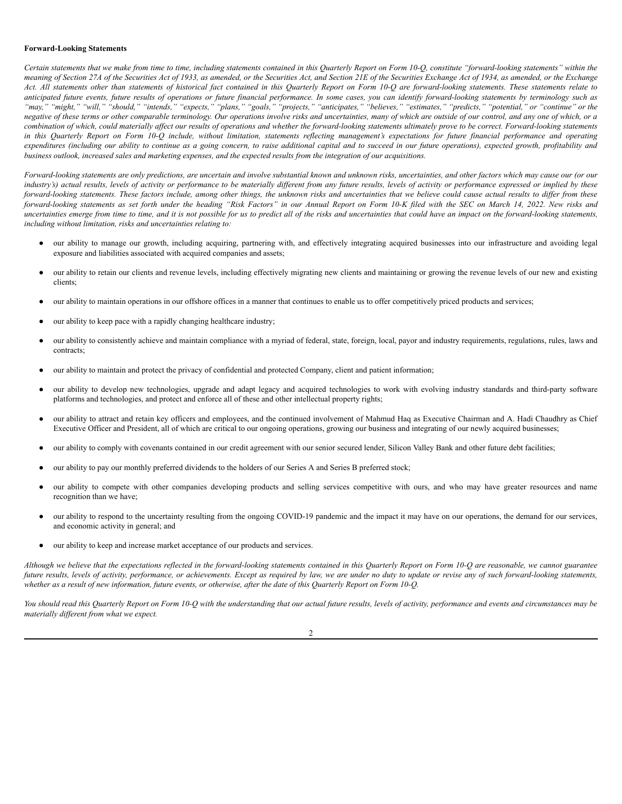#### <span id="page-2-0"></span>**Forward-Looking Statements**

Certain statements that we make from time to time, including statements contained in this Quarterly Report on Form 10-Q, constitute "forward-looking statements" within the meaning of Section 27A of the Securities Act of 1933, as amended, or the Securities Act, and Section 21E of the Securities Exchange Act of 1934, as amended, or the Exchange Act. All statements other than statements of historical fact contained in this Quarterly Report on Form 10-Q are forward-looking statements. These statements relate to anticipated future events, future results of operations or future financial performance. In some cases, you can identify forward-looking statements by terminology such as "may," "might," "will," "should," "intends," "expects," "plans," "goals," "projects," "anticipates," "believes," "estimates," "predicts," "potential," or "continue" or the negative of these terms or other comparable terminology. Our operations involve risks and uncertainties, many of which are outside of our control, and any one of which, or a combination of which, could materially affect our results of operations and whether the forward-looking statements ultimately prove to be correct. Forward-looking statements in this Quarterly Report on Form 10-Q include, without limitation, statements reflecting management's expectations for future financial performance and operating expenditures (including our ability to continue as a going concern, to raise additional capital and to succeed in our future operations), expected growth, profitability and business outlook, increased sales and marketing expenses, and the expected results from the integration of our acquisitions.

Forward-looking statements are only predictions, are uncertain and involve substantial known and unknown risks, uncertainties, and other factors which may cause our (or our industry's) actual results, levels of activity or performance to be materially different from any future results, levels of activity or performance expressed or implied by these forward-looking statements. These factors include, among other things, the unknown risks and uncertainties that we believe could cause actual results to differ from these forward-looking statements as set forth under the heading "Risk Factors" in our Annual Report on Form 10-K filed with the SEC on March 14, 2022. New risks and uncertainties emerge from time to time, and it is not possible for us to predict all of the risks and uncertainties that could have an impact on the forward-looking statements, *including without limitation, risks and uncertainties relating to:*

- our ability to manage our growth, including acquiring, partnering with, and effectively integrating acquired businesses into our infrastructure and avoiding legal exposure and liabilities associated with acquired companies and assets;
- our ability to retain our clients and revenue levels, including effectively migrating new clients and maintaining or growing the revenue levels of our new and existing clients;
- our ability to maintain operations in our offshore offices in a manner that continues to enable us to offer competitively priced products and services;
- our ability to keep pace with a rapidly changing healthcare industry;
- our ability to consistently achieve and maintain compliance with a myriad of federal, state, foreign, local, payor and industry requirements, regulations, rules, laws and contracts;
- our ability to maintain and protect the privacy of confidential and protected Company, client and patient information;
- our ability to develop new technologies, upgrade and adapt legacy and acquired technologies to work with evolving industry standards and third-party software platforms and technologies, and protect and enforce all of these and other intellectual property rights;
- our ability to attract and retain key officers and employees, and the continued involvement of Mahmud Haq as Executive Chairman and A. Hadi Chaudhry as Chief Executive Officer and President, all of which are critical to our ongoing operations, growing our business and integrating of our newly acquired businesses;
- our ability to comply with covenants contained in our credit agreement with our senior secured lender, Silicon Valley Bank and other future debt facilities;
- our ability to pay our monthly preferred dividends to the holders of our Series A and Series B preferred stock;
- our ability to compete with other companies developing products and selling services competitive with ours, and who may have greater resources and name recognition than we have;
- our ability to respond to the uncertainty resulting from the ongoing COVID-19 pandemic and the impact it may have on our operations, the demand for our services, and economic activity in general; and
- our ability to keep and increase market acceptance of our products and services.

Although we believe that the expectations reflected in the forward-looking statements contained in this Quarterly Report on Form 10-Q are reasonable, we cannot guarantee future results, levels of activity, performance, or achievements. Except as required by law, we are under no duty to update or revise any of such forward-looking statements, whether as a result of new information, future events, or otherwise, after the date of this Quarterly Report on Form 10-Q.

You should read this Quarterly Report on Form 10-Q with the understanding that our actual future results, levels of activity, performance and events and circumstances may be *materially dif erent from what we expect.*

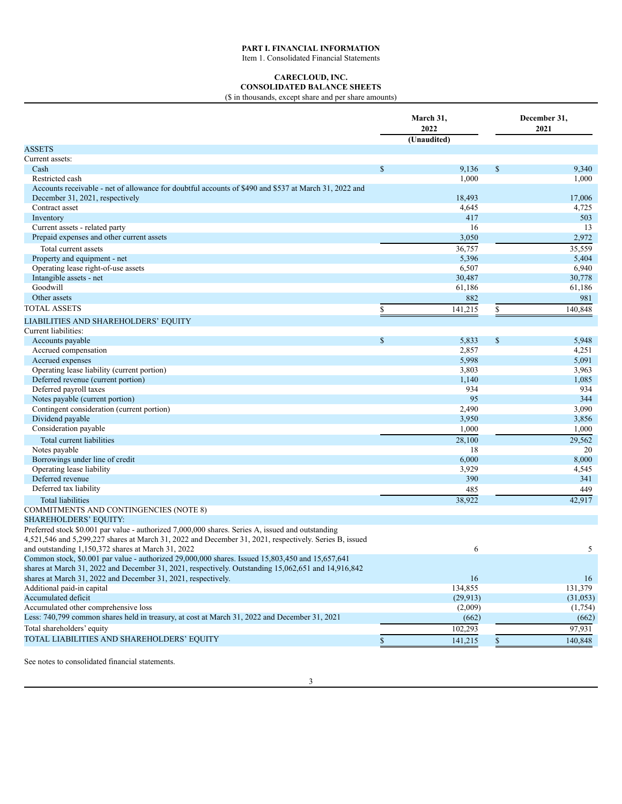# **PART I. FINANCIAL INFORMATION**

Item 1. Consolidated Financial Statements

# **CARECLOUD, INC.**

**CONSOLIDATED BALANCE SHEETS** (\$ in thousands, except share and per share amounts)

<span id="page-3-2"></span><span id="page-3-1"></span><span id="page-3-0"></span>

|                                                                                                        | March 31,<br>2022<br>(Unaudited) |          |              | December 31,<br>2021 |
|--------------------------------------------------------------------------------------------------------|----------------------------------|----------|--------------|----------------------|
| <b>ASSETS</b>                                                                                          |                                  |          |              |                      |
| Current assets:                                                                                        |                                  |          |              |                      |
| Cash                                                                                                   | $\mathbb{S}$                     | 9,136    | $\mathbb{S}$ | 9,340                |
| Restricted cash                                                                                        |                                  | 1,000    |              | 1,000                |
| Accounts receivable - net of allowance for doubtful accounts of \$490 and \$537 at March 31, 2022 and  |                                  |          |              |                      |
| December 31, 2021, respectively                                                                        |                                  | 18,493   |              | 17,006               |
| Contract asset                                                                                         |                                  | 4,645    |              | 4,725                |
| Inventory                                                                                              |                                  | 417      |              | 503                  |
| Current assets - related party                                                                         |                                  | 16       |              | 13                   |
| Prepaid expenses and other current assets                                                              |                                  | 3,050    |              | 2,972                |
| Total current assets                                                                                   |                                  | 36,757   |              | 35,559               |
| Property and equipment - net                                                                           |                                  | 5,396    |              | 5,404                |
| Operating lease right-of-use assets                                                                    |                                  | 6,507    |              | 6,940                |
| Intangible assets - net                                                                                |                                  | 30,487   |              | 30,778               |
| Goodwill                                                                                               |                                  | 61,186   |              | 61,186               |
| Other assets                                                                                           |                                  | 882      |              | 981                  |
| <b>TOTAL ASSETS</b>                                                                                    | \$                               | 141,215  | \$           | 140,848              |
| LIABILITIES AND SHAREHOLDERS' EQUITY                                                                   |                                  |          |              |                      |
| Current liabilities:                                                                                   |                                  |          |              |                      |
| Accounts payable                                                                                       | $\mathbb{S}$                     | 5,833    | $\mathbb{S}$ | 5,948                |
| Accrued compensation                                                                                   |                                  | 2,857    |              | 4,251                |
| Accrued expenses                                                                                       |                                  | 5,998    |              | 5,091                |
| Operating lease liability (current portion)                                                            |                                  | 3,803    |              | 3,963                |
| Deferred revenue (current portion)                                                                     |                                  | 1,140    |              | 1,085                |
| Deferred payroll taxes                                                                                 |                                  | 934      |              | 934                  |
| Notes payable (current portion)                                                                        |                                  | 95       |              | 344                  |
| Contingent consideration (current portion)                                                             |                                  | 2,490    |              | 3,090                |
| Dividend payable                                                                                       |                                  | 3,950    |              | 3,856                |
| Consideration payable                                                                                  |                                  | 1,000    |              | 1,000                |
| Total current liabilities                                                                              |                                  | 28,100   |              | 29,562               |
| Notes payable                                                                                          |                                  | 18       |              | 20                   |
| Borrowings under line of credit                                                                        |                                  | 6,000    |              | 8,000                |
| Operating lease liability                                                                              |                                  | 3,929    |              | 4,545                |
| Deferred revenue                                                                                       |                                  | 390      |              | 341                  |
| Deferred tax liability                                                                                 |                                  | 485      |              | 449                  |
| <b>Total liabilities</b>                                                                               |                                  | 38,922   |              | 42,917               |
| <b>COMMITMENTS AND CONTINGENCIES (NOTE 8)</b>                                                          |                                  |          |              |                      |
| <b>SHAREHOLDERS' EQUITY:</b>                                                                           |                                  |          |              |                      |
| Preferred stock \$0.001 par value - authorized 7,000,000 shares. Series A, issued and outstanding      |                                  |          |              |                      |
| 4,521,546 and 5,299,227 shares at March 31, 2022 and December 31, 2021, respectively. Series B, issued |                                  |          |              |                      |
| and outstanding 1,150,372 shares at March 31, 2022                                                     |                                  | 6        |              | 5                    |
| Common stock, \$0.001 par value - authorized 29,000,000 shares. Issued 15,803,450 and 15,657,641       |                                  |          |              |                      |
| shares at March 31, 2022 and December 31, 2021, respectively. Outstanding 15,062,651 and 14,916,842    |                                  |          |              |                      |
| shares at March 31, 2022 and December 31, 2021, respectively.                                          |                                  | 16       |              | 16                   |
| Additional paid-in capital                                                                             |                                  | 134,855  |              | 131,379              |
| Accumulated deficit                                                                                    |                                  | (29.913) |              | (31,053)             |
| Accumulated other comprehensive loss                                                                   |                                  | (2,009)  |              | (1,754)              |
| Less: 740,799 common shares held in treasury, at cost at March 31, 2022 and December 31, 2021          |                                  | (662)    |              | (662)                |
| Total shareholders' equity                                                                             |                                  | 102,293  |              | 97,931               |
| TOTAL LIABILITIES AND SHAREHOLDERS' EQUITY                                                             | \$                               | 141,215  | \$           | 140,848              |
|                                                                                                        |                                  |          |              |                      |

See notes to consolidated financial statements.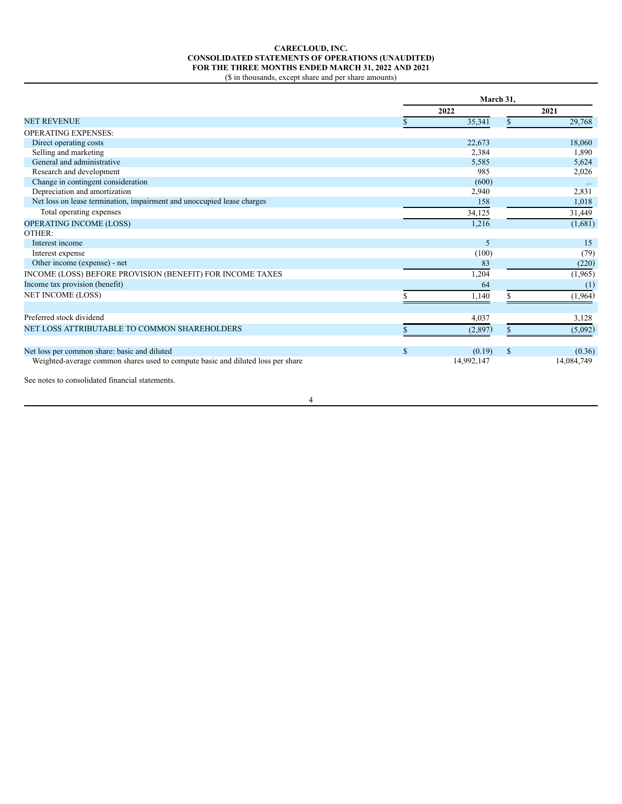#### **CARECLOUD, INC. CONSOLIDATED STATEMENTS OF OPERATIONS (UNAUDITED) FOR THE THREE MONTHS ENDED MARCH 31, 2022 AND 2021** (\$ in thousands, except share and per share amounts)

<span id="page-4-0"></span>

|                                                                                 | March 31,    |    |            |
|---------------------------------------------------------------------------------|--------------|----|------------|
|                                                                                 | 2022         |    | 2021       |
| <b>NET REVENUE</b>                                                              | 35,341       | \$ | 29,768     |
| <b>OPERATING EXPENSES:</b>                                                      |              |    |            |
| Direct operating costs                                                          | 22,673       |    | 18,060     |
| Selling and marketing                                                           | 2,384        |    | 1,890      |
| General and administrative                                                      | 5,585        |    | 5,624      |
| Research and development                                                        | 985          |    | 2,026      |
| Change in contingent consideration                                              | (600)        |    |            |
| Depreciation and amortization                                                   | 2,940        |    | 2,831      |
| Net loss on lease termination, impairment and unoccupied lease charges          | 158          |    | 1,018      |
| Total operating expenses                                                        | 34,125       |    | 31,449     |
| <b>OPERATING INCOME (LOSS)</b>                                                  | 1,216        |    | (1,681)    |
| OTHER:                                                                          |              |    |            |
| Interest income                                                                 | 5            |    | 15         |
| Interest expense                                                                | (100)        |    | (79)       |
| Other income (expense) - net                                                    | 83           |    | (220)      |
| INCOME (LOSS) BEFORE PROVISION (BENEFIT) FOR INCOME TAXES                       | 1,204        |    | (1,965)    |
| Income tax provision (benefit)                                                  | 64           |    | (1)        |
| NET INCOME (LOSS)                                                               | 1,140        | \$ | (1,964)    |
| Preferred stock dividend                                                        | 4,037        |    | 3,128      |
| NET LOSS ATTRIBUTABLE TO COMMON SHAREHOLDERS                                    | (2,897)      |    | (5,092)    |
| Net loss per common share: basic and diluted                                    | \$<br>(0.19) | \$ | (0.36)     |
| Weighted-average common shares used to compute basic and diluted loss per share | 14,992,147   |    | 14,084,749 |
| See notes to consolidated financial statements.                                 |              |    |            |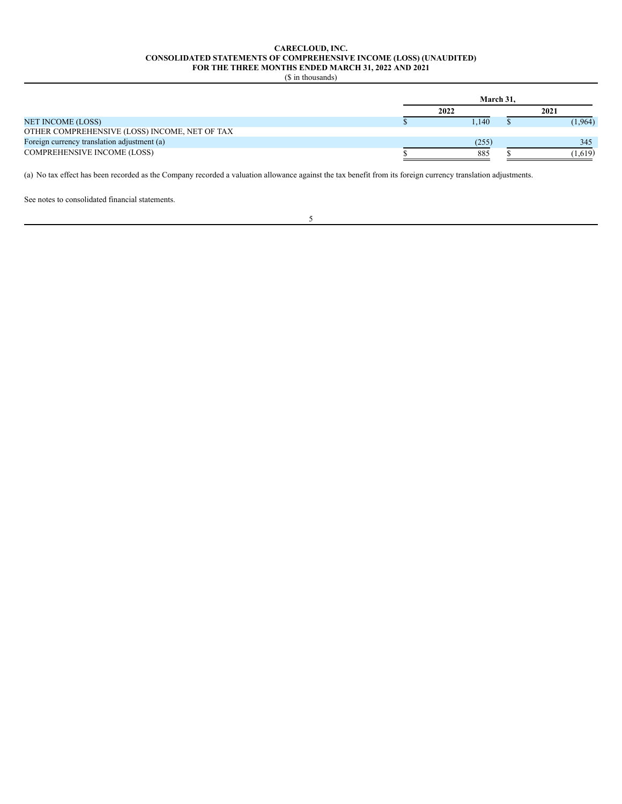# **CARECLOUD, INC. CONSOLIDATED STATEMENTS OF COMPREHENSIVE INCOME (LOSS) (UNAUDITED) FOR THE THREE MONTHS ENDED MARCH 31, 2022 AND 2021**

(\$ in thousands)

<span id="page-5-0"></span>

|                                               | March 31. |  |         |  |
|-----------------------------------------------|-----------|--|---------|--|
|                                               | 2022      |  | 2021    |  |
| NET INCOME (LOSS)                             | .140      |  | (1,964) |  |
| OTHER COMPREHENSIVE (LOSS) INCOME, NET OF TAX |           |  |         |  |
| Foreign currency translation adjustment (a)   | (255)     |  | 345     |  |
| <b>COMPREHENSIVE INCOME (LOSS)</b>            | 885       |  | (1.619) |  |

(a) No tax effect has been recorded as the Company recorded a valuation allowance against the tax benefit from its foreign currency translation adjustments.

See notes to consolidated financial statements.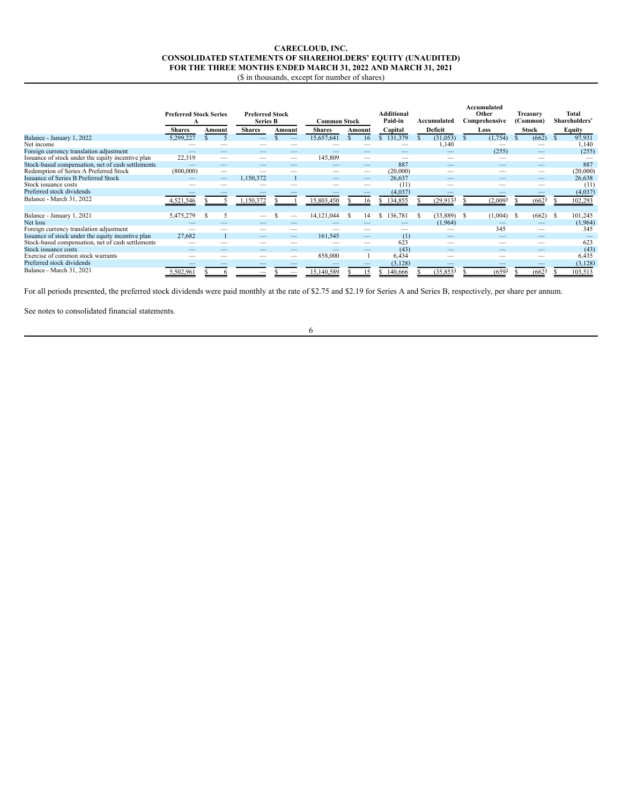### **CARECLOUD, INC. CONSOLIDATED STATEMENTS OF SHAREHOLDERS' EQUITY (UNAUDITED) FOR THE THREE MONTHS ENDED MARCH 31, 2022 AND MARCH 31, 2021** (\$ in thousands, except for number of shares)

<span id="page-6-0"></span>

|                                                   | <b>Preferred Stock Series</b><br>А |        | <b>Preferred Stock</b><br><b>Series B</b> |        | <b>Common Stock</b> |        | <b>Additional</b><br>Paid-in | Accumulated         | Accumulated<br>Other<br>Comprehensive | Treasurv<br>(Common)     | Total<br>Shareholders' |
|---------------------------------------------------|------------------------------------|--------|-------------------------------------------|--------|---------------------|--------|------------------------------|---------------------|---------------------------------------|--------------------------|------------------------|
|                                                   | <b>Shares</b>                      | Amount | <b>Shares</b>                             | Amount | <b>Shares</b>       | Amount | Capital                      | Deficit             | Loss                                  | <b>Stock</b>             | Equity                 |
| Balance - January 1, 2022                         | 5,299,227                          |        |                                           |        | 15,657,641          |        | 131,379                      | (31,053)            | (1,754)                               | (662)                    | 97,931                 |
| Net income                                        |                                    |        |                                           |        |                     |        |                              | 1,140               |                                       |                          | 1,140                  |
| Foreign currency translation adjustment           |                                    |        |                                           |        |                     |        |                              |                     | (255)                                 |                          | (255)                  |
| Issuance of stock under the equity incentive plan | 22,319                             |        |                                           |        | 145,809             |        |                              | __                  | -                                     | _                        |                        |
| Stock-based compensation, net of cash settlements |                                    | –      |                                           |        |                     |        | 887                          | _                   |                                       |                          | 887                    |
| Redemption of Series A Preferred Stock            | (800,000)                          |        |                                           |        | -                   |        | (20,000)                     |                     | _                                     | $\overline{\phantom{m}}$ | (20,000)               |
| Issuance of Series B Preferred Stock              |                                    |        | 1,150,372                                 |        | _                   |        | 26,637                       |                     | _                                     | —                        | 26,638                 |
| Stock issuance costs                              |                                    |        |                                           |        |                     |        | (11)                         |                     |                                       |                          | (11)                   |
| Preferred stock dividends                         |                                    |        |                                           |        |                     |        | (4,037)                      |                     |                                       |                          | (4,037)                |
| Balance - March 31, 2022                          | 4,521,546                          |        | 1,150,372                                 |        | 15,803,450          | 16     | 134,855<br>D.                | (29,913)            | (2,009)                               | (662)                    | 102,293                |
| Balance - January 1, 2021                         | 5,475,279                          | 5      | -                                         |        | 14,121,044          | 14     | 136,781<br>s                 | $(33,889)$ \$<br>-8 | (1,004)                               | (662)<br>-S              | 101,245<br>-S          |
| Net loss                                          |                                    |        |                                           |        |                     |        |                              | (1,964)             |                                       | —                        | (1,964)                |
| Foreign currency translation adjustment           |                                    |        |                                           |        |                     |        |                              |                     | 345                                   |                          | 345                    |
| Issuance of stock under the equity incentive plan | 27,682                             |        |                                           |        | 161,545             |        | (1)                          |                     | _                                     | –                        |                        |
| Stock-based compensation, net of cash settlements |                                    |        |                                           |        |                     |        | 623                          |                     |                                       |                          | 623                    |
| Stock issuance costs                              |                                    |        |                                           |        |                     |        | (43)                         |                     |                                       | –                        | (43)                   |
| Exercise of common stock warrants                 | --                                 |        |                                           | _      | 858,000             |        | 6,434                        |                     |                                       | _                        | 6,435                  |
| Preferred stock dividends                         |                                    |        |                                           |        |                     |        | (3,128)                      |                     |                                       |                          | (3, 128)               |
| Balance - March 31, 2021                          | 5,502,961                          |        |                                           |        | 15,140,589          |        | 140,666                      | (35, 853)           | (659)                                 | (662)                    | 103,513                |

For all periods presented, the preferred stock dividends were paid monthly at the rate of \$2.75 and \$2.19 for Series A and Series B, respectively, per share per annum.

See notes to consolidated financial statements.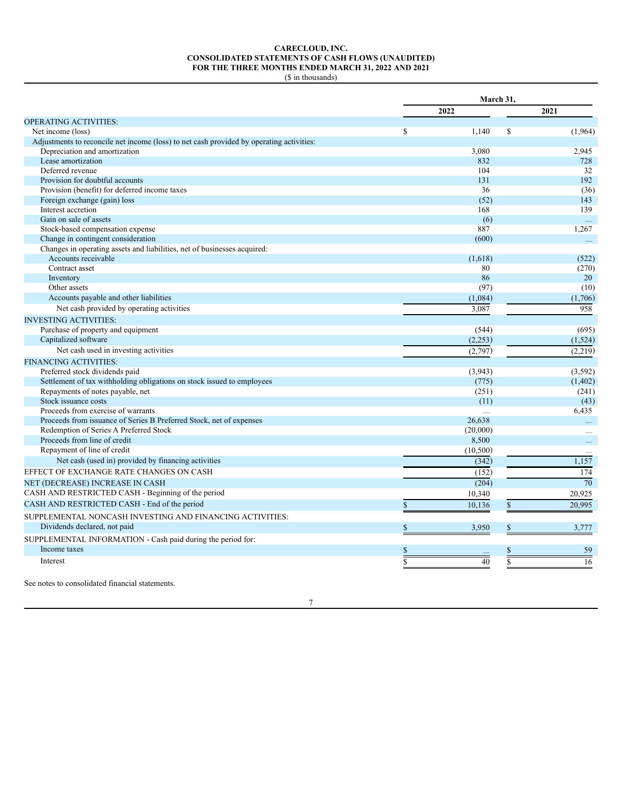# **CARECLOUD, INC. CONSOLIDATED STATEMENTS OF CASH FLOWS (UNAUDITED) FOR THE THREE MONTHS ENDED MARCH 31, 2022 AND 2021**

(\$ in thousands)

<span id="page-7-0"></span>

|                                                                                          | March 31.     |           |              |                 |
|------------------------------------------------------------------------------------------|---------------|-----------|--------------|-----------------|
|                                                                                          |               | 2022      |              | 2021            |
| <b>OPERATING ACTIVITIES:</b>                                                             |               |           |              |                 |
| Net income (loss)                                                                        | \$            | 1,140     | S            | (1,964)         |
| Adjustments to reconcile net income (loss) to net cash provided by operating activities: |               |           |              |                 |
| Depreciation and amortization                                                            |               | 3,080     |              | 2,945           |
| Lease amortization                                                                       |               | 832       |              | 728             |
| Deferred revenue                                                                         |               | 104       |              | 32              |
| Provision for doubtful accounts                                                          |               | 131       |              | 192             |
| Provision (benefit) for deferred income taxes                                            |               | 36        |              | (36)            |
| Foreign exchange (gain) loss                                                             |               | (52)      |              | 143             |
| Interest accretion                                                                       |               | 168       |              | 139             |
| Gain on sale of assets                                                                   |               | (6)       |              |                 |
| Stock-based compensation expense                                                         |               | 887       |              | 1,267           |
| Change in contingent consideration                                                       |               | (600)     |              |                 |
| Changes in operating assets and liabilities, net of businesses acquired:                 |               |           |              |                 |
| Accounts receivable                                                                      |               | (1,618)   |              | (522)           |
| Contract asset                                                                           |               | 80        |              | (270)           |
| Inventory                                                                                |               | 86        |              | 20              |
| Other assets                                                                             |               | (97)      |              | (10)            |
| Accounts payable and other liabilities                                                   |               | (1,084)   |              | (1,706)         |
| Net cash provided by operating activities                                                |               | 3,087     |              | 958             |
| <b>INVESTING ACTIVITIES:</b>                                                             |               |           |              |                 |
| Purchase of property and equipment                                                       |               | (544)     |              | (695)           |
| Capitalized software                                                                     |               | (2,253)   |              | (1, 524)        |
| Net cash used in investing activities                                                    |               | (2,797)   |              | (2,219)         |
| <b>FINANCING ACTIVITIES:</b>                                                             |               |           |              |                 |
| Preferred stock dividends paid                                                           |               | (3,943)   |              | (3, 592)        |
| Settlement of tax withholding obligations on stock issued to employees                   |               | (775)     |              | (1,402)         |
| Repayments of notes payable, net                                                         |               | (251)     |              | (241)           |
| Stock issuance costs                                                                     |               | (11)      |              | (43)            |
| Proceeds from exercise of warrants                                                       |               |           |              | 6,435           |
| Proceeds from issuance of Series B Preferred Stock, net of expenses                      |               | 26,638    |              |                 |
| Redemption of Series A Preferred Stock                                                   |               | (20,000)  |              |                 |
| Proceeds from line of credit                                                             |               | 8,500     |              |                 |
| Repayment of line of credit                                                              |               | (10, 500) |              |                 |
| Net cash (used in) provided by financing activities                                      |               | (342)     |              | 1,157           |
| EFFECT OF EXCHANGE RATE CHANGES ON CASH                                                  |               | (152)     |              | 174             |
| NET (DECREASE) INCREASE IN CASH                                                          |               | (204)     |              | $\overline{70}$ |
| CASH AND RESTRICTED CASH - Beginning of the period                                       |               | 10,340    |              | 20,925          |
| CASH AND RESTRICTED CASH - End of the period                                             | $\mathbf{\$}$ | 10.136    | $\mathbf S$  | 20.995          |
|                                                                                          |               |           |              |                 |
| SUPPLEMENTAL NONCASH INVESTING AND FINANCING ACTIVITIES:                                 |               |           |              |                 |
| Dividends declared, not paid                                                             | \$            | 3,950     | $\mathbb{S}$ | 3,777           |
| SUPPLEMENTAL INFORMATION - Cash paid during the period for:                              |               |           |              |                 |
| Income taxes                                                                             | \$            |           | \$           | 59              |
| Interest                                                                                 | \$            | 40        | \$           | $\overline{16}$ |
|                                                                                          |               |           |              |                 |

See notes to consolidated financial statements.

7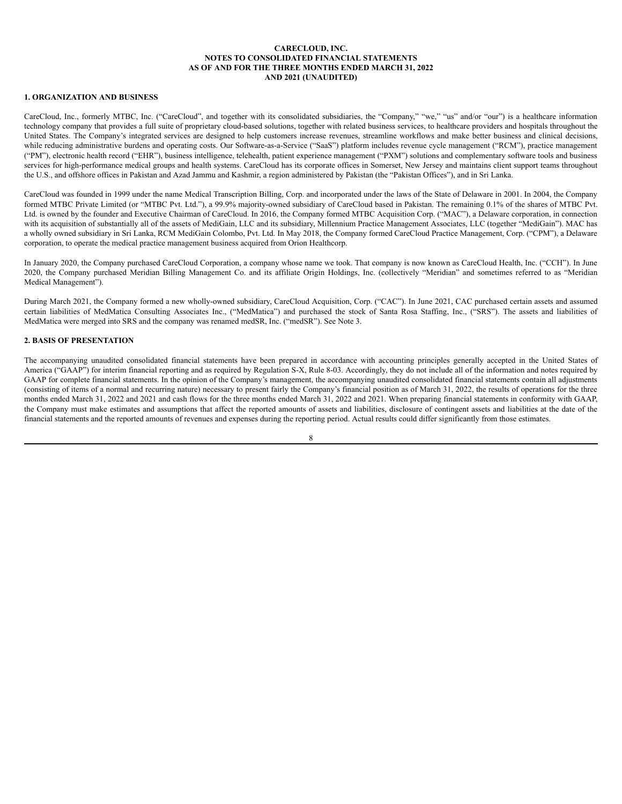### **CARECLOUD, INC. NOTES TO CONSOLIDATED FINANCIAL STATEMENTS AS OF AND FOR THE THREE MONTHS ENDED MARCH 31, 2022 AND 2021 (UNAUDITED)**

# <span id="page-8-0"></span>**1. ORGANIZATION AND BUSINESS**

CareCloud, Inc., formerly MTBC, Inc. ("CareCloud", and together with its consolidated subsidiaries, the "Company," "we," "us" and/or "our") is a healthcare information technology company that provides a full suite of proprietary cloud-based solutions, together with related business services, to healthcare providers and hospitals throughout the United States. The Company's integrated services are designed to help customers increase revenues, streamline workflows and make better business and clinical decisions, while reducing administrative burdens and operating costs. Our Software-as-a-Service ("SaaS") platform includes revenue cycle management ("RCM"), practice management ("PM"), electronic health record ("EHR"), business intelligence, telehealth, patient experience management ("PXM") solutions and complementary software tools and business services for high-performance medical groups and health systems. CareCloud has its corporate offices in Somerset, New Jersey and maintains client support teams throughout the U.S., and offshore offices in Pakistan and Azad Jammu and Kashmir, a region administered by Pakistan (the "Pakistan Offices"), and in Sri Lanka.

CareCloud was founded in 1999 under the name Medical Transcription Billing, Corp. and incorporated under the laws of the State of Delaware in 2001. In 2004, the Company formed MTBC Private Limited (or "MTBC Pvt. Ltd."), a 99.9% majority-owned subsidiary of CareCloud based in Pakistan. The remaining 0.1% of the shares of MTBC Pvt. Ltd. is owned by the founder and Executive Chairman of CareCloud. In 2016, the Company formed MTBC Acquisition Corp. ("MAC"), a Delaware corporation, in connection with its acquisition of substantially all of the assets of MediGain, LLC and its subsidiary, Millennium Practice Management Associates, LLC (together "MediGain"). MAC has a wholly owned subsidiary in Sri Lanka, RCM MediGain Colombo, Pvt. Ltd. In May 2018, the Company formed CareCloud Practice Management, Corp. ("CPM"), a Delaware corporation, to operate the medical practice management business acquired from Orion Healthcorp.

In January 2020, the Company purchased CareCloud Corporation, a company whose name we took. That company is now known as CareCloud Health, Inc. ("CCH"). In June 2020, the Company purchased Meridian Billing Management Co. and its affiliate Origin Holdings, Inc. (collectively "Meridian" and sometimes referred to as "Meridian Medical Management").

During March 2021, the Company formed a new wholly-owned subsidiary, CareCloud Acquisition, Corp. ("CAC"). In June 2021, CAC purchased certain assets and assumed certain liabilities of MedMatica Consulting Associates Inc., ("MedMatica") and purchased the stock of Santa Rosa Staffing, Inc., ("SRS"). The assets and liabilities of MedMatica were merged into SRS and the company was renamed medSR, Inc. ("medSR"). See Note 3.

# **2. BASIS OF PRESENTATION**

The accompanying unaudited consolidated financial statements have been prepared in accordance with accounting principles generally accepted in the United States of America ("GAAP") for interim financial reporting and as required by Regulation S-X, Rule 8-03. Accordingly, they do not include all of the information and notes required by GAAP for complete financial statements. In the opinion of the Company's management, the accompanying unaudited consolidated financial statements contain all adjustments (consisting of items of a normal and recurring nature) necessary to present fairly the Company's financial position as of March 31, 2022, the results of operations for the three months ended March 31, 2022 and 2021 and cash flows for the three months ended March 31, 2022 and 2021. When preparing financial statements in conformity with GAAP, the Company must make estimates and assumptions that affect the reported amounts of assets and liabilities, disclosure of contingent assets and liabilities at the date of the financial statements and the reported amounts of revenues and expenses during the reporting period. Actual results could differ significantly from those estimates.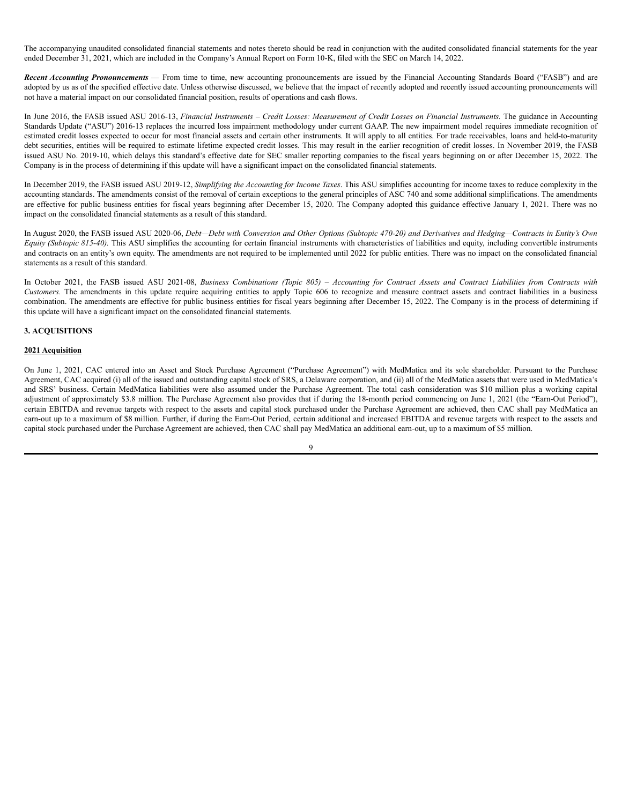The accompanying unaudited consolidated financial statements and notes thereto should be read in conjunction with the audited consolidated financial statements for the year ended December 31, 2021, which are included in the Company's Annual Report on Form 10-K, filed with the SEC on March 14, 2022.

*Recent Accounting Pronouncements* — From time to time, new accounting pronouncements are issued by the Financial Accounting Standards Board ("FASB") and are adopted by us as of the specified effective date. Unless otherwise discussed, we believe that the impact of recently adopted and recently issued accounting pronouncements will not have a material impact on our consolidated financial position, results of operations and cash flows.

In June 2016, the FASB issued ASU 2016-13, Financial Instruments - Credit Losses: Measurement of Credit Losses on Financial Instruments. The guidance in Accounting Standards Update ("ASU") 2016-13 replaces the incurred loss impairment methodology under current GAAP. The new impairment model requires immediate recognition of estimated credit losses expected to occur for most financial assets and certain other instruments. It will apply to all entities. For trade receivables, loans and held-to-maturity debt securities, entities will be required to estimate lifetime expected credit losses. This may result in the earlier recognition of credit losses. In November 2019, the FASB issued ASU No. 2019-10, which delays this standard's effective date for SEC smaller reporting companies to the fiscal years beginning on or after December 15, 2022. The Company is in the process of determining if this update will have a significant impact on the consolidated financial statements.

In December 2019, the FASB issued ASU 2019-12, *Simplifying the Accounting for Income Taxes*. This ASU simplifies accounting for income taxes to reduce complexity in the accounting standards. The amendments consist of the removal of certain exceptions to the general principles of ASC 740 and some additional simplifications. The amendments are effective for public business entities for fiscal years beginning after December 15, 2020. The Company adopted this guidance effective January 1, 2021. There was no impact on the consolidated financial statements as a result of this standard.

In August 2020, the FASB issued ASU 2020-06, Debt-Debt with Conversion and Other Options (Subtopic 470-20) and Derivatives and Hedging-Contracts in Entity's Own *Equity (Subtopic 815-40)*. This ASU simplifies the accounting for certain financial instruments with characteristics of liabilities and equity, including convertible instruments and contracts on an entity's own equity. The amendments are not required to be implemented until 2022 for public entities. There was no impact on the consolidated financial statements as a result of this standard.

In October 2021, the FASB issued ASU 2021-08, Business Combinations (Topic 805) - Accounting for Contract Assets and Contract Liabilities from Contracts with *Customers.* The amendments in this update require acquiring entities to apply Topic 606 to recognize and measure contract assets and contract liabilities in a business combination. The amendments are effective for public business entities for fiscal years beginning after December 15, 2022. The Company is in the process of determining if this update will have a significant impact on the consolidated financial statements.

# **3. ACQUISITIONS**

## **2021 Acquisition**

On June 1, 2021, CAC entered into an Asset and Stock Purchase Agreement ("Purchase Agreement") with MedMatica and its sole shareholder. Pursuant to the Purchase Agreement, CAC acquired (i) all of the issued and outstanding capital stock of SRS, a Delaware corporation, and (ii) all of the MedMatica assets that were used in MedMatica's and SRS' business. Certain MedMatica liabilities were also assumed under the Purchase Agreement. The total cash consideration was \$10 million plus a working capital adjustment of approximately \$3.8 million. The Purchase Agreement also provides that if during the 18-month period commencing on June 1, 2021 (the "Earn-Out Period"), certain EBITDA and revenue targets with respect to the assets and capital stock purchased under the Purchase Agreement are achieved, then CAC shall pay MedMatica an earn-out up to a maximum of \$8 million. Further, if during the Earn-Out Period, certain additional and increased EBITDA and revenue targets with respect to the assets and capital stock purchased under the Purchase Agreement are achieved, then CAC shall pay MedMatica an additional earn-out, up to a maximum of \$5 million.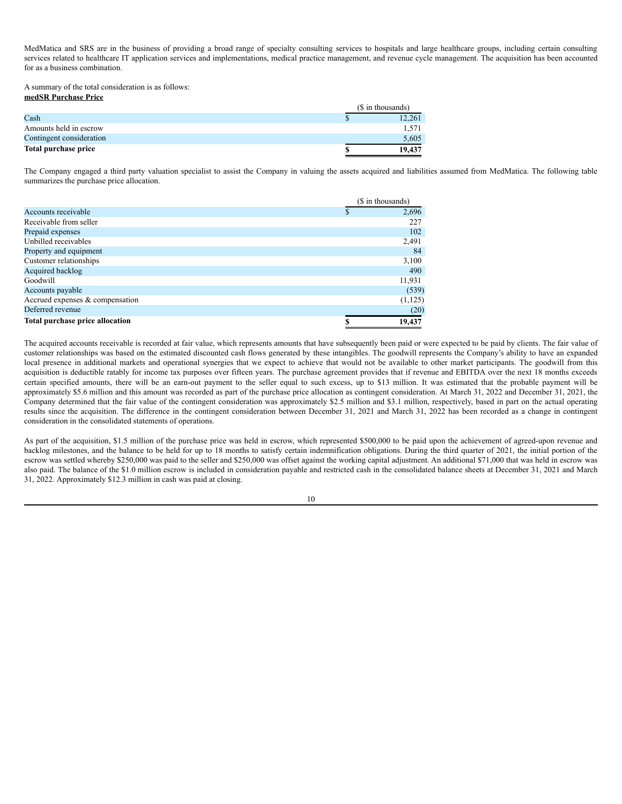MedMatica and SRS are in the business of providing a broad range of specialty consulting services to hospitals and large healthcare groups, including certain consulting services related to healthcare IT application services and implementations, medical practice management, and revenue cycle management. The acquisition has been accounted for as a business combination.

A summary of the total consideration is as follows:

| medSR Purchase Price |  |
|----------------------|--|
|                      |  |

|                          | (\$ in thousands) |
|--------------------------|-------------------|
| Cash                     | 12.261            |
| Amounts held in escrow   | 1.571             |
| Contingent consideration | 5.605             |
| Total purchase price     | 19.437            |

The Company engaged a third party valuation specialist to assist the Company in valuing the assets acquired and liabilities assumed from MedMatica. The following table summarizes the purchase price allocation.

|                                 | (\$ in thousands) |          |  |
|---------------------------------|-------------------|----------|--|
| Accounts receivable             |                   | 2,696    |  |
| Receivable from seller          |                   | 227      |  |
| Prepaid expenses                |                   | 102      |  |
| Unbilled receivables            |                   | 2,491    |  |
| Property and equipment          |                   | 84       |  |
| Customer relationships          |                   | 3,100    |  |
| Acquired backlog                |                   | 490      |  |
| Goodwill                        |                   | 11,931   |  |
| Accounts payable                |                   | (539)    |  |
| Accrued expenses & compensation |                   | (1, 125) |  |
| Deferred revenue                |                   | (20)     |  |
| Total purchase price allocation |                   | 19,437   |  |

The acquired accounts receivable is recorded at fair value, which represents amounts that have subsequently been paid or were expected to be paid by clients. The fair value of customer relationships was based on the estimated discounted cash flows generated by these intangibles. The goodwill represents the Company's ability to have an expanded local presence in additional markets and operational synergies that we expect to achieve that would not be available to other market participants. The goodwill from this acquisition is deductible ratably for income tax purposes over fifteen years. The purchase agreement provides that if revenue and EBITDA over the next 18 months exceeds certain specified amounts, there will be an earn-out payment to the seller equal to such excess, up to \$13 million. It was estimated that the probable payment will be approximately \$5.6 million and this amount was recorded as part of the purchase price allocation as contingent consideration. At March 31, 2022 and December 31, 2021, the Company determined that the fair value of the contingent consideration was approximately \$2.5 million and \$3.1 million, respectively, based in part on the actual operating results since the acquisition. The difference in the contingent consideration between December 31, 2021 and March 31, 2022 has been recorded as a change in contingent consideration in the consolidated statements of operations.

As part of the acquisition, \$1.5 million of the purchase price was held in escrow, which represented \$500,000 to be paid upon the achievement of agreed-upon revenue and backlog milestones, and the balance to be held for up to 18 months to satisfy certain indemnification obligations. During the third quarter of 2021, the initial portion of the escrow was settled whereby \$250,000 was paid to the seller and \$250,000 was offset against the working capital adjustment. An additional \$71,000 that was held in escrow was also paid. The balance of the \$1.0 million escrow is included in consideration payable and restricted cash in the consolidated balance sheets at December 31, 2021 and March 31, 2022. Approximately \$12.3 million in cash was paid at closing.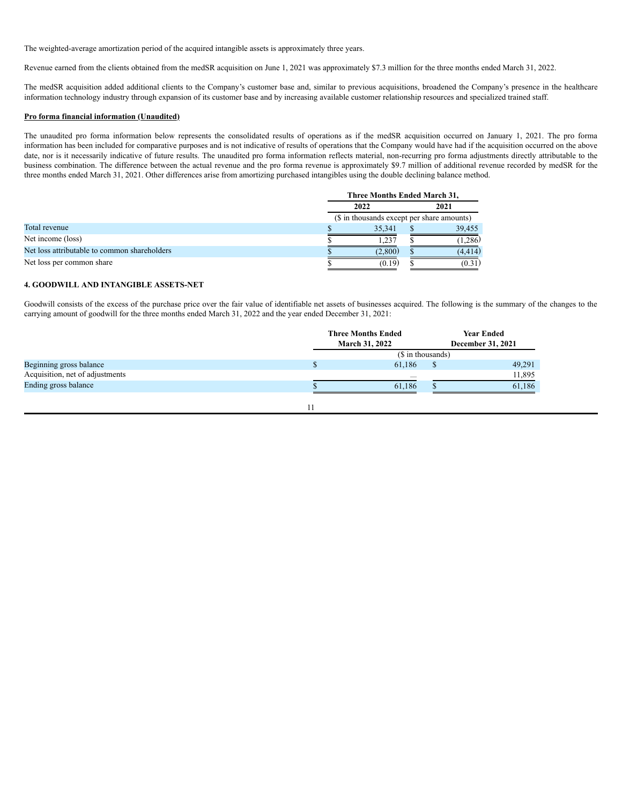The weighted-average amortization period of the acquired intangible assets is approximately three years.

Revenue earned from the clients obtained from the medSR acquisition on June 1, 2021 was approximately \$7.3 million for the three months ended March 31, 2022.

The medSR acquisition added additional clients to the Company's customer base and, similar to previous acquisitions, broadened the Company's presence in the healthcare information technology industry through expansion of its customer base and by increasing available customer relationship resources and specialized trained staff.

#### **Pro forma financial information (Unaudited)**

The unaudited pro forma information below represents the consolidated results of operations as if the medSR acquisition occurred on January 1, 2021. The pro forma information has been included for comparative purposes and is not indicative of results of operations that the Company would have had if the acquisition occurred on the above date, nor is it necessarily indicative of future results. The unaudited pro forma information reflects material, non-recurring pro forma adjustments directly attributable to the business combination. The difference between the actual revenue and the pro forma revenue is approximately \$9.7 million of additional revenue recorded by medSR for the three months ended March 31, 2021. Other differences arise from amortizing purchased intangibles using the double declining balance method.

|                                              | Three Months Ended March 31, |                                            |      |          |  |
|----------------------------------------------|------------------------------|--------------------------------------------|------|----------|--|
|                                              |                              | 2022                                       | 2021 |          |  |
|                                              |                              | (\$ in thousands except per share amounts) |      |          |  |
| Total revenue                                |                              | 35.341                                     |      | 39.455   |  |
| Net income (loss)                            |                              | 1.237                                      |      | (1, 286) |  |
| Net loss attributable to common shareholders |                              | (2.800)                                    |      | (4.414)  |  |
| Net loss per common share                    |                              | (0.19)                                     |      | (0.31)   |  |

# **4. GOODWILL AND INTANGIBLE ASSETS-NET**

Goodwill consists of the excess of the purchase price over the fair value of identifiable net assets of businesses acquired. The following is the summary of the changes to the carrying amount of goodwill for the three months ended March 31, 2022 and the year ended December 31, 2021:

|                                 | <b>Three Months Ended</b><br><b>March 31, 2022</b> |                   | <b>Year Ended</b><br>December 31, 2021 |  |
|---------------------------------|----------------------------------------------------|-------------------|----------------------------------------|--|
|                                 |                                                    | (\$ in thousands) |                                        |  |
| Beginning gross balance         | 61,186                                             |                   | 49,291                                 |  |
| Acquisition, net of adjustments |                                                    |                   | 11,895                                 |  |
| Ending gross balance            | 61,186                                             |                   | 61,186                                 |  |
|                                 |                                                    |                   |                                        |  |
|                                 |                                                    |                   |                                        |  |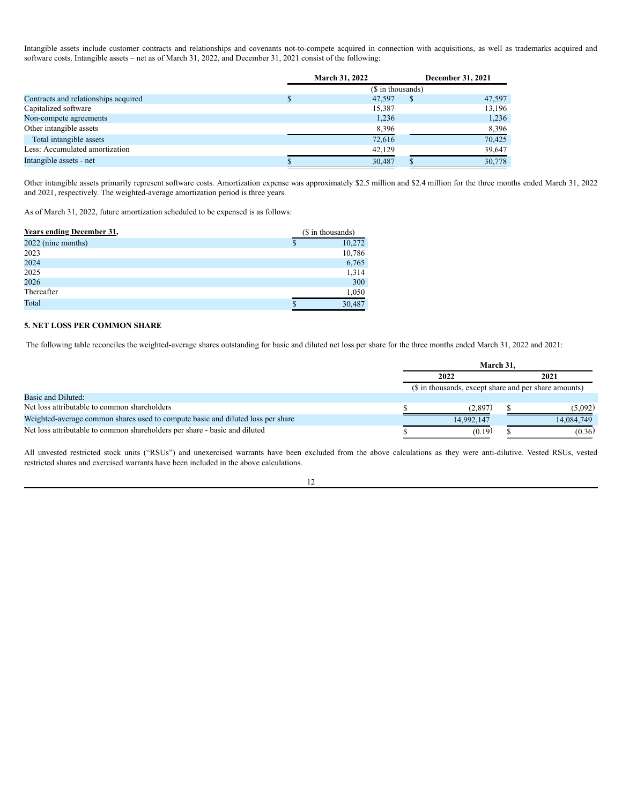Intangible assets include customer contracts and relationships and covenants not-to-compete acquired in connection with acquisitions, as well as trademarks acquired and software costs. Intangible assets – net as of March 31, 2022, and December 31, 2021 consist of the following:

|                                      | March 31, 2022    | <b>December 31, 2021</b> |  |  |
|--------------------------------------|-------------------|--------------------------|--|--|
|                                      | (\$ in thousands) |                          |  |  |
| Contracts and relationships acquired | 47,597            | 47,597                   |  |  |
| Capitalized software                 | 15,387            | 13,196                   |  |  |
| Non-compete agreements               | 1,236             | 1,236                    |  |  |
| Other intangible assets              | 8,396             | 8,396                    |  |  |
| Total intangible assets              | 72,616            | 70,425                   |  |  |
| Less: Accumulated amortization       | 42,129            | 39,647                   |  |  |
| Intangible assets - net              | 30,487            | 30,778                   |  |  |

Other intangible assets primarily represent software costs. Amortization expense was approximately \$2.5 million and \$2.4 million for the three months ended March 31, 2022 and 2021, respectively. The weighted-average amortization period is three years.

As of March 31, 2022, future amortization scheduled to be expensed is as follows:

| <b>Years ending December 31,</b> |   | (\$ in thousands) |
|----------------------------------|---|-------------------|
| 2022 (nine months)               | S | 10,272            |
| 2023                             |   | 10,786            |
| 2024                             |   | 6,765             |
| 2025                             |   | 1,314             |
| 2026                             |   | 300               |
| Thereafter                       |   | 1,050             |
| Total                            |   | 30,487            |

# **5. NET LOSS PER COMMON SHARE**

The following table reconciles the weighted-average shares outstanding for basic and diluted net loss per share for the three months ended March 31, 2022 and 2021:

|                                                                                 | March 31.                                             |  |            |  |  |
|---------------------------------------------------------------------------------|-------------------------------------------------------|--|------------|--|--|
|                                                                                 | 2022<br>2021                                          |  |            |  |  |
|                                                                                 | (\$ in thousands, except share and per share amounts) |  |            |  |  |
| Basic and Diluted:                                                              |                                                       |  |            |  |  |
| Net loss attributable to common shareholders                                    | (2,897)                                               |  | (5.092)    |  |  |
| Weighted-average common shares used to compute basic and diluted loss per share | 14.992.147                                            |  | 14.084.749 |  |  |
| Net loss attributable to common shareholders per share - basic and diluted      | (0.19)                                                |  | (0.36)     |  |  |

All unvested restricted stock units ("RSUs") and unexercised warrants have been excluded from the above calculations as they were anti-dilutive. Vested RSUs, vested restricted shares and exercised warrants have been included in the above calculations.

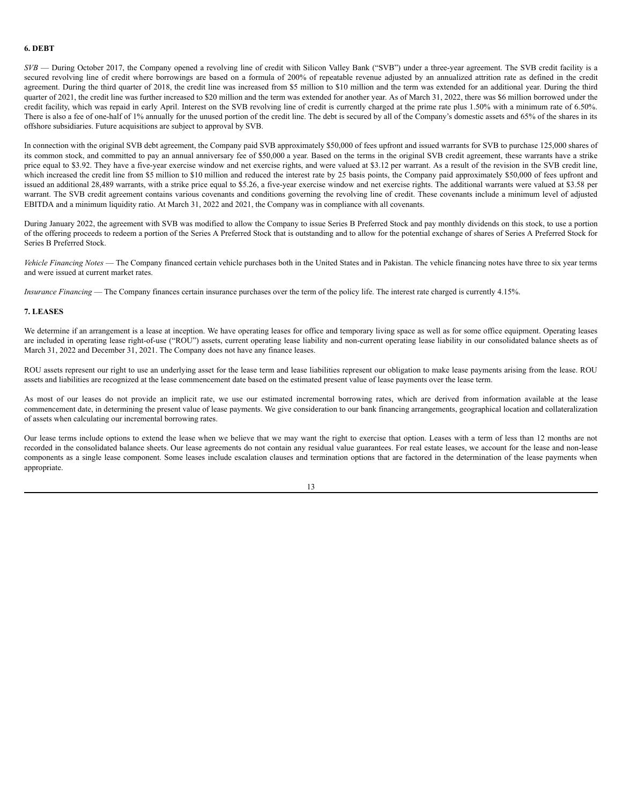#### **6. DEBT**

 $SVB$  — During October 2017, the Company opened a revolving line of credit with Silicon Valley Bank ("SVB") under a three-year agreement. The SVB credit facility is a secured revolving line of credit where borrowings are based on a formula of 200% of repeatable revenue adjusted by an annualized attrition rate as defined in the credit agreement. During the third quarter of 2018, the credit line was increased from \$5 million to \$10 million and the term was extended for an additional year. During the third quarter of 2021, the credit line was further increased to \$20 million and the term was extended for another year. As of March 31, 2022, there was \$6 million borrowed under the credit facility, which was repaid in early April. Interest on the SVB revolving line of credit is currently charged at the prime rate plus 1.50% with a minimum rate of 6.50%. There is also a fee of one-half of 1% annually for the unused portion of the credit line. The debt is secured by all of the Company's domestic assets and 65% of the shares in its offshore subsidiaries. Future acquisitions are subject to approval by SVB.

In connection with the original SVB debt agreement, the Company paid SVB approximately \$50,000 of fees upfront and issued warrants for SVB to purchase 125,000 shares of its common stock, and committed to pay an annual anniversary fee of \$50,000 a year. Based on the terms in the original SVB credit agreement, these warrants have a strike price equal to \$3.92. They have a five-year exercise window and net exercise rights, and were valued at \$3.12 per warrant. As a result of the revision in the SVB credit line, which increased the credit line from \$5 million to \$10 million and reduced the interest rate by 25 basis points, the Company paid approximately \$50,000 of fees upfront and issued an additional 28,489 warrants, with a strike price equal to \$5.26, a five-year exercise window and net exercise rights. The additional warrants were valued at \$3.58 per warrant. The SVB credit agreement contains various covenants and conditions governing the revolving line of credit. These covenants include a minimum level of adjusted EBITDA and a minimum liquidity ratio. At March 31, 2022 and 2021, the Company was in compliance with all covenants.

During January 2022, the agreement with SVB was modified to allow the Company to issue Series B Preferred Stock and pay monthly dividends on this stock, to use a portion of the offering proceeds to redeem a portion of the Series A Preferred Stock that is outstanding and to allow for the potential exchange of shares of Series A Preferred Stock for Series B Preferred Stock.

*Vehicle Financing Notes* — The Company financed certain vehicle purchases both in the United States and in Pakistan. The vehicle financing notes have three to six year terms and were issued at current market rates.

*Insurance Financing* — The Company finances certain insurance purchases over the term of the policy life. The interest rate charged is currently 4.15%.

### **7. LEASES**

We determine if an arrangement is a lease at inception. We have operating leases for office and temporary living space as well as for some office equipment. Operating leases are included in operating lease right-of-use ("ROU") assets, current operating lease liability and non-current operating lease liability in our consolidated balance sheets as of March 31, 2022 and December 31, 2021. The Company does not have any finance leases.

ROU assets represent our right to use an underlying asset for the lease term and lease liabilities represent our obligation to make lease payments arising from the lease. ROU assets and liabilities are recognized at the lease commencement date based on the estimated present value of lease payments over the lease term.

As most of our leases do not provide an implicit rate, we use our estimated incremental borrowing rates, which are derived from information available at the lease commencement date, in determining the present value of lease payments. We give consideration to our bank financing arrangements, geographical location and collateralization of assets when calculating our incremental borrowing rates.

Our lease terms include options to extend the lease when we believe that we may want the right to exercise that option. Leases with a term of less than 12 months are not recorded in the consolidated balance sheets. Our lease agreements do not contain any residual value guarantees. For real estate leases, we account for the lease and non-lease components as a single lease component. Some leases include escalation clauses and termination options that are factored in the determination of the lease payments when appropriate.

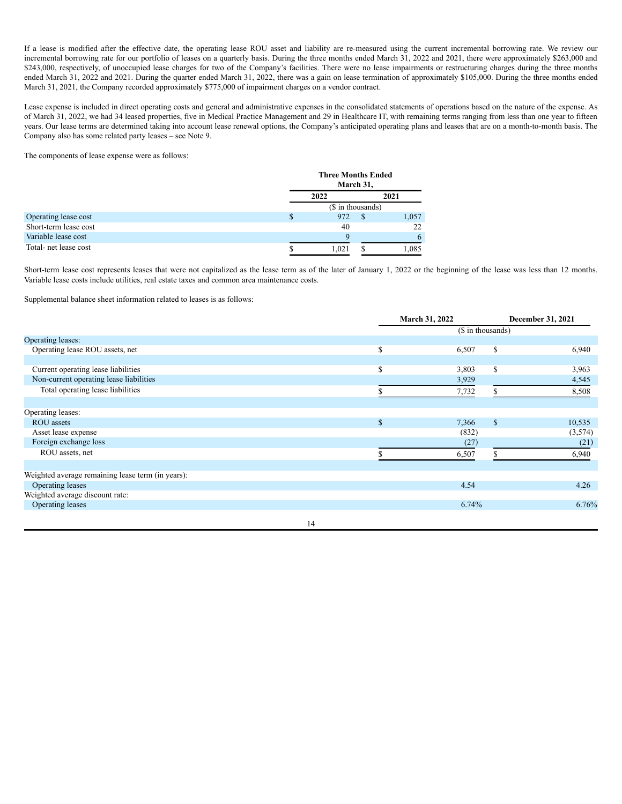If a lease is modified after the effective date, the operating lease ROU asset and liability are re-measured using the current incremental borrowing rate. We review our incremental borrowing rate for our portfolio of leases on a quarterly basis. During the three months ended March 31, 2022 and 2021, there were approximately \$263,000 and \$243,000, respectively, of unoccupied lease charges for two of the Company's facilities. There were no lease impairments or restructuring charges during the three months ended March 31, 2022 and 2021. During the quarter ended March 31, 2022, there was a gain on lease termination of approximately \$105,000. During the three months ended March 31, 2021, the Company recorded approximately \$775,000 of impairment charges on a vendor contract.

Lease expense is included in direct operating costs and general and administrative expenses in the consolidated statements of operations based on the nature of the expense. As of March 31, 2022, we had 34 leased properties, five in Medical Practice Management and 29 in Healthcare IT, with remaining terms ranging from less than one year to fifteen years. Our lease terms are determined taking into account lease renewal options, the Company's anticipated operating plans and leases that are on a month-to-month basis. The Company also has some related party leases – see Note 9.

The components of lease expense were as follows:

|                       |   | <b>Three Months Ended</b> | March 31, |       |  |
|-----------------------|---|---------------------------|-----------|-------|--|
|                       |   | 2022<br>2021              |           |       |  |
|                       |   | (\$ in thousands)         |           |       |  |
| Operating lease cost  | S | 972                       | S         | 1,057 |  |
| Short-term lease cost |   | 40                        |           | 22    |  |
| Variable lease cost   |   | 9<br>6                    |           |       |  |
| Total-net lease cost  |   | 1.02                      |           | 1,085 |  |

Short-term lease cost represents leases that were not capitalized as the lease term as of the later of January 1, 2022 or the beginning of the lease was less than 12 months. Variable lease costs include utilities, real estate taxes and common area maintenance costs.

Supplemental balance sheet information related to leases is as follows:

|                                                   |             | <b>March 31, 2022</b> |                   | <b>December 31, 2021</b> |         |
|---------------------------------------------------|-------------|-----------------------|-------------------|--------------------------|---------|
|                                                   |             |                       | (\$ in thousands) |                          |         |
| Operating leases:                                 |             |                       |                   |                          |         |
| Operating lease ROU assets, net                   | \$          |                       | 6,507             | \$                       | 6,940   |
|                                                   |             |                       |                   |                          |         |
| Current operating lease liabilities               | \$          |                       | 3,803             | \$                       | 3,963   |
| Non-current operating lease liabilities           |             |                       | 3,929             |                          | 4,545   |
| Total operating lease liabilities                 |             |                       | 7,732             |                          | 8,508   |
| Operating leases:                                 |             |                       |                   |                          |         |
| <b>ROU</b> assets                                 | $\mathbf S$ |                       | 7,366             | \$                       | 10,535  |
| Asset lease expense                               |             |                       | (832)             |                          | (3,574) |
| Foreign exchange loss                             |             |                       | (27)              |                          | (21)    |
| ROU assets, net                                   |             |                       | 6,507             |                          | 6,940   |
| Weighted average remaining lease term (in years): |             |                       |                   |                          |         |
| Operating leases                                  |             |                       | 4.54              |                          | 4.26    |
| Weighted average discount rate:                   |             |                       |                   |                          |         |
| Operating leases                                  |             |                       | 6.74%             |                          | 6.76%   |
|                                                   | 14          |                       |                   |                          |         |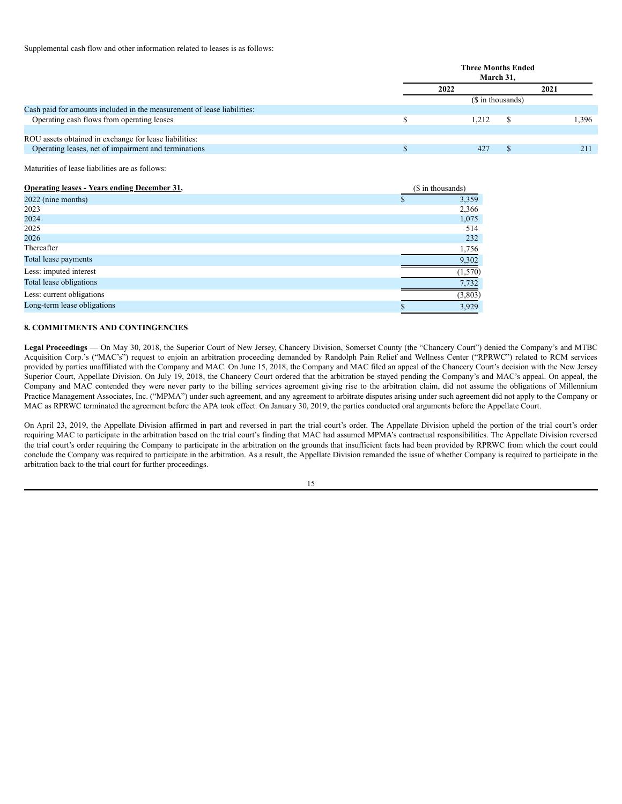Supplemental cash flow and other information related to leases is as follows:

|                                                                         | <b>Three Months Ended</b><br>March 31. |      |       |
|-------------------------------------------------------------------------|----------------------------------------|------|-------|
|                                                                         | 2022                                   | 2021 |       |
|                                                                         | (\$ in thousands)                      |      |       |
| Cash paid for amounts included in the measurement of lease liabilities: |                                        |      |       |
| Operating cash flows from operating leases                              | .212                                   |      | 1,396 |
|                                                                         |                                        |      |       |
| ROU assets obtained in exchange for lease liabilities:                  |                                        |      |       |
| Operating leases, net of impairment and terminations                    | 427                                    |      | 211   |

Maturities of lease liabilities are as follows:

#### **Operating leases - Years ending December 31,**  $\qquad \qquad$  (\$ in thousands)

| 2022 (nine months)          | 3,359    |
|-----------------------------|----------|
| 2023                        | 2,366    |
| 2024                        | 1,075    |
| 2025                        | 514      |
| 2026                        | 232      |
| Thereafter                  | 1,756    |
| Total lease payments        | 9,302    |
| Less: imputed interest      | (1, 570) |
| Total lease obligations     | 7,732    |
| Less: current obligations   | (3, 803) |
| Long-term lease obligations | 3,929    |

# **8. COMMITMENTS AND CONTINGENCIES**

**Legal Proceedings** — On May 30, 2018, the Superior Court of New Jersey, Chancery Division, Somerset County (the "Chancery Court") denied the Company's and MTBC Acquisition Corp.'s ("MAC's") request to enjoin an arbitration proceeding demanded by Randolph Pain Relief and Wellness Center ("RPRWC") related to RCM services provided by parties unaffiliated with the Company and MAC. On June 15, 2018, the Company and MAC filed an appeal of the Chancery Court's decision with the New Jersey Superior Court, Appellate Division. On July 19, 2018, the Chancery Court ordered that the arbitration be stayed pending the Company's and MAC's appeal. On appeal, the Company and MAC contended they were never party to the billing services agreement giving rise to the arbitration claim, did not assume the obligations of Millennium Practice Management Associates, Inc. ("MPMA") under such agreement, and any agreement to arbitrate disputes arising under such agreement did not apply to the Company or MAC as RPRWC terminated the agreement before the APA took effect. On January 30, 2019, the parties conducted oral arguments before the Appellate Court.

On April 23, 2019, the Appellate Division affirmed in part and reversed in part the trial court's order. The Appellate Division upheld the portion of the trial court's order requiring MAC to participate in the arbitration based on the trial court's finding that MAC had assumed MPMA's contractual responsibilities. The Appellate Division reversed the trial court's order requiring the Company to participate in the arbitration on the grounds that insufficient facts had been provided by RPRWC from which the court could conclude the Company was required to participate in the arbitration. As a result, the Appellate Division remanded the issue of whether Company is required to participate in the arbitration back to the trial court for further proceedings.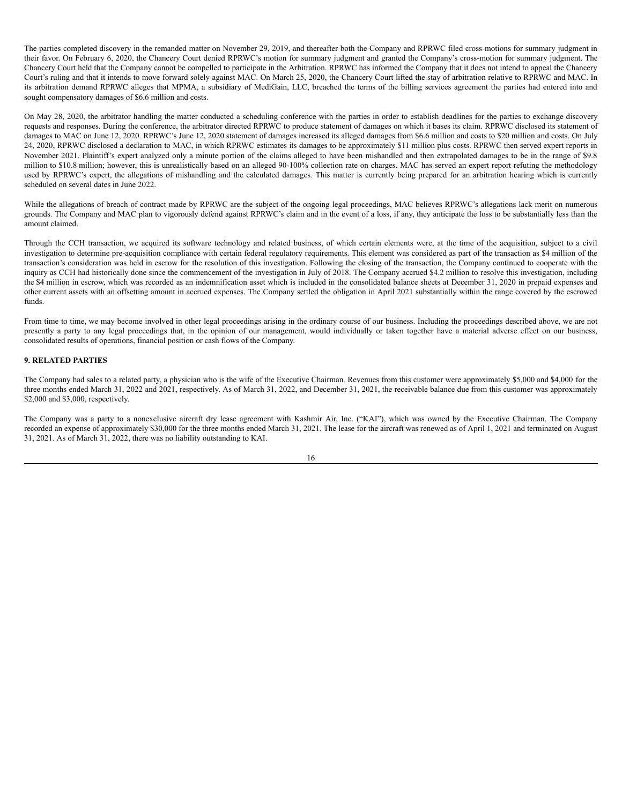The parties completed discovery in the remanded matter on November 29, 2019, and thereafter both the Company and RPRWC filed cross-motions for summary judgment in their favor. On February 6, 2020, the Chancery Court denied RPRWC's motion for summary judgment and granted the Company's cross-motion for summary judgment. The Chancery Court held that the Company cannot be compelled to participate in the Arbitration. RPRWC has informed the Company that it does not intend to appeal the Chancery Court's ruling and that it intends to move forward solely against MAC. On March 25, 2020, the Chancery Court lifted the stay of arbitration relative to RPRWC and MAC. In its arbitration demand RPRWC alleges that MPMA, a subsidiary of MediGain, LLC, breached the terms of the billing services agreement the parties had entered into and sought compensatory damages of \$6.6 million and costs.

On May 28, 2020, the arbitrator handling the matter conducted a scheduling conference with the parties in order to establish deadlines for the parties to exchange discovery requests and responses. During the conference, the arbitrator directed RPRWC to produce statement of damages on which it bases its claim. RPRWC disclosed its statement of damages to MAC on June 12, 2020. RPRWC's June 12, 2020 statement of damages increased its alleged damages from \$6.6 million and costs to \$20 million and costs. On July 24, 2020, RPRWC disclosed a declaration to MAC, in which RPRWC estimates its damages to be approximately \$11 million plus costs. RPRWC then served expert reports in November 2021. Plaintiff's expert analyzed only a minute portion of the claims alleged to have been mishandled and then extrapolated damages to be in the range of \$9.8 million to \$10.8 million; however, this is unrealistically based on an alleged 90-100% collection rate on charges. MAC has served an expert report refuting the methodology used by RPRWC's expert, the allegations of mishandling and the calculated damages. This matter is currently being prepared for an arbitration hearing which is currently scheduled on several dates in June 2022.

While the allegations of breach of contract made by RPRWC are the subject of the ongoing legal proceedings, MAC believes RPRWC's allegations lack merit on numerous grounds. The Company and MAC plan to vigorously defend against RPRWC's claim and in the event of a loss, if any, they anticipate the loss to be substantially less than the amount claimed.

Through the CCH transaction, we acquired its software technology and related business, of which certain elements were, at the time of the acquisition, subject to a civil investigation to determine pre-acquisition compliance with certain federal regulatory requirements. This element was considered as part of the transaction as \$4 million of the transaction's consideration was held in escrow for the resolution of this investigation. Following the closing of the transaction, the Company continued to cooperate with the inquiry as CCH had historically done since the commencement of the investigation in July of 2018. The Company accrued \$4.2 million to resolve this investigation, including the \$4 million in escrow, which was recorded as an indemnification asset which is included in the consolidated balance sheets at December 31, 2020 in prepaid expenses and other current assets with an offsetting amount in accrued expenses. The Company settled the obligation in April 2021 substantially within the range covered by the escrowed funds.

From time to time, we may become involved in other legal proceedings arising in the ordinary course of our business. Including the proceedings described above, we are not presently a party to any legal proceedings that, in the opinion of our management, would individually or taken together have a material adverse effect on our business, consolidated results of operations, financial position or cash flows of the Company.

## **9. RELATED PARTIES**

The Company had sales to a related party, a physician who is the wife of the Executive Chairman. Revenues from this customer were approximately \$5,000 and \$4,000 for the three months ended March 31, 2022 and 2021, respectively. As of March 31, 2022, and December 31, 2021, the receivable balance due from this customer was approximately \$2,000 and \$3,000, respectively.

The Company was a party to a nonexclusive aircraft dry lease agreement with Kashmir Air, Inc. ("KAI"), which was owned by the Executive Chairman. The Company recorded an expense of approximately \$30,000 for the three months ended March 31, 2021. The lease for the aircraft was renewed as of April 1, 2021 and terminated on August 31, 2021. As of March 31, 2022, there was no liability outstanding to KAI.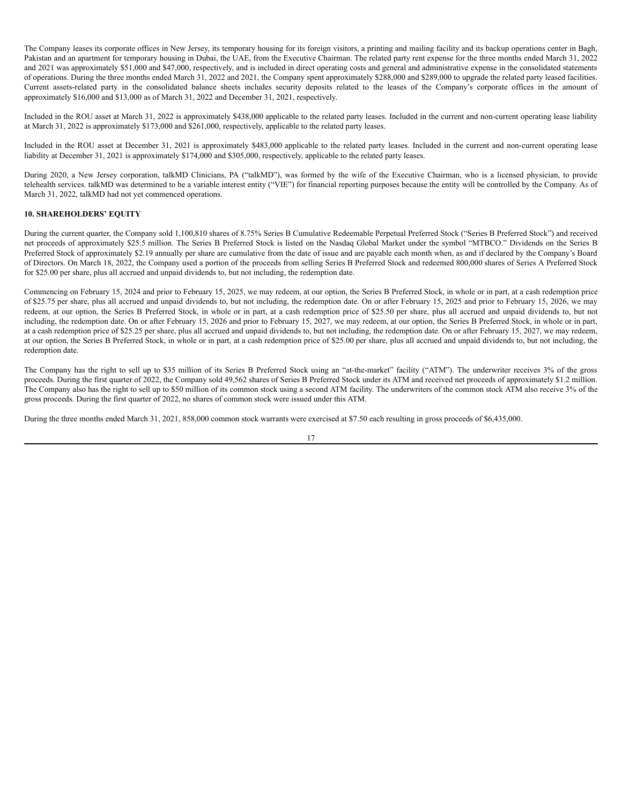The Company leases its corporate offices in New Jersey, its temporary housing for its foreign visitors, a printing and mailing facility and its backup operations center in Bagh, Pakistan and an apartment for temporary housing in Dubai, the UAE, from the Executive Chairman. The related party rent expense for the three months ended March 31, 2022 and 2021 was approximately \$51,000 and \$47,000, respectively, and is included in direct operating costs and general and administrative expense in the consolidated statements of operations. During the three months ended March 31, 2022 and 2021, the Company spent approximately \$288,000 and \$289,000 to upgrade the related party leased facilities. Current assets-related party in the consolidated balance sheets includes security deposits related to the leases of the Company's corporate offices in the amount of approximately \$16,000 and \$13,000 as of March 31, 2022 and December 31, 2021, respectively.

Included in the ROU asset at March 31, 2022 is approximately \$438,000 applicable to the related party leases. Included in the current and non-current operating lease liability at March 31, 2022 is approximately \$173,000 and \$261,000, respectively, applicable to the related party leases.

Included in the ROU asset at December 31, 2021 is approximately \$483,000 applicable to the related party leases. Included in the current and non-current operating lease liability at December 31, 2021 is approximately \$174,000 and \$305,000, respectively, applicable to the related party leases.

During 2020, a New Jersey corporation, talkMD Clinicians, PA ("talkMD"), was formed by the wife of the Executive Chairman, who is a licensed physician, to provide telehealth services. talkMD was determined to be a variable interest entity ("VIE") for financial reporting purposes because the entity will be controlled by the Company. As of March 31, 2022, talkMD had not yet commenced operations.

## **10. SHAREHOLDERS' EQUITY**

During the current quarter, the Company sold 1,100,810 shares of 8.75% Series B Cumulative Redeemable Perpetual Preferred Stock ("Series B Preferred Stock") and received net proceeds of approximately \$25.5 million. The Series B Preferred Stock is listed on the Nasdaq Global Market under the symbol "MTBCO." Dividends on the Series B Preferred Stock of approximately \$2.19 annually per share are cumulative from the date of issue and are payable each month when, as and if declared by the Company's Board of Directors. On March 18, 2022, the Company used a portion of the proceeds from selling Series B Preferred Stock and redeemed 800,000 shares of Series A Preferred Stock for \$25.00 per share, plus all accrued and unpaid dividends to, but not including, the redemption date.

Commencing on February 15, 2024 and prior to February 15, 2025, we may redeem, at our option, the Series B Preferred Stock, in whole or in part, at a cash redemption price of \$25.75 per share, plus all accrued and unpaid dividends to, but not including, the redemption date. On or after February 15, 2025 and prior to February 15, 2026, we may redeem, at our option, the Series B Preferred Stock, in whole or in part, at a cash redemption price of \$25.50 per share, plus all accrued and unpaid dividends to, but not including, the redemption date. On or after February 15, 2026 and prior to February 15, 2027, we may redeem, at our option, the Series B Preferred Stock, in whole or in part, at a cash redemption price of \$25.25 per share, plus all accrued and unpaid dividends to, but not including, the redemption date. On or after February 15, 2027, we may redeem, at our option, the Series B Preferred Stock, in whole or in part, at a cash redemption price of \$25.00 per share, plus all accrued and unpaid dividends to, but not including, the redemption date.

The Company has the right to sell up to \$35 million of its Series B Preferred Stock using an "at-the-market" facility ("ATM"). The underwriter receives 3% of the gross proceeds. During the first quarter of 2022, the Company sold 49,562 shares of Series B Preferred Stock under its ATM and received net proceeds of approximately \$1.2 million. The Company also has the right to sell up to \$50 million of its common stock using a second ATM facility. The underwriters of the common stock ATM also receive 3% of the gross proceeds. During the first quarter of 2022, no shares of common stock were issued under this ATM.

During the three months ended March 31, 2021, 858,000 common stock warrants were exercised at \$7.50 each resulting in gross proceeds of \$6,435,000.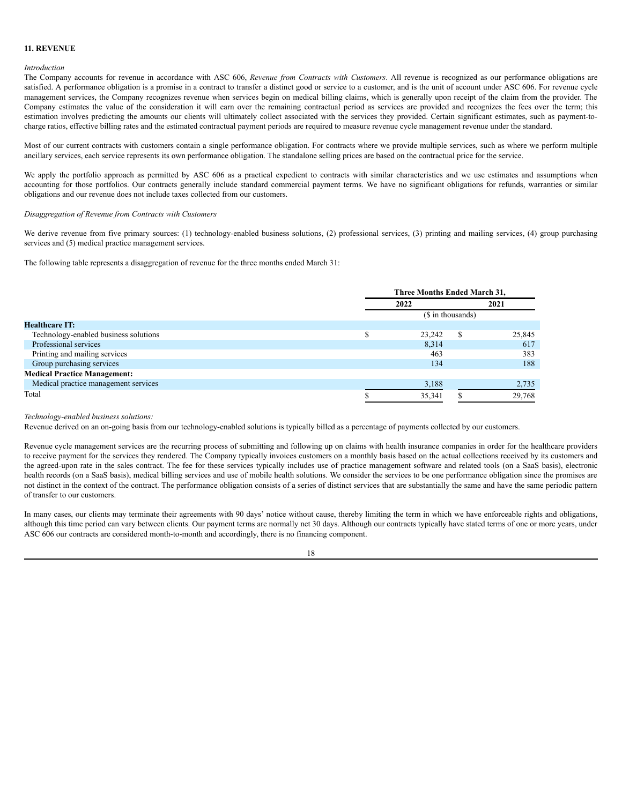### **11. REVENUE**

#### *Introduction*

The Company accounts for revenue in accordance with ASC 606, *Revenue from Contracts with Customers*. All revenue is recognized as our performance obligations are satisfied. A performance obligation is a promise in a contract to transfer a distinct good or service to a customer, and is the unit of account under ASC 606. For revenue cycle management services, the Company recognizes revenue when services begin on medical billing claims, which is generally upon receipt of the claim from the provider. The Company estimates the value of the consideration it will earn over the remaining contractual period as services are provided and recognizes the fees over the term; this estimation involves predicting the amounts our clients will ultimately collect associated with the services they provided. Certain significant estimates, such as payment-tocharge ratios, effective billing rates and the estimated contractual payment periods are required to measure revenue cycle management revenue under the standard.

Most of our current contracts with customers contain a single performance obligation. For contracts where we provide multiple services, such as where we perform multiple ancillary services, each service represents its own performance obligation. The standalone selling prices are based on the contractual price for the service.

We apply the portfolio approach as permitted by ASC 606 as a practical expedient to contracts with similar characteristics and we use estimates and assumptions when accounting for those portfolios. Our contracts generally include standard commercial payment terms. We have no significant obligations for refunds, warranties or similar obligations and our revenue does not include taxes collected from our customers.

#### *Disaggregation of Revenue from Contracts with Customers*

We derive revenue from five primary sources: (1) technology-enabled business solutions, (2) professional services, (3) printing and mailing services, (4) group purchasing services and (5) medical practice management services.

The following table represents a disaggregation of revenue for the three months ended March 31:

|                                       |      | Three Months Ended March 31, |   |        |  |
|---------------------------------------|------|------------------------------|---|--------|--|
|                                       | 2022 |                              |   | 2021   |  |
|                                       |      | (\$ in thousands)            |   |        |  |
| <b>Healthcare IT:</b>                 |      |                              |   |        |  |
| Technology-enabled business solutions |      | 23,242                       | S | 25,845 |  |
| Professional services                 |      | 8,314                        |   | 617    |  |
| Printing and mailing services         |      | 463                          |   | 383    |  |
| Group purchasing services             |      | 134                          |   | 188    |  |
| <b>Medical Practice Management:</b>   |      |                              |   |        |  |
| Medical practice management services  |      | 3,188                        |   | 2,735  |  |
| Total                                 |      | 35,341                       |   | 29,768 |  |

#### *Technology-enabled business solutions:*

Revenue derived on an on-going basis from our technology-enabled solutions is typically billed as a percentage of payments collected by our customers.

Revenue cycle management services are the recurring process of submitting and following up on claims with health insurance companies in order for the healthcare providers to receive payment for the services they rendered. The Company typically invoices customers on a monthly basis based on the actual collections received by its customers and the agreed-upon rate in the sales contract. The fee for these services typically includes use of practice management software and related tools (on a SaaS basis), electronic health records (on a SaaS basis), medical billing services and use of mobile health solutions. We consider the services to be one performance obligation since the promises are not distinct in the context of the contract. The performance obligation consists of a series of distinct services that are substantially the same and have the same periodic pattern of transfer to our customers.

In many cases, our clients may terminate their agreements with 90 days' notice without cause, thereby limiting the term in which we have enforceable rights and obligations, although this time period can vary between clients. Our payment terms are normally net 30 days. Although our contracts typically have stated terms of one or more years, under ASC 606 our contracts are considered month-to-month and accordingly, there is no financing component.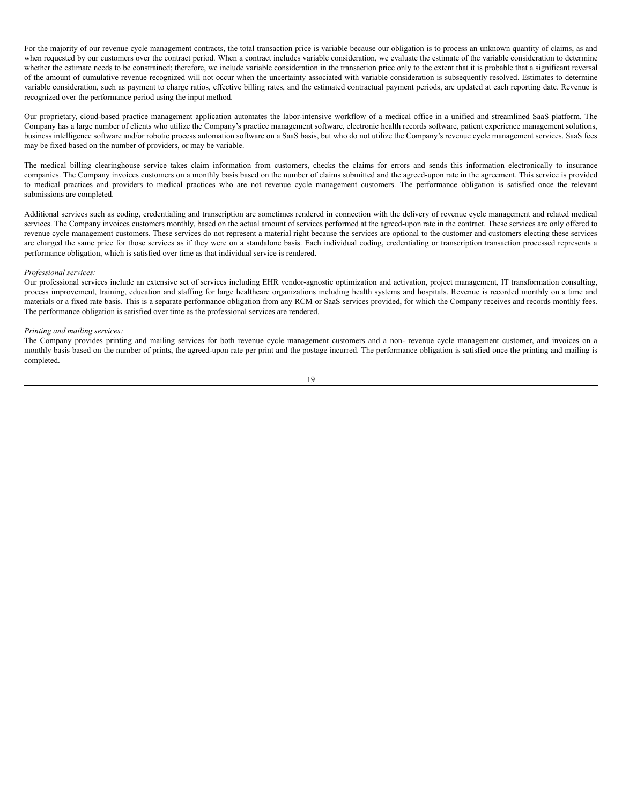For the majority of our revenue cycle management contracts, the total transaction price is variable because our obligation is to process an unknown quantity of claims, as and when requested by our customers over the contract period. When a contract includes variable consideration, we evaluate the estimate of the variable consideration to determine whether the estimate needs to be constrained; therefore, we include variable consideration in the transaction price only to the extent that it is probable that a significant reversal of the amount of cumulative revenue recognized will not occur when the uncertainty associated with variable consideration is subsequently resolved. Estimates to determine variable consideration, such as payment to charge ratios, effective billing rates, and the estimated contractual payment periods, are updated at each reporting date. Revenue is recognized over the performance period using the input method.

Our proprietary, cloud-based practice management application automates the labor-intensive workflow of a medical office in a unified and streamlined SaaS platform. The Company has a large number of clients who utilize the Company's practice management software, electronic health records software, patient experience management solutions, business intelligence software and/or robotic process automation software on a SaaS basis, but who do not utilize the Company's revenue cycle management services. SaaS fees may be fixed based on the number of providers, or may be variable.

The medical billing clearinghouse service takes claim information from customers, checks the claims for errors and sends this information electronically to insurance companies. The Company invoices customers on a monthly basis based on the number of claims submitted and the agreed-upon rate in the agreement. This service is provided to medical practices and providers to medical practices who are not revenue cycle management customers. The performance obligation is satisfied once the relevant submissions are completed.

Additional services such as coding, credentialing and transcription are sometimes rendered in connection with the delivery of revenue cycle management and related medical services. The Company invoices customers monthly, based on the actual amount of services performed at the agreed-upon rate in the contract. These services are only offered to revenue cycle management customers. These services do not represent a material right because the services are optional to the customer and customers electing these services are charged the same price for those services as if they were on a standalone basis. Each individual coding, credentialing or transcription transaction processed represents a performance obligation, which is satisfied over time as that individual service is rendered.

#### *Professional services:*

Our professional services include an extensive set of services including EHR vendor-agnostic optimization and activation, project management, IT transformation consulting, process improvement, training, education and staffing for large healthcare organizations including health systems and hospitals. Revenue is recorded monthly on a time and materials or a fixed rate basis. This is a separate performance obligation from any RCM or SaaS services provided, for which the Company receives and records monthly fees. The performance obligation is satisfied over time as the professional services are rendered.

#### *Printing and mailing services:*

The Company provides printing and mailing services for both revenue cycle management customers and a non- revenue cycle management customer, and invoices on a monthly basis based on the number of prints, the agreed-upon rate per print and the postage incurred. The performance obligation is satisfied once the printing and mailing is completed.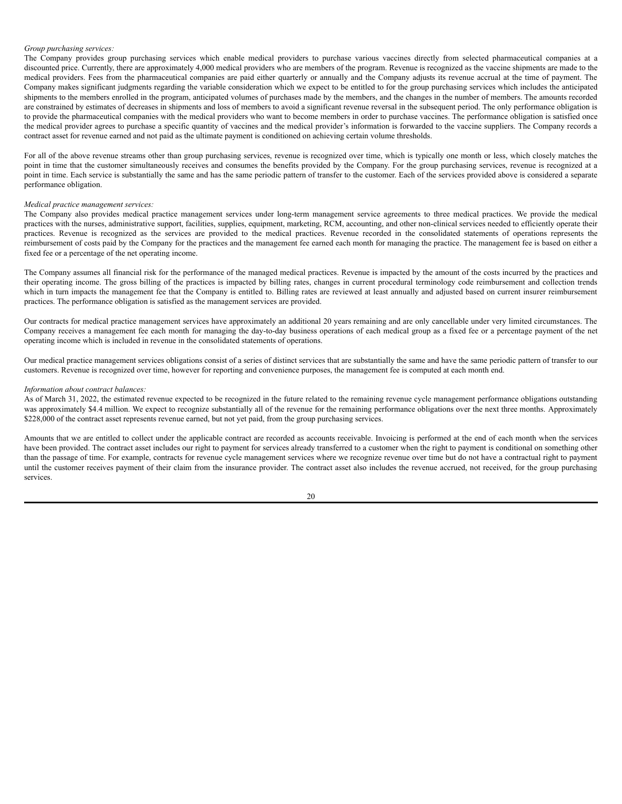#### *Group purchasing services:*

The Company provides group purchasing services which enable medical providers to purchase various vaccines directly from selected pharmaceutical companies at a discounted price. Currently, there are approximately 4,000 medical providers who are members of the program. Revenue is recognized as the vaccine shipments are made to the medical providers. Fees from the pharmaceutical companies are paid either quarterly or annually and the Company adjusts its revenue accrual at the time of payment. The Company makes significant judgments regarding the variable consideration which we expect to be entitled to for the group purchasing services which includes the anticipated shipments to the members enrolled in the program, anticipated volumes of purchases made by the members, and the changes in the number of members. The amounts recorded are constrained by estimates of decreases in shipments and loss of members to avoid a significant revenue reversal in the subsequent period. The only performance obligation is to provide the pharmaceutical companies with the medical providers who want to become members in order to purchase vaccines. The performance obligation is satisfied once the medical provider agrees to purchase a specific quantity of vaccines and the medical provider's information is forwarded to the vaccine suppliers. The Company records a contract asset for revenue earned and not paid as the ultimate payment is conditioned on achieving certain volume thresholds.

For all of the above revenue streams other than group purchasing services, revenue is recognized over time, which is typically one month or less, which closely matches the point in time that the customer simultaneously receives and consumes the benefits provided by the Company. For the group purchasing services, revenue is recognized at a point in time. Each service is substantially the same and has the same periodic pattern of transfer to the customer. Each of the services provided above is considered a separate performance obligation.

# *Medical practice management services:*

The Company also provides medical practice management services under long-term management service agreements to three medical practices. We provide the medical practices with the nurses, administrative support, facilities, supplies, equipment, marketing, RCM, accounting, and other non-clinical services needed to efficiently operate their practices. Revenue is recognized as the services are provided to the medical practices. Revenue recorded in the consolidated statements of operations represents the reimbursement of costs paid by the Company for the practices and the management fee earned each month for managing the practice. The management fee is based on either a fixed fee or a percentage of the net operating income.

The Company assumes all financial risk for the performance of the managed medical practices. Revenue is impacted by the amount of the costs incurred by the practices and their operating income. The gross billing of the practices is impacted by billing rates, changes in current procedural terminology code reimbursement and collection trends which in turn impacts the management fee that the Company is entitled to. Billing rates are reviewed at least annually and adjusted based on current insurer reimbursement practices. The performance obligation is satisfied as the management services are provided.

Our contracts for medical practice management services have approximately an additional 20 years remaining and are only cancellable under very limited circumstances. The Company receives a management fee each month for managing the day-to-day business operations of each medical group as a fixed fee or a percentage payment of the net operating income which is included in revenue in the consolidated statements of operations.

Our medical practice management services obligations consist of a series of distinct services that are substantially the same and have the same periodic pattern of transfer to our customers. Revenue is recognized over time, however for reporting and convenience purposes, the management fee is computed at each month end.

#### *Information about contract balances:*

As of March 31, 2022, the estimated revenue expected to be recognized in the future related to the remaining revenue cycle management performance obligations outstanding was approximately \$4.4 million. We expect to recognize substantially all of the revenue for the remaining performance obligations over the next three months. Approximately \$228,000 of the contract asset represents revenue earned, but not yet paid, from the group purchasing services.

Amounts that we are entitled to collect under the applicable contract are recorded as accounts receivable. Invoicing is performed at the end of each month when the services have been provided. The contract asset includes our right to payment for services already transferred to a customer when the right to payment is conditional on something other than the passage of time. For example, contracts for revenue cycle management services where we recognize revenue over time but do not have a contractual right to payment until the customer receives payment of their claim from the insurance provider. The contract asset also includes the revenue accrued, not received, for the group purchasing services.

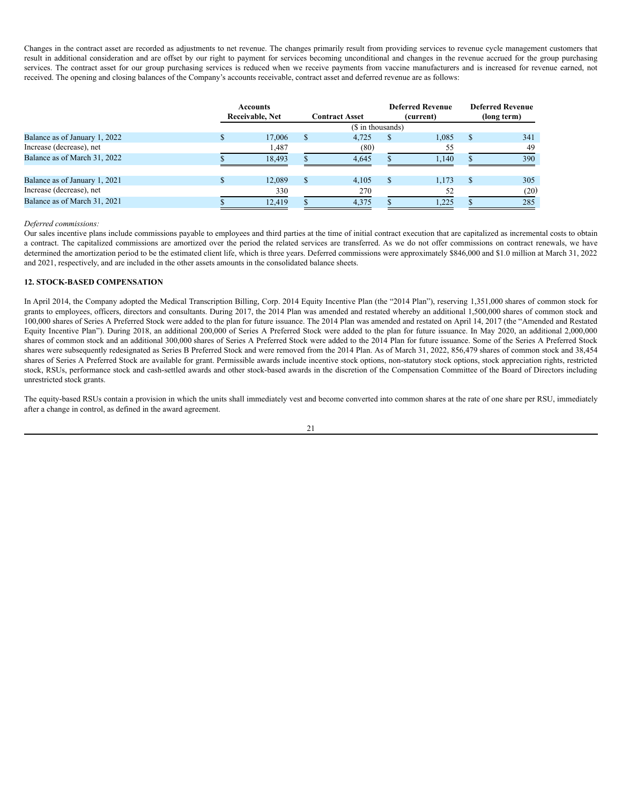Changes in the contract asset are recorded as adjustments to net revenue. The changes primarily result from providing services to revenue cycle management customers that result in additional consideration and are offset by our right to payment for services becoming unconditional and changes in the revenue accrued for the group purchasing services. The contract asset for our group purchasing services is reduced when we receive payments from vaccine manufacturers and is increased for revenue earned, not received. The opening and closing balances of the Company's accounts receivable, contract asset and deferred revenue are as follows:

|                               | <b>Accounts</b><br>Receivable, Net | <b>Contract Asset</b> | <b>Deferred Revenue</b><br>(current) | <b>Deferred Revenue</b><br>(long term) |
|-------------------------------|------------------------------------|-----------------------|--------------------------------------|----------------------------------------|
|                               |                                    | (\$ in thousands)     |                                      |                                        |
| Balance as of January 1, 2022 | 17,006                             | 4.725                 | 1.085                                | 341                                    |
| Increase (decrease), net      | 1,487                              | (80)                  | 55                                   | 49                                     |
| Balance as of March 31, 2022  | 18.493                             | 4.645                 | 1.140                                | 390                                    |
|                               |                                    |                       |                                      |                                        |
| Balance as of January 1, 2021 | 12,089                             | 4.105                 | 1.173                                | 305                                    |
| Increase (decrease), net      | 330                                | 270                   | 52                                   | (20)                                   |
| Balance as of March 31, 2021  | 12.419                             | 4.375                 | 1.225                                | 285                                    |

#### *Deferred commissions:*

Our sales incentive plans include commissions payable to employees and third parties at the time of initial contract execution that are capitalized as incremental costs to obtain a contract. The capitalized commissions are amortized over the period the related services are transferred. As we do not offer commissions on contract renewals, we have determined the amortization period to be the estimated client life, which is three years. Deferred commissions were approximately \$846,000 and \$1.0 million at March 31, 2022 and 2021, respectively, and are included in the other assets amounts in the consolidated balance sheets.

#### **12. STOCK-BASED COMPENSATION**

In April 2014, the Company adopted the Medical Transcription Billing, Corp. 2014 Equity Incentive Plan (the "2014 Plan"), reserving 1,351,000 shares of common stock for grants to employees, officers, directors and consultants. During 2017, the 2014 Plan was amended and restated whereby an additional 1,500,000 shares of common stock and 100,000 shares of Series A Preferred Stock were added to the plan for future issuance. The 2014 Plan was amended and restated on April 14, 2017 (the "Amended and Restated Equity Incentive Plan"). During 2018, an additional 200,000 of Series A Preferred Stock were added to the plan for future issuance. In May 2020, an additional 2,000,000 shares of common stock and an additional 300,000 shares of Series A Preferred Stock were added to the 2014 Plan for future issuance. Some of the Series A Preferred Stock shares were subsequently redesignated as Series B Preferred Stock and were removed from the 2014 Plan. As of March 31, 2022, 856,479 shares of common stock and 38,454 shares of Series A Preferred Stock are available for grant. Permissible awards include incentive stock options, non-statutory stock options, stock appreciation rights, restricted stock, RSUs, performance stock and cash-settled awards and other stock-based awards in the discretion of the Compensation Committee of the Board of Directors including unrestricted stock grants.

The equity-based RSUs contain a provision in which the units shall immediately vest and become converted into common shares at the rate of one share per RSU, immediately after a change in control, as defined in the award agreement.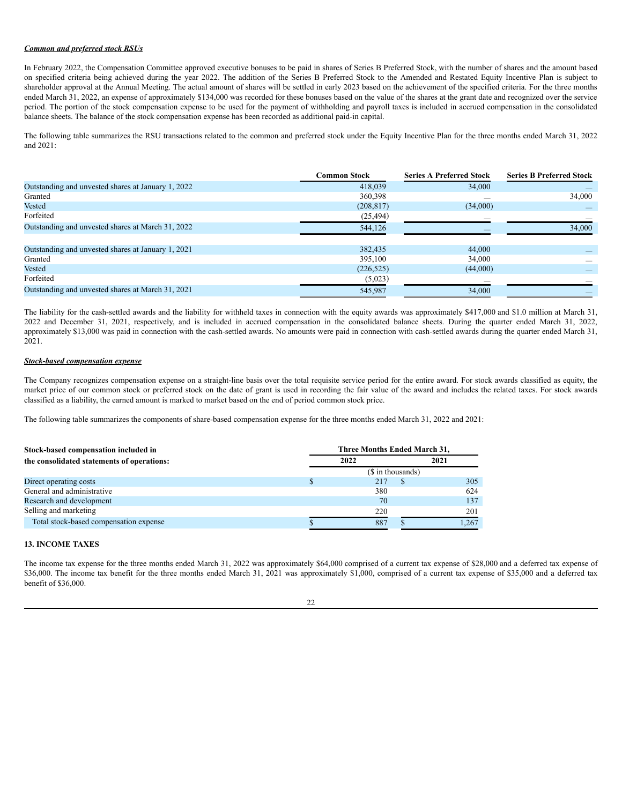# *Common and preferred stock RSUs*

In February 2022, the Compensation Committee approved executive bonuses to be paid in shares of Series B Preferred Stock, with the number of shares and the amount based on specified criteria being achieved during the year 2022. The addition of the Series B Preferred Stock to the Amended and Restated Equity Incentive Plan is subject to shareholder approval at the Annual Meeting. The actual amount of shares will be settled in early 2023 based on the achievement of the specified criteria. For the three months ended March 31, 2022, an expense of approximately \$134,000 was recorded for these bonuses based on the value of the shares at the grant date and recognized over the service period. The portion of the stock compensation expense to be used for the payment of withholding and payroll taxes is included in accrued compensation in the consolidated balance sheets. The balance of the stock compensation expense has been recorded as additional paid-in capital.

The following table summarizes the RSU transactions related to the common and preferred stock under the Equity Incentive Plan for the three months ended March 31, 2022 and 2021:

|                                                    | <b>Common Stock</b> | <b>Series A Preferred Stock</b> | <b>Series B Preferred Stock</b> |
|----------------------------------------------------|---------------------|---------------------------------|---------------------------------|
| Outstanding and unvested shares at January 1, 2022 | 418,039             | 34,000                          |                                 |
| Granted                                            | 360,398             |                                 | 34,000                          |
| Vested                                             | (208, 817)          | (34,000)                        |                                 |
| Forfeited                                          | (25, 494)           |                                 |                                 |
| Outstanding and unvested shares at March 31, 2022  | 544,126             |                                 | 34,000                          |
| Outstanding and unvested shares at January 1, 2021 | 382,435             | 44,000                          |                                 |
| Granted                                            | 395,100             | 34,000                          |                                 |
| Vested                                             | (226, 525)          | (44,000)                        |                                 |
| Forfeited                                          | (5,023)             |                                 |                                 |
| Outstanding and unvested shares at March 31, 2021  | 545,987             | 34,000                          |                                 |

The liability for the cash-settled awards and the liability for withheld taxes in connection with the equity awards was approximately \$417,000 and \$1.0 million at March 31, 2022 and December 31, 2021, respectively, and is included in accrued compensation in the consolidated balance sheets. During the quarter ended March 31, 2022, approximately \$13,000 was paid in connection with the cash-settled awards. No amounts were paid in connection with cash-settled awards during the quarter ended March 31, 2021.

#### *Stock-based compensation expense*

The Company recognizes compensation expense on a straight-line basis over the total requisite service period for the entire award. For stock awards classified as equity, the market price of our common stock or preferred stock on the date of grant is used in recording the fair value of the award and includes the related taxes. For stock awards classified as a liability, the earned amount is marked to market based on the end of period common stock price.

The following table summarizes the components of share-based compensation expense for the three months ended March 31, 2022 and 2021:

| Stock-based compensation included in       |      | Three Months Ended March 31, |                   |       |
|--------------------------------------------|------|------------------------------|-------------------|-------|
| the consolidated statements of operations: | 2022 |                              |                   | 2021  |
|                                            |      |                              | (\$ in thousands) |       |
| Direct operating costs                     |      | 217                          |                   | 305   |
| General and administrative                 |      | 380                          |                   | 624   |
| Research and development                   |      | 70                           |                   | 137   |
| Selling and marketing                      |      | 220                          |                   | 201   |
| Total stock-based compensation expense     |      | 887                          |                   | 1.267 |

#### **13. INCOME TAXES**

The income tax expense for the three months ended March 31, 2022 was approximately \$64,000 comprised of a current tax expense of \$28,000 and a deferred tax expense of \$36,000. The income tax benefit for the three months ended March 31, 2021 was approximately \$1,000, comprised of a current tax expense of \$35,000 and a deferred tax benefit of \$36,000.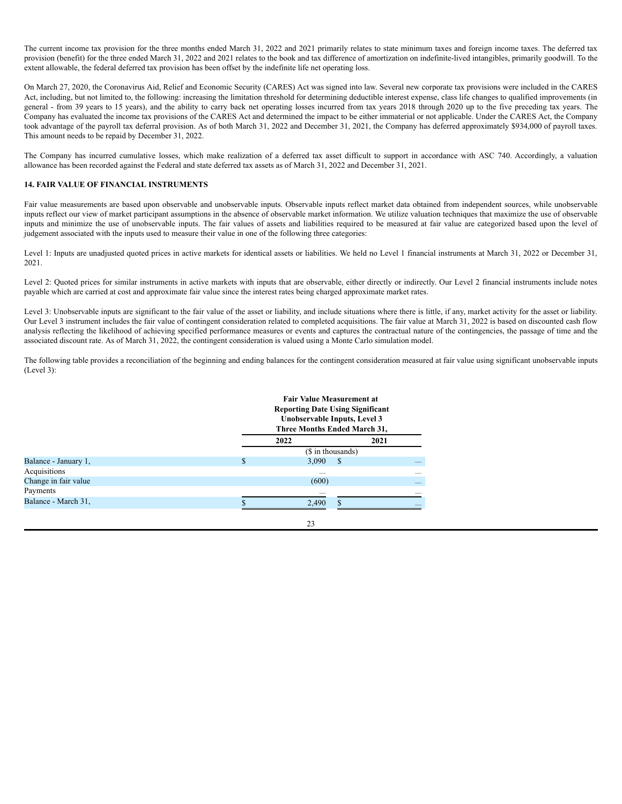The current income tax provision for the three months ended March 31, 2022 and 2021 primarily relates to state minimum taxes and foreign income taxes. The deferred tax provision (benefit) for the three ended March 31, 2022 and 2021 relates to the book and tax difference of amortization on indefinite-lived intangibles, primarily goodwill. To the extent allowable, the federal deferred tax provision has been offset by the indefinite life net operating loss.

On March 27, 2020, the Coronavirus Aid, Relief and Economic Security (CARES) Act was signed into law. Several new corporate tax provisions were included in the CARES Act, including, but not limited to, the following: increasing the limitation threshold for determining deductible interest expense, class life changes to qualified improvements (in general - from 39 years to 15 years), and the ability to carry back net operating losses incurred from tax years 2018 through 2020 up to the five preceding tax years. The Company has evaluated the income tax provisions of the CARES Act and determined the impact to be either immaterial or not applicable. Under the CARES Act, the Company took advantage of the payroll tax deferral provision. As of both March 31, 2022 and December 31, 2021, the Company has deferred approximately \$934,000 of payroll taxes. This amount needs to be repaid by December 31, 2022.

The Company has incurred cumulative losses, which make realization of a deferred tax asset difficult to support in accordance with ASC 740. Accordingly, a valuation allowance has been recorded against the Federal and state deferred tax assets as of March 31, 2022 and December 31, 2021.

## **14. FAIR VALUE OF FINANCIAL INSTRUMENTS**

Fair value measurements are based upon observable and unobservable inputs. Observable inputs reflect market data obtained from independent sources, while unobservable inputs reflect our view of market participant assumptions in the absence of observable market information. We utilize valuation techniques that maximize the use of observable inputs and minimize the use of unobservable inputs. The fair values of assets and liabilities required to be measured at fair value are categorized based upon the level of judgement associated with the inputs used to measure their value in one of the following three categories:

Level 1: Inputs are unadjusted quoted prices in active markets for identical assets or liabilities. We held no Level 1 financial instruments at March 31, 2022 or December 31, 2021.

Level 2: Quoted prices for similar instruments in active markets with inputs that are observable, either directly or indirectly. Our Level 2 financial instruments include notes payable which are carried at cost and approximate fair value since the interest rates being charged approximate market rates.

Level 3: Unobservable inputs are significant to the fair value of the asset or liability, and include situations where there is little, if any, market activity for the asset or liability. Our Level 3 instrument includes the fair value of contingent consideration related to completed acquisitions. The fair value at March 31, 2022 is based on discounted cash flow analysis reflecting the likelihood of achieving specified performance measures or events and captures the contractual nature of the contingencies, the passage of time and the associated discount rate. As of March 31, 2022, the contingent consideration is valued using a Monte Carlo simulation model.

The following table provides a reconciliation of the beginning and ending balances for the contingent consideration measured at fair value using significant unobservable inputs (Level 3):

|                      |   | <b>Fair Value Measurement at</b><br><b>Reporting Date Using Significant</b><br>Unobservable Inputs, Level 3<br>Three Months Ended March 31, |      |  |
|----------------------|---|---------------------------------------------------------------------------------------------------------------------------------------------|------|--|
|                      |   | 2022                                                                                                                                        | 2021 |  |
|                      |   | (\$ in thousands)                                                                                                                           |      |  |
| Balance - January 1, | S | 3,090<br><sup>\$</sup>                                                                                                                      |      |  |
| Acquisitions         |   |                                                                                                                                             |      |  |
| Change in fair value |   | (600)                                                                                                                                       |      |  |
| Payments             |   |                                                                                                                                             |      |  |
| Balance - March 31.  |   | 2.490<br>S                                                                                                                                  |      |  |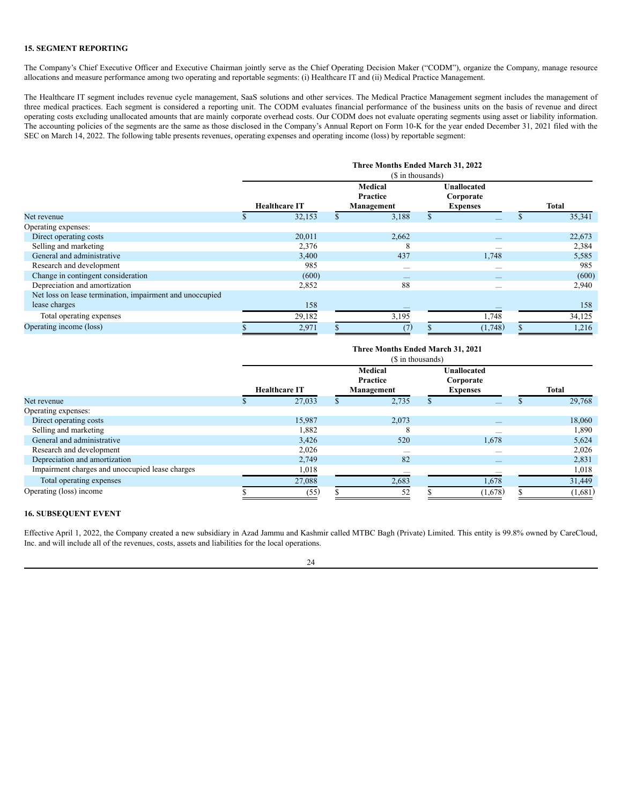#### **15. SEGMENT REPORTING**

The Company's Chief Executive Officer and Executive Chairman jointly serve as the Chief Operating Decision Maker ("CODM"), organize the Company, manage resource allocations and measure performance among two operating and reportable segments: (i) Healthcare IT and (ii) Medical Practice Management.

The Healthcare IT segment includes revenue cycle management, SaaS solutions and other services. The Medical Practice Management segment includes the management of three medical practices. Each segment is considered a reporting unit. The CODM evaluates financial performance of the business units on the basis of revenue and direct operating costs excluding unallocated amounts that are mainly corporate overhead costs. Our CODM does not evaluate operating segments using asset or liability information. The accounting policies of the segments are the same as those disclosed in the Company's Annual Report on Form 10-K for the year ended December 31, 2021 filed with the SEC on March 14, 2022. The following table presents revenues, operating expenses and operating income (loss) by reportable segment:

|                                                          | Three Months Ended March 31, 2022<br>(\$ in thousands) |                      |  |                                          |  |                                                    |  |        |  |
|----------------------------------------------------------|--------------------------------------------------------|----------------------|--|------------------------------------------|--|----------------------------------------------------|--|--------|--|
|                                                          |                                                        | <b>Healthcare IT</b> |  | <b>Medical</b><br>Practice<br>Management |  | <b>Unallocated</b><br>Corporate<br><b>Expenses</b> |  | Total  |  |
| Net revenue                                              |                                                        | 32,153               |  | 3,188                                    |  |                                                    |  | 35,341 |  |
| Operating expenses:                                      |                                                        |                      |  |                                          |  |                                                    |  |        |  |
| Direct operating costs                                   |                                                        | 20,011               |  | 2,662                                    |  |                                                    |  | 22,673 |  |
| Selling and marketing                                    |                                                        | 2,376                |  | 8                                        |  |                                                    |  | 2,384  |  |
| General and administrative                               |                                                        | 3,400                |  | 437                                      |  | 1,748                                              |  | 5,585  |  |
| Research and development                                 |                                                        | 985                  |  | -                                        |  | $\overline{\phantom{a}}$                           |  | 985    |  |
| Change in contingent consideration                       |                                                        | (600)                |  | __                                       |  |                                                    |  | (600)  |  |
| Depreciation and amortization                            |                                                        | 2,852                |  | 88                                       |  |                                                    |  | 2,940  |  |
| Net loss on lease termination, impairment and unoccupied |                                                        |                      |  |                                          |  |                                                    |  |        |  |
| lease charges                                            |                                                        | 158                  |  |                                          |  |                                                    |  | 158    |  |
| Total operating expenses                                 |                                                        | 29,182               |  | 3,195                                    |  | 1,748                                              |  | 34,125 |  |
| Operating income (loss)                                  |                                                        | 2,971                |  | (7)                                      |  | (1,748)                                            |  | 1,216  |  |

|                                                 | Three Months Ended March 31, 2021<br>(\$ in thousands) |                      |  |                                          |  |                                                    |  |         |  |  |
|-------------------------------------------------|--------------------------------------------------------|----------------------|--|------------------------------------------|--|----------------------------------------------------|--|---------|--|--|
|                                                 |                                                        | <b>Healthcare IT</b> |  | <b>Medical</b><br>Practice<br>Management |  | <b>Unallocated</b><br>Corporate<br><b>Expenses</b> |  | Total   |  |  |
| Net revenue                                     |                                                        | 27,033               |  | 2,735                                    |  |                                                    |  | 29,768  |  |  |
| Operating expenses:                             |                                                        |                      |  |                                          |  |                                                    |  |         |  |  |
| Direct operating costs                          |                                                        | 15,987               |  | 2,073                                    |  |                                                    |  | 18,060  |  |  |
| Selling and marketing                           |                                                        | 1,882                |  | Ō                                        |  |                                                    |  | 1,890   |  |  |
| General and administrative                      |                                                        | 3,426                |  | 520                                      |  | 1,678                                              |  | 5,624   |  |  |
| Research and development                        |                                                        | 2,026                |  | _                                        |  | _                                                  |  | 2,026   |  |  |
| Depreciation and amortization                   |                                                        | 2,749                |  | 82                                       |  | --                                                 |  | 2,831   |  |  |
| Impairment charges and unoccupied lease charges |                                                        | 1,018                |  |                                          |  |                                                    |  | 1,018   |  |  |
| Total operating expenses                        |                                                        | 27,088               |  | 2,683                                    |  | 1,678                                              |  | 31,449  |  |  |
| Operating (loss) income                         |                                                        | (55)                 |  | 52                                       |  | (1,678)                                            |  | (1,681) |  |  |

# **16. SUBSEQUENT EVENT**

Effective April 1, 2022, the Company created a new subsidiary in Azad Jammu and Kashmir called MTBC Bagh (Private) Limited. This entity is 99.8% owned by CareCloud, Inc. and will include all of the revenues, costs, assets and liabilities for the local operations.

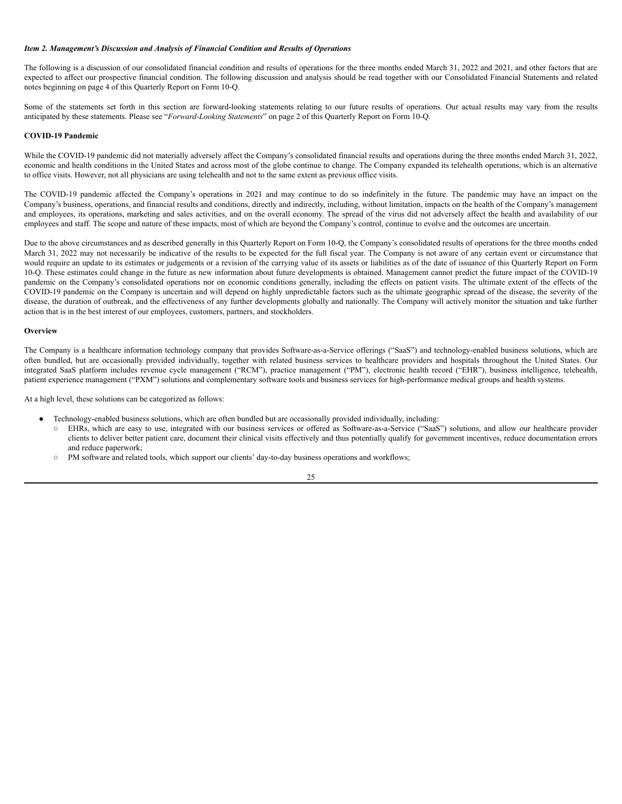#### <span id="page-25-0"></span>*Item 2. Management's Discussion and Analysis of Financial Condition and Results of Operations*

The following is a discussion of our consolidated financial condition and results of operations for the three months ended March 31, 2022 and 2021, and other factors that are expected to affect our prospective financial condition. The following discussion and analysis should be read together with our Consolidated Financial Statements and related notes beginning on page 4 of this Quarterly Report on Form 10-Q.

Some of the statements set forth in this section are forward-looking statements relating to our future results of operations. Our actual results may vary from the results anticipated by these statements. Please see "*Forward-Looking Statements*" on page 2 of this Quarterly Report on Form 10-Q.

#### **COVID-19 Pandemic**

While the COVID-19 pandemic did not materially adversely affect the Company's consolidated financial results and operations during the three months ended March 31, 2022, economic and health conditions in the United States and across most of the globe continue to change. The Company expanded its telehealth operations, which is an alternative to office visits. However, not all physicians are using telehealth and not to the same extent as previous office visits.

The COVID-19 pandemic affected the Company's operations in 2021 and may continue to do so indefinitely in the future. The pandemic may have an impact on the Company's business, operations, and financial results and conditions, directly and indirectly, including, without limitation, impacts on the health of the Company's management and employees, its operations, marketing and sales activities, and on the overall economy. The spread of the virus did not adversely affect the health and availability of our employees and staff. The scope and nature of these impacts, most of which are beyond the Company's control, continue to evolve and the outcomes are uncertain.

Due to the above circumstances and as described generally in this Quarterly Report on Form 10-Q, the Company's consolidated results of operations for the three months ended March 31, 2022 may not necessarily be indicative of the results to be expected for the full fiscal year. The Company is not aware of any certain event or circumstance that would require an update to its estimates or judgements or a revision of the carrying value of its assets or liabilities as of the date of issuance of this Quarterly Report on Form 10-Q. These estimates could change in the future as new information about future developments is obtained. Management cannot predict the future impact of the COVID-19 pandemic on the Company's consolidated operations nor on economic conditions generally, including the effects on patient visits. The ultimate extent of the effects of the COVID-19 pandemic on the Company is uncertain and will depend on highly unpredictable factors such as the ultimate geographic spread of the disease, the severity of the disease, the duration of outbreak, and the effectiveness of any further developments globally and nationally. The Company will actively monitor the situation and take further action that is in the best interest of our employees, customers, partners, and stockholders.

#### **Overview**

The Company is a healthcare information technology company that provides Software-as-a-Service offerings ("SaaS") and technology-enabled business solutions, which are often bundled, but are occasionally provided individually, together with related business services to healthcare providers and hospitals throughout the United States. Our integrated SaaS platform includes revenue cycle management ("RCM"), practice management ("PM"), electronic health record ("EHR"), business intelligence, telehealth, patient experience management ("PXM") solutions and complementary software tools and business services for high-performance medical groups and health systems.

At a high level, these solutions can be categorized as follows:

- Technology-enabled business solutions, which are often bundled but are occasionally provided individually, including:
	- EHRs, which are easy to use, integrated with our business services or offered as Software-as-a-Service ("SaaS") solutions, and allow our healthcare provider clients to deliver better patient care, document their clinical visits effectively and thus potentially qualify for government incentives, reduce documentation errors and reduce paperwork;
	- PM software and related tools, which support our clients' day-to-day business operations and workflows;

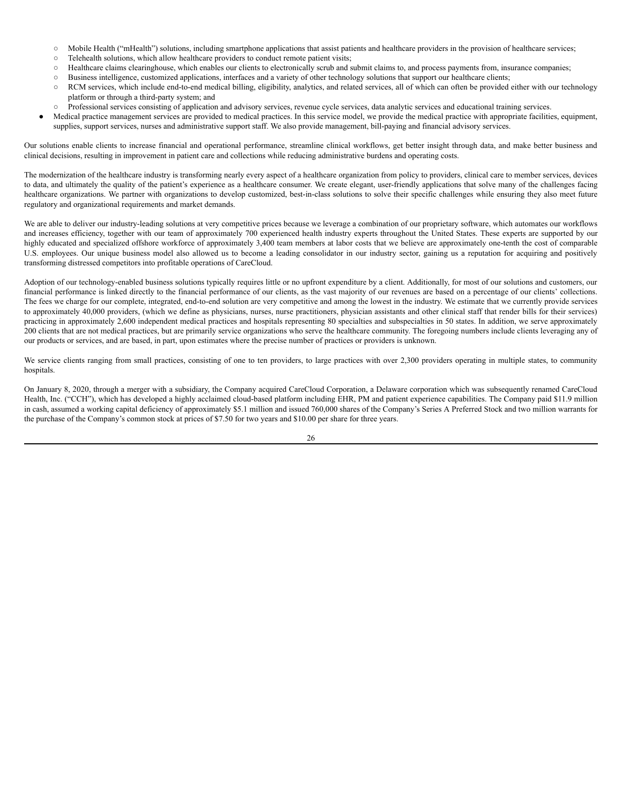- Mobile Health ("mHealth") solutions, including smartphone applications that assist patients and healthcare providers in the provision of healthcare services;
- Telehealth solutions, which allow healthcare providers to conduct remote patient visits;
- Healthcare claims clearinghouse, which enables our clients to electronically scrub and submit claims to, and process payments from, insurance companies;
- Business intelligence, customized applications, interfaces and a variety of other technology solutions that support our healthcare clients;
- RCM services, which include end-to-end medical billing, eligibility, analytics, and related services, all of which can often be provided either with our technology platform or through a third-party system; and
- Professional services consisting of application and advisory services, revenue cycle services, data analytic services and educational training services.
- Medical practice management services are provided to medical practices. In this service model, we provide the medical practice with appropriate facilities, equipment, supplies, support services, nurses and administrative support staff. We also provide management, bill-paying and financial advisory services.

Our solutions enable clients to increase financial and operational performance, streamline clinical workflows, get better insight through data, and make better business and clinical decisions, resulting in improvement in patient care and collections while reducing administrative burdens and operating costs.

The modernization of the healthcare industry is transforming nearly every aspect of a healthcare organization from policy to providers, clinical care to member services, devices to data, and ultimately the quality of the patient's experience as a healthcare consumer. We create elegant, user-friendly applications that solve many of the challenges facing healthcare organizations. We partner with organizations to develop customized, best-in-class solutions to solve their specific challenges while ensuring they also meet future regulatory and organizational requirements and market demands.

We are able to deliver our industry-leading solutions at very competitive prices because we leverage a combination of our proprietary software, which automates our workflows and increases efficiency, together with our team of approximately 700 experienced health industry experts throughout the United States. These experts are supported by our highly educated and specialized offshore workforce of approximately 3,400 team members at labor costs that we believe are approximately one-tenth the cost of comparable U.S. employees. Our unique business model also allowed us to become a leading consolidator in our industry sector, gaining us a reputation for acquiring and positively transforming distressed competitors into profitable operations of CareCloud.

Adoption of our technology-enabled business solutions typically requires little or no upfront expenditure by a client. Additionally, for most of our solutions and customers, our financial performance is linked directly to the financial performance of our clients, as the vast majority of our revenues are based on a percentage of our clients' collections. The fees we charge for our complete, integrated, end-to-end solution are very competitive and among the lowest in the industry. We estimate that we currently provide services to approximately 40,000 providers, (which we define as physicians, nurses, nurse practitioners, physician assistants and other clinical staff that render bills for their services) practicing in approximately 2,600 independent medical practices and hospitals representing 80 specialties and subspecialties in 50 states. In addition, we serve approximately 200 clients that are not medical practices, but are primarily service organizations who serve the healthcare community. The foregoing numbers include clients leveraging any of our products or services, and are based, in part, upon estimates where the precise number of practices or providers is unknown.

We service clients ranging from small practices, consisting of one to ten providers, to large practices with over 2,300 providers operating in multiple states, to community hospitals.

On January 8, 2020, through a merger with a subsidiary, the Company acquired CareCloud Corporation, a Delaware corporation which was subsequently renamed CareCloud Health, Inc. ("CCH"), which has developed a highly acclaimed cloud-based platform including EHR, PM and patient experience capabilities. The Company paid \$11.9 million in cash, assumed a working capital deficiency of approximately \$5.1 million and issued 760,000 shares of the Company's Series A Preferred Stock and two million warrants for the purchase of the Company's common stock at prices of \$7.50 for two years and \$10.00 per share for three years.

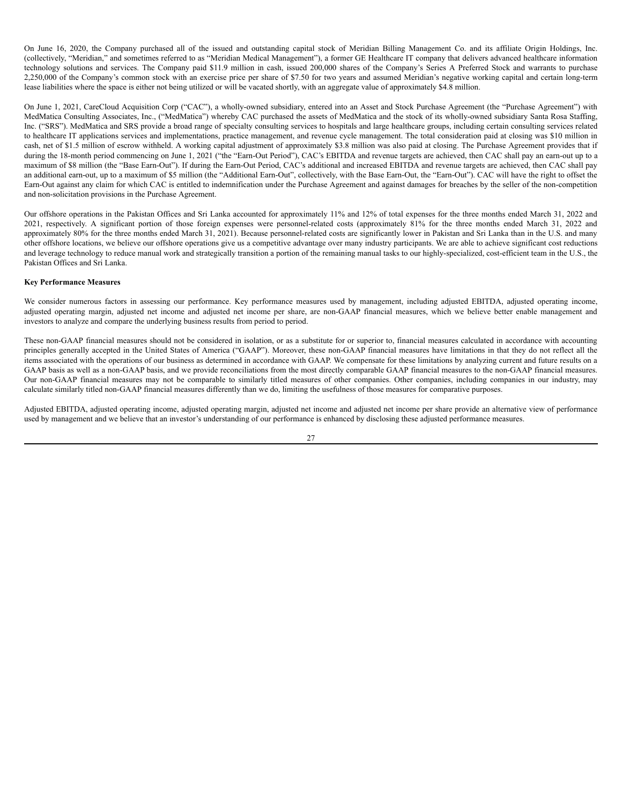On June 16, 2020, the Company purchased all of the issued and outstanding capital stock of Meridian Billing Management Co. and its affiliate Origin Holdings, Inc. (collectively, "Meridian," and sometimes referred to as "Meridian Medical Management"), a former GE Healthcare IT company that delivers advanced healthcare information technology solutions and services. The Company paid \$11.9 million in cash, issued 200,000 shares of the Company's Series A Preferred Stock and warrants to purchase 2,250,000 of the Company's common stock with an exercise price per share of \$7.50 for two years and assumed Meridian's negative working capital and certain long-term lease liabilities where the space is either not being utilized or will be vacated shortly, with an aggregate value of approximately \$4.8 million.

On June 1, 2021, CareCloud Acquisition Corp ("CAC"), a wholly-owned subsidiary, entered into an Asset and Stock Purchase Agreement (the "Purchase Agreement") with MedMatica Consulting Associates, Inc., ("MedMatica") whereby CAC purchased the assets of MedMatica and the stock of its wholly-owned subsidiary Santa Rosa Staffing, Inc. ("SRS"). MedMatica and SRS provide a broad range of specialty consulting services to hospitals and large healthcare groups, including certain consulting services related to healthcare IT applications services and implementations, practice management, and revenue cycle management. The total consideration paid at closing was \$10 million in cash, net of \$1.5 million of escrow withheld. A working capital adjustment of approximately \$3.8 million was also paid at closing. The Purchase Agreement provides that if during the 18-month period commencing on June 1, 2021 ("the "Earn-Out Period"), CAC's EBITDA and revenue targets are achieved, then CAC shall pay an earn-out up to a maximum of \$8 million (the "Base Earn-Out"). If during the Earn-Out Period, CAC's additional and increased EBITDA and revenue targets are achieved, then CAC shall pay an additional earn-out, up to a maximum of \$5 million (the "Additional Earn-Out", collectively, with the Base Earn-Out, the "Earn-Out"). CAC will have the right to offset the Earn-Out against any claim for which CAC is entitled to indemnification under the Purchase Agreement and against damages for breaches by the seller of the non-competition and non-solicitation provisions in the Purchase Agreement.

Our offshore operations in the Pakistan Offices and Sri Lanka accounted for approximately 11% and 12% of total expenses for the three months ended March 31, 2022 and 2021, respectively. A significant portion of those foreign expenses were personnel-related costs (approximately 81% for the three months ended March 31, 2022 and approximately 80% for the three months ended March 31, 2021). Because personnel-related costs are significantly lower in Pakistan and Sri Lanka than in the U.S. and many other offshore locations, we believe our offshore operations give us a competitive advantage over many industry participants. We are able to achieve significant cost reductions and leverage technology to reduce manual work and strategically transition a portion of the remaining manual tasks to our highly-specialized, cost-efficient team in the U.S., the Pakistan Offices and Sri Lanka.

#### **Key Performance Measures**

We consider numerous factors in assessing our performance. Key performance measures used by management, including adjusted EBITDA, adjusted operating income, adjusted operating margin, adjusted net income and adjusted net income per share, are non-GAAP financial measures, which we believe better enable management and investors to analyze and compare the underlying business results from period to period.

These non-GAAP financial measures should not be considered in isolation, or as a substitute for or superior to, financial measures calculated in accordance with accounting principles generally accepted in the United States of America ("GAAP"). Moreover, these non-GAAP financial measures have limitations in that they do not reflect all the items associated with the operations of our business as determined in accordance with GAAP. We compensate for these limitations by analyzing current and future results on a GAAP basis as well as a non-GAAP basis, and we provide reconciliations from the most directly comparable GAAP financial measures to the non-GAAP financial measures. Our non-GAAP financial measures may not be comparable to similarly titled measures of other companies. Other companies, including companies in our industry, may calculate similarly titled non-GAAP financial measures differently than we do, limiting the usefulness of those measures for comparative purposes.

Adjusted EBITDA, adjusted operating income, adjusted operating margin, adjusted net income and adjusted net income per share provide an alternative view of performance used by management and we believe that an investor's understanding of our performance is enhanced by disclosing these adjusted performance measures.

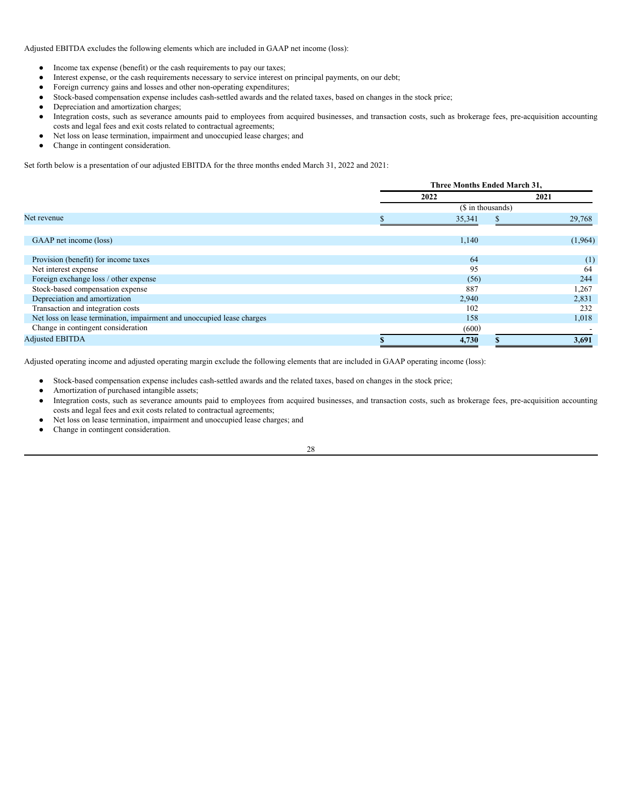Adjusted EBITDA excludes the following elements which are included in GAAP net income (loss):

- Income tax expense (benefit) or the cash requirements to pay our taxes;
- Interest expense, or the cash requirements necessary to service interest on principal payments, on our debt;
- Foreign currency gains and losses and other non-operating expenditures;
- Stock-based compensation expense includes cash-settled awards and the related taxes, based on changes in the stock price;
- Depreciation and amortization charges;
- Integration costs, such as severance amounts paid to employees from acquired businesses, and transaction costs, such as brokerage fees, pre-acquisition accounting costs and legal fees and exit costs related to contractual agreements;
- Net loss on lease termination, impairment and unoccupied lease charges; and
- Change in contingent consideration.

Set forth below is a presentation of our adjusted EBITDA for the three months ended March 31, 2022 and 2021:

|                                                                        |  | Three Months Ended March 31, |      |         |  |
|------------------------------------------------------------------------|--|------------------------------|------|---------|--|
|                                                                        |  | 2022                         | 2021 |         |  |
|                                                                        |  | (\$ in thousands)            |      |         |  |
| Net revenue                                                            |  | 35,341                       |      | 29,768  |  |
|                                                                        |  |                              |      |         |  |
| GAAP net income (loss)                                                 |  | 1,140                        |      | (1,964) |  |
|                                                                        |  |                              |      |         |  |
| Provision (benefit) for income taxes                                   |  | 64                           |      | (1)     |  |
| Net interest expense                                                   |  | 95                           |      | 64      |  |
| Foreign exchange loss / other expense                                  |  | (56)                         |      | 244     |  |
| Stock-based compensation expense                                       |  | 887                          |      | 1,267   |  |
| Depreciation and amortization                                          |  | 2,940                        |      | 2,831   |  |
| Transaction and integration costs                                      |  | 102                          |      | 232     |  |
| Net loss on lease termination, impairment and unoccupied lease charges |  | 158                          |      | 1,018   |  |
| Change in contingent consideration                                     |  | (600)                        |      |         |  |
| <b>Adjusted EBITDA</b>                                                 |  | 4,730                        |      | 3,691   |  |

Adjusted operating income and adjusted operating margin exclude the following elements that are included in GAAP operating income (loss):

- Stock-based compensation expense includes cash-settled awards and the related taxes, based on changes in the stock price;
- Amortization of purchased intangible assets;
- Integration costs, such as severance amounts paid to employees from acquired businesses, and transaction costs, such as brokerage fees, pre-acquisition accounting costs and legal fees and exit costs related to contractual agreements;
- Net loss on lease termination, impairment and unoccupied lease charges; and
- Change in contingent consideration.

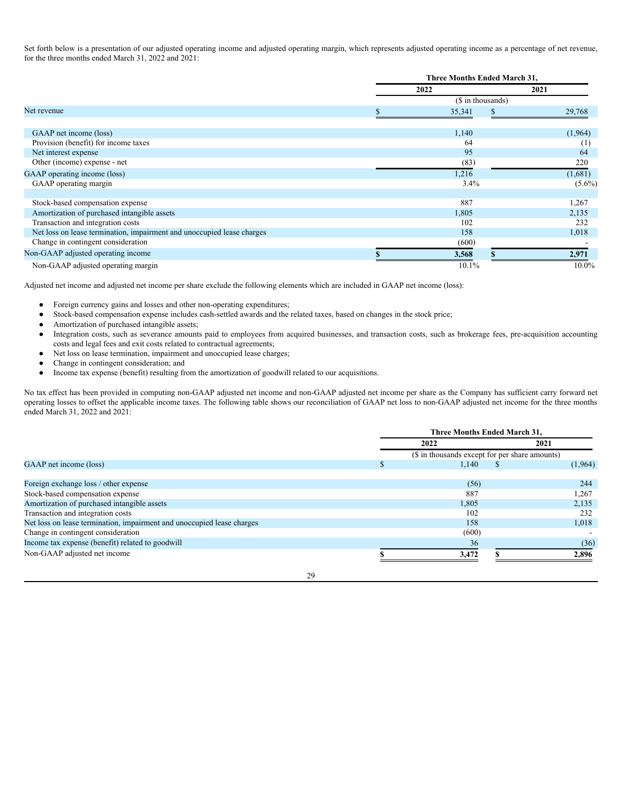Set forth below is a presentation of our adjusted operating income and adjusted operating margin, which represents adjusted operating income as a percentage of net revenue, for the three months ended March 31, 2022 and 2021:

|                                                                        | Three Months Ended March 31, |                   |           |  |  |  |
|------------------------------------------------------------------------|------------------------------|-------------------|-----------|--|--|--|
|                                                                        |                              | 2022              | 2021      |  |  |  |
|                                                                        |                              | (\$ in thousands) |           |  |  |  |
| Net revenue                                                            |                              | 35,341<br>ж       | 29,768    |  |  |  |
|                                                                        |                              |                   |           |  |  |  |
| GAAP net income (loss)                                                 |                              | 1,140             | (1,964)   |  |  |  |
| Provision (benefit) for income taxes                                   |                              | 64                | (1)       |  |  |  |
| Net interest expense                                                   |                              | 95                | 64        |  |  |  |
| Other (income) expense - net                                           |                              | (83)              | 220       |  |  |  |
| GAAP operating income (loss)                                           |                              | 1,216             | (1,681)   |  |  |  |
| GAAP operating margin                                                  |                              | 3.4%              | $(5.6\%)$ |  |  |  |
|                                                                        |                              |                   |           |  |  |  |
| Stock-based compensation expense                                       |                              | 887               | 1,267     |  |  |  |
| Amortization of purchased intangible assets                            |                              | 1,805             | 2,135     |  |  |  |
| Transaction and integration costs                                      |                              | 102               | 232       |  |  |  |
| Net loss on lease termination, impairment and unoccupied lease charges |                              | 158               | 1,018     |  |  |  |
| Change in contingent consideration                                     |                              | (600)             |           |  |  |  |
| Non-GAAP adjusted operating income                                     |                              | 3,568             | 2,971     |  |  |  |
| Non-GAAP adjusted operating margin                                     |                              | 10.1%             | 10.0%     |  |  |  |

Adjusted net income and adjusted net income per share exclude the following elements which are included in GAAP net income (loss):

- Foreign currency gains and losses and other non-operating expenditures;
- Stock-based compensation expense includes cash-settled awards and the related taxes, based on changes in the stock price;
- Amortization of purchased intangible assets;
- Integration costs, such as severance amounts paid to employees from acquired businesses, and transaction costs, such as brokerage fees, pre-acquisition accounting costs and legal fees and exit costs related to contractual agreements;
- Net loss on lease termination, impairment and unoccupied lease charges;
- Change in contingent consideration; and
- Income tax expense (benefit) resulting from the amortization of goodwill related to our acquisitions.

No tax effect has been provided in computing non-GAAP adjusted net income and non-GAAP adjusted net income per share as the Company has sufficient carry forward net operating losses to offset the applicable income taxes. The following table shows our reconciliation of GAAP net loss to non-GAAP adjusted net income for the three months ended March 31, 2022 and 2021:

|                                                                        | <b>Three Months Ended March 31,</b>            |         |
|------------------------------------------------------------------------|------------------------------------------------|---------|
|                                                                        | 2022                                           | 2021    |
|                                                                        | (\$ in thousands except for per share amounts) |         |
| GAAP net income (loss)                                                 | 1,140                                          | (1,964) |
|                                                                        |                                                |         |
| Foreign exchange loss / other expense                                  | (56)                                           | 244     |
| Stock-based compensation expense                                       | 887                                            | 1,267   |
| Amortization of purchased intangible assets                            | 1,805                                          | 2,135   |
| Transaction and integration costs                                      | 102                                            | 232     |
| Net loss on lease termination, impairment and unoccupied lease charges | 158                                            | 1,018   |
| Change in contingent consideration                                     | (600)                                          |         |
| Income tax expense (benefit) related to goodwill                       | 36                                             | (36)    |
| Non-GAAP adjusted net income                                           | 3,472                                          | 2,896   |
|                                                                        |                                                |         |

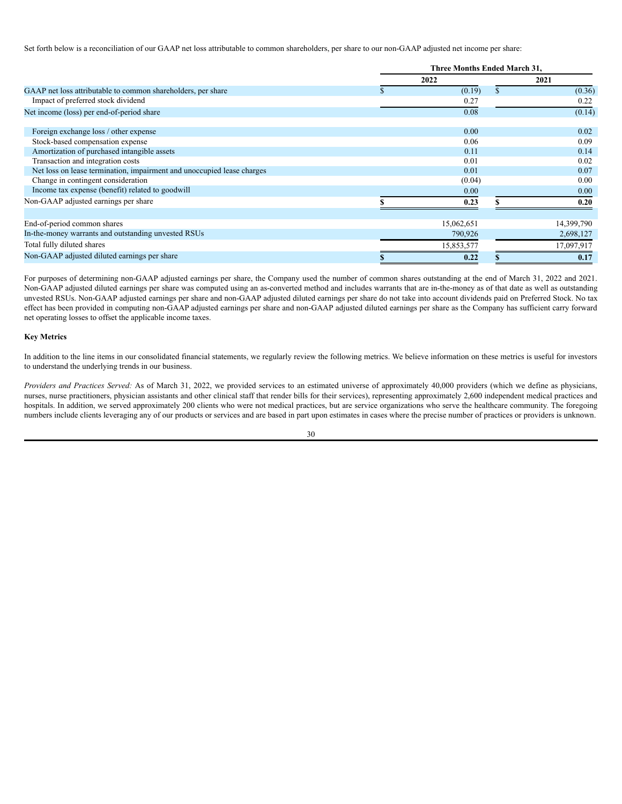Set forth below is a reconciliation of our GAAP net loss attributable to common shareholders, per share to our non-GAAP adjusted net income per share:

|                                                                        | <b>Three Months Ended March 31.</b> |            |              |            |  |
|------------------------------------------------------------------------|-------------------------------------|------------|--------------|------------|--|
|                                                                        |                                     | 2022       |              | 2021       |  |
| GAAP net loss attributable to common shareholders, per share           |                                     | (0.19)     | $\mathbf{s}$ | (0.36)     |  |
| Impact of preferred stock dividend                                     |                                     | 0.27       |              | 0.22       |  |
| Net income (loss) per end-of-period share                              |                                     | 0.08       |              | (0.14)     |  |
| Foreign exchange loss / other expense                                  |                                     | 0.00       |              | 0.02       |  |
| Stock-based compensation expense                                       |                                     | 0.06       |              | 0.09       |  |
| Amortization of purchased intangible assets                            |                                     | 0.11       |              | 0.14       |  |
| Transaction and integration costs                                      |                                     | 0.01       |              | 0.02       |  |
| Net loss on lease termination, impairment and unoccupied lease charges |                                     | 0.01       |              | 0.07       |  |
| Change in contingent consideration                                     |                                     | (0.04)     |              | 0.00       |  |
| Income tax expense (benefit) related to goodwill                       |                                     | 0.00       |              | 0.00       |  |
| Non-GAAP adjusted earnings per share                                   |                                     | 0.23       |              | 0.20       |  |
| End-of-period common shares                                            |                                     | 15,062,651 |              | 14,399,790 |  |
| In-the-money warrants and outstanding unvested RSUs                    |                                     | 790,926    |              | 2,698,127  |  |
| Total fully diluted shares                                             |                                     | 15,853,577 |              | 17,097,917 |  |
| Non-GAAP adjusted diluted earnings per share                           |                                     | 0.22       |              | 0.17       |  |

For purposes of determining non-GAAP adjusted earnings per share, the Company used the number of common shares outstanding at the end of March 31, 2022 and 2021. Non-GAAP adjusted diluted earnings per share was computed using an as-converted method and includes warrants that are in-the-money as of that date as well as outstanding unvested RSUs. Non-GAAP adjusted earnings per share and non-GAAP adjusted diluted earnings per share do not take into account dividends paid on Preferred Stock. No tax effect has been provided in computing non-GAAP adjusted earnings per share and non-GAAP adjusted diluted earnings per share as the Company has sufficient carry forward net operating losses to offset the applicable income taxes.

#### **Key Metrics**

In addition to the line items in our consolidated financial statements, we regularly review the following metrics. We believe information on these metrics is useful for investors to understand the underlying trends in our business.

*Providers and Practices Served:* As of March 31, 2022, we provided services to an estimated universe of approximately 40,000 providers (which we define as physicians, nurses, nurse practitioners, physician assistants and other clinical staff that render bills for their services), representing approximately 2,600 independent medical practices and hospitals. In addition, we served approximately 200 clients who were not medical practices, but are service organizations who serve the healthcare community. The foregoing numbers include clients leveraging any of our products or services and are based in part upon estimates in cases where the precise number of practices or providers is unknown.

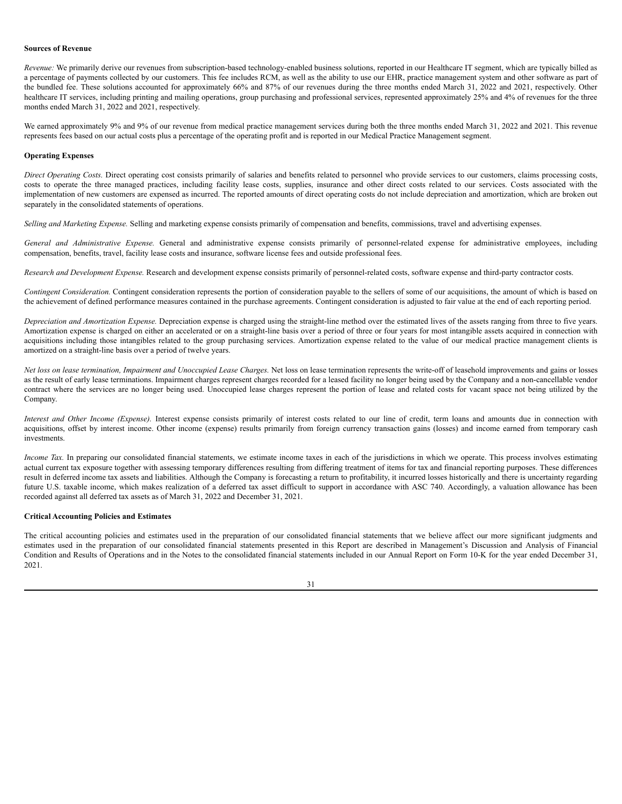#### **Sources of Revenue**

*Revenue:* We primarily derive our revenues from subscription-based technology-enabled business solutions, reported in our Healthcare IT segment, which are typically billed as a percentage of payments collected by our customers. This fee includes RCM, as well as the ability to use our EHR, practice management system and other software as part of the bundled fee. These solutions accounted for approximately 66% and 87% of our revenues during the three months ended March 31, 2022 and 2021, respectively. Other healthcare IT services, including printing and mailing operations, group purchasing and professional services, represented approximately 25% and 4% of revenues for the three months ended March 31, 2022 and 2021, respectively.

We earned approximately 9% and 9% of our revenue from medical practice management services during both the three months ended March 31, 2022 and 2021. This revenue represents fees based on our actual costs plus a percentage of the operating profit and is reported in our Medical Practice Management segment.

# **Operating Expenses**

*Direct Operating Costs.* Direct operating cost consists primarily of salaries and benefits related to personnel who provide services to our customers, claims processing costs, costs to operate the three managed practices, including facility lease costs, supplies, insurance and other direct costs related to our services. Costs associated with the implementation of new customers are expensed as incurred. The reported amounts of direct operating costs do not include depreciation and amortization, which are broken out separately in the consolidated statements of operations.

*Selling and Marketing Expense.* Selling and marketing expense consists primarily of compensation and benefits, commissions, travel and advertising expenses.

*General and Administrative Expense.* General and administrative expense consists primarily of personnel-related expense for administrative employees, including compensation, benefits, travel, facility lease costs and insurance, software license fees and outside professional fees.

*Research and Development Expense.* Research and development expense consists primarily of personnel-related costs, software expense and third-party contractor costs.

*Contingent Consideration.* Contingent consideration represents the portion of consideration payable to the sellers of some of our acquisitions, the amount of which is based on the achievement of defined performance measures contained in the purchase agreements. Contingent consideration is adjusted to fair value at the end of each reporting period.

*Depreciation and Amortization Expense.* Depreciation expense is charged using the straight-line method over the estimated lives of the assets ranging from three to five years. Amortization expense is charged on either an accelerated or on a straight-line basis over a period of three or four years for most intangible assets acquired in connection with acquisitions including those intangibles related to the group purchasing services. Amortization expense related to the value of our medical practice management clients is amortized on a straight-line basis over a period of twelve years.

Net loss on lease termination, Impairment and Unoccupied Lease Charges. Net loss on lease termination represents the write-off of leasehold improvements and gains or losses as the result of early lease terminations. Impairment charges represent charges recorded for a leased facility no longer being used by the Company and a non-cancellable vendor contract where the services are no longer being used. Unoccupied lease charges represent the portion of lease and related costs for vacant space not being utilized by the Company.

*Interest and Other Income (Expense).* Interest expense consists primarily of interest costs related to our line of credit, term loans and amounts due in connection with acquisitions, offset by interest income. Other income (expense) results primarily from foreign currency transaction gains (losses) and income earned from temporary cash investments.

*Income Tax*. In preparing our consolidated financial statements, we estimate income taxes in each of the jurisdictions in which we operate. This process involves estimating actual current tax exposure together with assessing temporary differences resulting from differing treatment of items for tax and financial reporting purposes. These differences result in deferred income tax assets and liabilities. Although the Company is forecasting a return to profitability, it incurred losses historically and there is uncertainty regarding future U.S. taxable income, which makes realization of a deferred tax asset difficult to support in accordance with ASC 740. Accordingly, a valuation allowance has been recorded against all deferred tax assets as of March 31, 2022 and December 31, 2021.

#### **Critical Accounting Policies and Estimates**

The critical accounting policies and estimates used in the preparation of our consolidated financial statements that we believe affect our more significant judgments and estimates used in the preparation of our consolidated financial statements presented in this Report are described in Management's Discussion and Analysis of Financial Condition and Results of Operations and in the Notes to the consolidated financial statements included in our Annual Report on Form 10-K for the year ended December 31, 2021.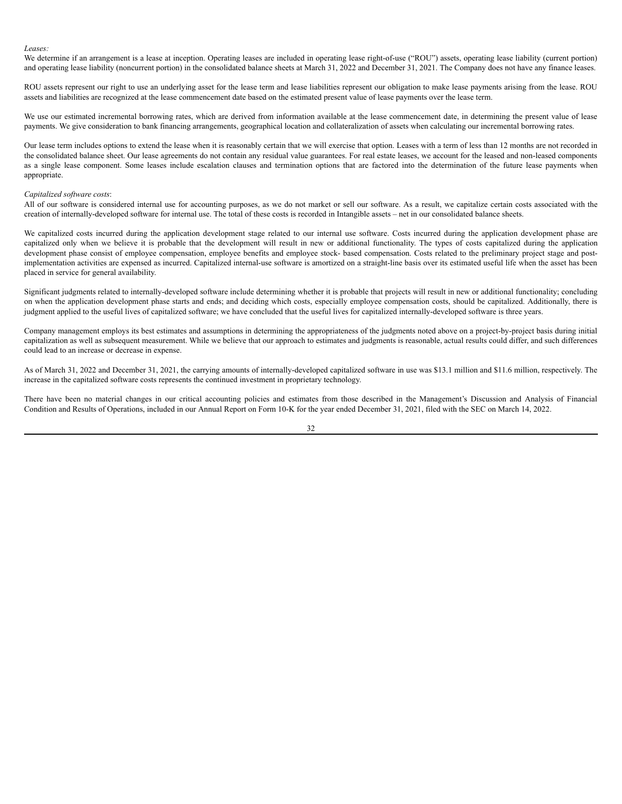#### *Leases:*

We determine if an arrangement is a lease at inception. Operating leases are included in operating lease right-of-use ("ROU") assets, operating lease liability (current portion) and operating lease liability (noncurrent portion) in the consolidated balance sheets at March 31, 2022 and December 31, 2021. The Company does not have any finance leases.

ROU assets represent our right to use an underlying asset for the lease term and lease liabilities represent our obligation to make lease payments arising from the lease. ROU assets and liabilities are recognized at the lease commencement date based on the estimated present value of lease payments over the lease term.

We use our estimated incremental borrowing rates, which are derived from information available at the lease commencement date, in determining the present value of lease payments. We give consideration to bank financing arrangements, geographical location and collateralization of assets when calculating our incremental borrowing rates.

Our lease term includes options to extend the lease when it is reasonably certain that we will exercise that option. Leases with a term of less than 12 months are not recorded in the consolidated balance sheet. Our lease agreements do not contain any residual value guarantees. For real estate leases, we account for the leased and non-leased components as a single lease component. Some leases include escalation clauses and termination options that are factored into the determination of the future lease payments when appropriate.

#### *Capitalized software costs*:

All of our software is considered internal use for accounting purposes, as we do not market or sell our software. As a result, we capitalize certain costs associated with the creation of internally-developed software for internal use. The total of these costs is recorded in Intangible assets – net in our consolidated balance sheets.

We capitalized costs incurred during the application development stage related to our internal use software. Costs incurred during the application development phase are capitalized only when we believe it is probable that the development will result in new or additional functionality. The types of costs capitalized during the application development phase consist of employee compensation, employee benefits and employee stock- based compensation. Costs related to the preliminary project stage and postimplementation activities are expensed as incurred. Capitalized internal-use software is amortized on a straight-line basis over its estimated useful life when the asset has been placed in service for general availability.

Significant judgments related to internally-developed software include determining whether it is probable that projects will result in new or additional functionality; concluding on when the application development phase starts and ends; and deciding which costs, especially employee compensation costs, should be capitalized. Additionally, there is judgment applied to the useful lives of capitalized software; we have concluded that the useful lives for capitalized internally-developed software is three years.

Company management employs its best estimates and assumptions in determining the appropriateness of the judgments noted above on a project-by-project basis during initial capitalization as well as subsequent measurement. While we believe that our approach to estimates and judgments is reasonable, actual results could differ, and such differences could lead to an increase or decrease in expense.

As of March 31, 2022 and December 31, 2021, the carrying amounts of internally-developed capitalized software in use was \$13.1 million and \$11.6 million, respectively. The increase in the capitalized software costs represents the continued investment in proprietary technology.

There have been no material changes in our critical accounting policies and estimates from those described in the Management's Discussion and Analysis of Financial Condition and Results of Operations, included in our Annual Report on Form 10-K for the year ended December 31, 2021, filed with the SEC on March 14, 2022.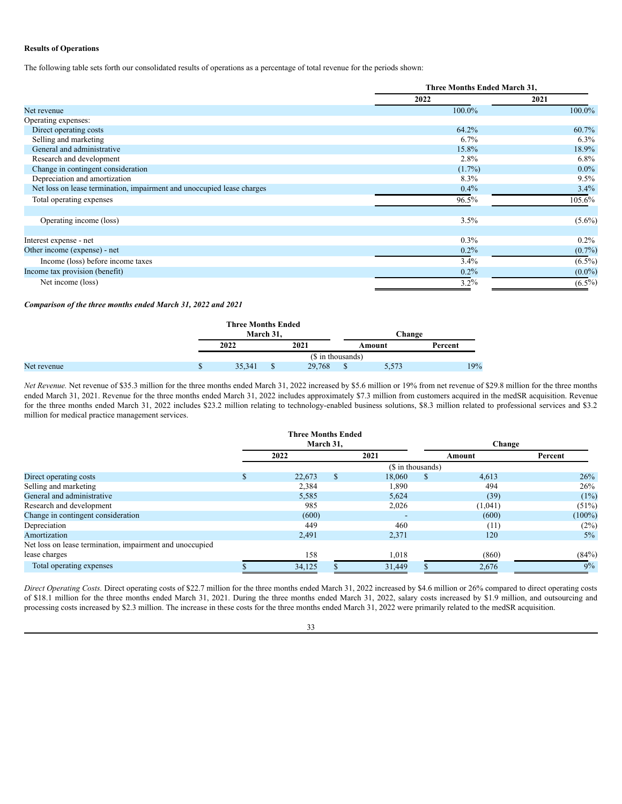# **Results of Operations**

The following table sets forth our consolidated results of operations as a percentage of total revenue for the periods shown:

|                                                                        | <b>Three Months Ended March 31,</b> |           |
|------------------------------------------------------------------------|-------------------------------------|-----------|
|                                                                        | 2022                                | 2021      |
| Net revenue                                                            | 100.0%                              | 100.0%    |
| Operating expenses:                                                    |                                     |           |
| Direct operating costs                                                 | 64.2%                               | 60.7%     |
| Selling and marketing                                                  | $6.7\%$                             | $6.3\%$   |
| General and administrative                                             | 15.8%                               | 18.9%     |
| Research and development                                               | 2.8%                                | $6.8\%$   |
| Change in contingent consideration                                     | $(1.7\%)$                           | $0.0\%$   |
| Depreciation and amortization                                          | $8.3\%$                             | 9.5%      |
| Net loss on lease termination, impairment and unoccupied lease charges | $0.4\%$                             | $3.4\%$   |
| Total operating expenses                                               | 96.5%                               | 105.6%    |
| Operating income (loss)                                                | 3.5%                                | $(5.6\%)$ |
| Interest expense - net                                                 | $0.3\%$                             | $0.2\%$   |
| Other income (expense) - net                                           | $0.2\%$                             | $(0.7\%)$ |
| Income (loss) before income taxes                                      | 3.4%                                | $(6.5\%)$ |
| Income tax provision (benefit)                                         | $0.2\%$                             | $(0.0\%)$ |
| Net income (loss)                                                      | $3.2\%$                             | $(6.5\%)$ |

# *Comparison of the three months ended March 31, 2022 and 2021*

|             | <b>Three Months Ended</b> | March 31. |                   |                  | Change  |     |  |
|-------------|---------------------------|-----------|-------------------|------------------|---------|-----|--|
|             | 2022                      |           | 2021<br>Amount    |                  | Percent |     |  |
|             |                           |           | (\$ in thousands) |                  |         |     |  |
| Net revenue | 35,341                    |           | 29,768            | $\triangle$<br>ъ | 5,573   | 19% |  |

*Net Revenue.* Net revenue of \$35.3 million for the three months ended March 31, 2022 increased by \$5.6 million or 19% from net revenue of \$29.8 million for the three months ended March 31, 2021. Revenue for the three months ended March 31, 2022 includes approximately \$7.3 million from customers acquired in the medSR acquisition. Revenue for the three months ended March 31, 2022 includes \$23.2 million relating to technology-enabled business solutions, \$8.3 million related to professional services and \$3.2 million for medical practice management services.

|                                                          | <b>Three Months Ended</b><br>March 31, |        |      |                   |        | Change  |           |  |  |
|----------------------------------------------------------|----------------------------------------|--------|------|-------------------|--------|---------|-----------|--|--|
|                                                          |                                        | 2022   | 2021 |                   | Amount |         | Percent   |  |  |
|                                                          |                                        |        |      | (\$ in thousands) |        |         |           |  |  |
| Direct operating costs                                   |                                        | 22.673 | \$   | 18.060            | S      | 4,613   | 26%       |  |  |
| Selling and marketing                                    |                                        | 2,384  |      | 1,890             |        | 494     | 26%       |  |  |
| General and administrative                               |                                        | 5,585  |      | 5,624             |        | (39)    | (1%)      |  |  |
| Research and development                                 |                                        | 985    |      | 2,026             |        | (1,041) | (51%)     |  |  |
| Change in contingent consideration                       |                                        | (600)  |      |                   |        | (600)   | $(100\%)$ |  |  |
| Depreciation                                             |                                        | 449    |      | 460               |        | (11)    | (2%)      |  |  |
| Amortization                                             |                                        | 2,491  |      | 2,371             |        | 120     | $5\%$     |  |  |
| Net loss on lease termination, impairment and unoccupied |                                        |        |      |                   |        |         |           |  |  |
| lease charges                                            |                                        | 158    |      | 1,018             |        | (860)   | (84%)     |  |  |
| Total operating expenses                                 |                                        | 34,125 |      | 31,449            |        | 2,676   | 9%        |  |  |

*Direct Operating Costs.* Direct operating costs of \$22.7 million for the three months ended March 31, 2022 increased by \$4.6 million or 26% compared to direct operating costs of \$18.1 million for the three months ended March 31, 2021. During the three months ended March 31, 2022, salary costs increased by \$1.9 million, and outsourcing and processing costs increased by \$2.3 million. The increase in these costs for the three months ended March 31, 2022 were primarily related to the medSR acquisition.

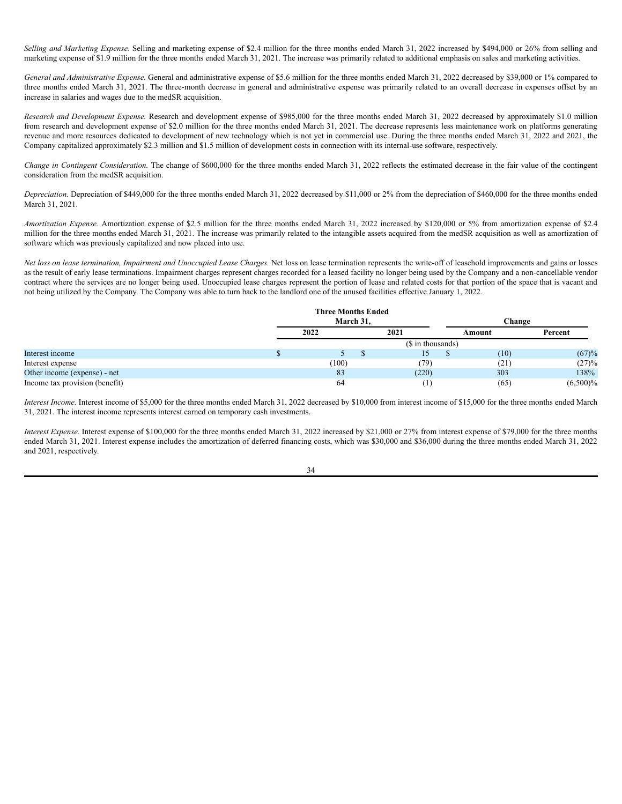*Selling and Marketing Expense.* Selling and marketing expense of \$2.4 million for the three months ended March 31, 2022 increased by \$494,000 or 26% from selling and marketing expense of \$1.9 million for the three months ended March 31, 2021. The increase was primarily related to additional emphasis on sales and marketing activities.

*General and Administrative Expense.* General and administrative expense of \$5.6 million for the three months ended March 31, 2022 decreased by \$39,000 or 1% compared to three months ended March 31, 2021. The three-month decrease in general and administrative expense was primarily related to an overall decrease in expenses offset by an increase in salaries and wages due to the medSR acquisition.

*Research and Development Expense.* Research and development expense of \$985,000 for the three months ended March 31, 2022 decreased by approximately \$1.0 million from research and development expense of \$2.0 million for the three months ended March 31, 2021. The decrease represents less maintenance work on platforms generating revenue and more resources dedicated to development of new technology which is not yet in commercial use. During the three months ended March 31, 2022 and 2021, the Company capitalized approximately \$2.3 million and \$1.5 million of development costs in connection with its internal-use software, respectively.

*Change in Contingent Consideration.* The change of \$600,000 for the three months ended March 31, 2022 reflects the estimated decrease in the fair value of the contingent consideration from the medSR acquisition.

*Depreciation.* Depreciation of \$449,000 for the three months ended March 31, 2022 decreased by \$11,000 or 2% from the depreciation of \$460,000 for the three months ended March 31, 2021.

*Amortization Expense.* Amortization expense of \$2.5 million for the three months ended March 31, 2022 increased by \$120,000 or 5% from amortization expense of \$2.4 million for the three months ended March 31, 2021. The increase was primarily related to the intangible assets acquired from the medSR acquisition as well as amortization of software which was previously capitalized and now placed into use.

Net loss on lease termination, Impairment and Unoccupied Lease Charges. Net loss on lease termination represents the write-off of leasehold improvements and gains or losses as the result of early lease terminations. Impairment charges represent charges recorded for a leased facility no longer being used by the Company and a non-cancellable vendor contract where the services are no longer being used. Unoccupied lease charges represent the portion of lease and related costs for that portion of the space that is vacant and not being utilized by the Company. The Company was able to turn back to the landlord one of the unused facilities effective January 1, 2022.

|                                | <b>Three Months Ended</b> |  |                   |  |        |             |  |
|--------------------------------|---------------------------|--|-------------------|--|--------|-------------|--|
|                                | March 31.                 |  |                   |  | Change |             |  |
|                                | 2022                      |  | 2021              |  | Amount | Percent     |  |
|                                |                           |  | (\$ in thousands) |  |        |             |  |
| Interest income                |                           |  | 15.               |  | (10)   | (67)%       |  |
| Interest expense               | (100)                     |  | (79)              |  | (21)   | (27)%       |  |
| Other income (expense) - net   | 83                        |  | (220)             |  | 303    | 138%        |  |
| Income tax provision (benefit) | 64                        |  | Œ                 |  | (65)   | $(6,500)\%$ |  |

*Interest Income.* Interest income of \$5,000 for the three months ended March 31, 2022 decreased by \$10,000 from interest income of \$15,000 for the three months ended March 31, 2021. The interest income represents interest earned on temporary cash investments.

*Interest Expense.* Interest expense of \$100,000 for the three months ended March 31, 2022 increased by \$21,000 or 27% from interest expense of \$79,000 for the three months ended March 31, 2021. Interest expense includes the amortization of deferred financing costs, which was \$30,000 and \$36,000 during the three months ended March 31, 2022 and 2021, respectively.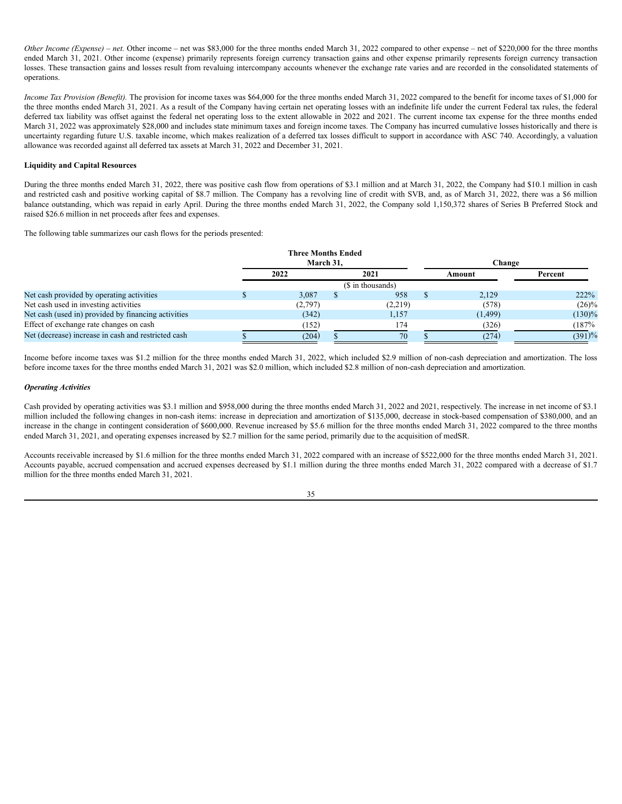*Other Income (Expense) – net.* Other income – net was \$83,000 for the three months ended March 31, 2022 compared to other expense – net of \$220,000 for the three months ended March 31, 2021. Other income (expense) primarily represents foreign currency transaction gains and other expense primarily represents foreign currency transaction losses. These transaction gains and losses result from revaluing intercompany accounts whenever the exchange rate varies and are recorded in the consolidated statements of operations.

*Income Tax Provision (Benefit)*. The provision for income taxes was \$64,000 for the three months ended March 31, 2022 compared to the benefit for income taxes of \$1,000 for the three months ended March 31, 2021. As a result of the Company having certain net operating losses with an indefinite life under the current Federal tax rules, the federal deferred tax liability was offset against the federal net operating loss to the extent allowable in 2022 and 2021. The current income tax expense for the three months ended March 31, 2022 was approximately \$28,000 and includes state minimum taxes and foreign income taxes. The Company has incurred cumulative losses historically and there is uncertainty regarding future U.S. taxable income, which makes realization of a deferred tax losses difficult to support in accordance with ASC 740. Accordingly, a valuation allowance was recorded against all deferred tax assets at March 31, 2022 and December 31, 2021.

#### **Liquidity and Capital Resources**

During the three months ended March 31, 2022, there was positive cash flow from operations of \$3.1 million and at March 31, 2022, the Company had \$10.1 million in cash and restricted cash and positive working capital of \$8.7 million. The Company has a revolving line of credit with SVB, and, as of March 31, 2022, there was a \$6 million balance outstanding, which was repaid in early April. During the three months ended March 31, 2022, the Company sold 1,150,372 shares of Series B Preferred Stock and raised \$26.6 million in net proceeds after fees and expenses.

The following table summarizes our cash flows for the periods presented:

|                                                     |           | <b>Three Months Ended</b> |  |                   |  |          |           |
|-----------------------------------------------------|-----------|---------------------------|--|-------------------|--|----------|-----------|
|                                                     | March 31. |                           |  | Change            |  |          |           |
|                                                     |           | 2022                      |  | 2021              |  | Amount   | Percent   |
|                                                     |           |                           |  | (\$ in thousands) |  |          |           |
| Net cash provided by operating activities           |           | 3,087                     |  | 958               |  | 2,129    | 222%      |
| Net cash used in investing activities               |           | (2,797)                   |  | (2,219)           |  | (578)    | $(26)\%$  |
| Net cash (used in) provided by financing activities |           | (342)                     |  | 1,157             |  | (1, 499) | $(130)\%$ |
| Effect of exchange rate changes on cash             |           | (152)                     |  | 174               |  | (326)    | (187%     |
| Net (decrease) increase in cash and restricted cash |           | (204)                     |  | 70                |  | (274)    | (391)%    |

Income before income taxes was \$1.2 million for the three months ended March 31, 2022, which included \$2.9 million of non-cash depreciation and amortization. The loss before income taxes for the three months ended March 31, 2021 was \$2.0 million, which included \$2.8 million of non-cash depreciation and amortization.

#### *Operating Activities*

Cash provided by operating activities was \$3.1 million and \$958,000 during the three months ended March 31, 2022 and 2021, respectively. The increase in net income of \$3.1 million included the following changes in non-cash items: increase in depreciation and amortization of \$135,000, decrease in stock-based compensation of \$380,000, and an increase in the change in contingent consideration of \$600,000. Revenue increased by \$5.6 million for the three months ended March 31, 2022 compared to the three months ended March 31, 2021, and operating expenses increased by \$2.7 million for the same period, primarily due to the acquisition of medSR.

Accounts receivable increased by \$1.6 million for the three months ended March 31, 2022 compared with an increase of \$522,000 for the three months ended March 31, 2021. Accounts payable, accrued compensation and accrued expenses decreased by \$1.1 million during the three months ended March 31, 2022 compared with a decrease of \$1.7 million for the three months ended March 31, 2021.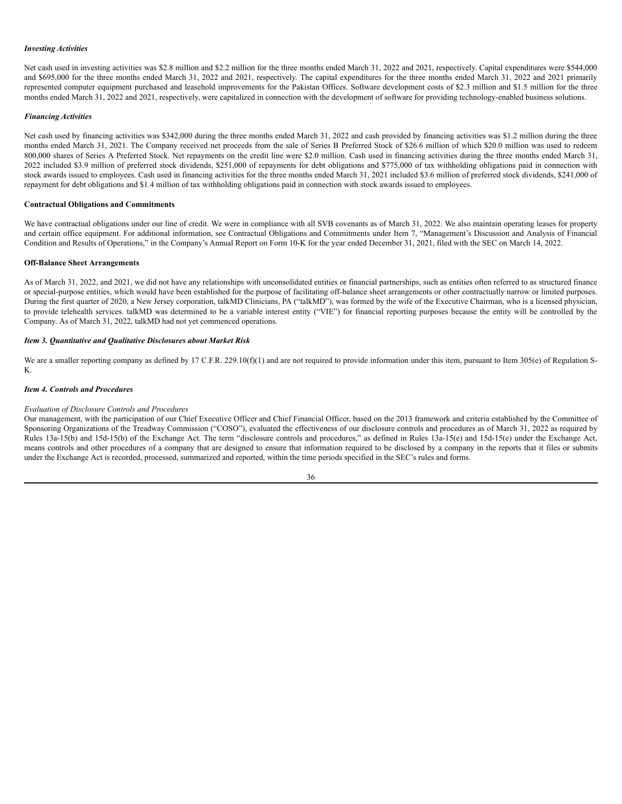#### *Investing Activities*

Net cash used in investing activities was \$2.8 million and \$2.2 million for the three months ended March 31, 2022 and 2021, respectively. Capital expenditures were \$544,000 and \$695,000 for the three months ended March 31, 2022 and 2021, respectively. The capital expenditures for the three months ended March 31, 2022 and 2021 primarily represented computer equipment purchased and leasehold improvements for the Pakistan Offices. Software development costs of \$2.3 million and \$1.5 million for the three months ended March 31, 2022 and 2021, respectively, were capitalized in connection with the development of software for providing technology-enabled business solutions.

#### *Financing Activities*

Net cash used by financing activities was \$342,000 during the three months ended March 31, 2022 and cash provided by financing activities was \$1.2 million during the three months ended March 31, 2021. The Company received net proceeds from the sale of Series B Preferred Stock of \$26.6 million of which \$20.0 million was used to redeem 800,000 shares of Series A Preferred Stock. Net repayments on the credit line were \$2.0 million. Cash used in financing activities during the three months ended March 31, 2022 included \$3.9 million of preferred stock dividends, \$251,000 of repayments for debt obligations and \$775,000 of tax withholding obligations paid in connection with stock awards issued to employees. Cash used in financing activities for the three months ended March 31, 2021 included \$3.6 million of preferred stock dividends, \$241,000 of repayment for debt obligations and \$1.4 million of tax withholding obligations paid in connection with stock awards issued to employees.

### **Contractual Obligations and Commitments**

We have contractual obligations under our line of credit. We were in compliance with all SVB covenants as of March 31, 2022. We also maintain operating leases for property and certain office equipment. For additional information, see Contractual Obligations and Commitments under Item 7, "Management's Discussion and Analysis of Financial Condition and Results of Operations," in the Company's Annual Report on Form 10-K for the year ended December 31, 2021, filed with the SEC on March 14, 2022.

## **Off-Balance Sheet Arrangements**

As of March 31, 2022, and 2021, we did not have any relationships with unconsolidated entities or financial partnerships, such as entities often referred to as structured finance or special-purpose entities, which would have been established for the purpose of facilitating off-balance sheet arrangements or other contractually narrow or limited purposes. During the first quarter of 2020, a New Jersey corporation, talkMD Clinicians, PA ("talkMD"), was formed by the wife of the Executive Chairman, who is a licensed physician, to provide telehealth services. talkMD was determined to be a variable interest entity ("VIE") for financial reporting purposes because the entity will be controlled by the Company. As of March 31, 2022, talkMD had not yet commenced operations.

# <span id="page-36-0"></span>*Item 3. Quantitative and Qualitative Disclosures about Market Risk*

We are a smaller reporting company as defined by 17 C.F.R. 229.10(f)(1) and are not required to provide information under this item, pursuant to Item 305(e) of Regulation S-K.

#### <span id="page-36-1"></span>*Item 4. Controls and Procedures*

#### *Evaluation of Disclosure Controls and Procedures*

Our management, with the participation of our Chief Executive Officer and Chief Financial Officer, based on the 2013 framework and criteria established by the Committee of Sponsoring Organizations of the Treadway Commission ("COSO"), evaluated the effectiveness of our disclosure controls and procedures as of March 31, 2022 as required by Rules 13a-15(b) and 15d-15(b) of the Exchange Act. The term "disclosure controls and procedures," as defined in Rules 13a-15(e) and 15d-15(e) under the Exchange Act, means controls and other procedures of a company that are designed to ensure that information required to be disclosed by a company in the reports that it files or submits under the Exchange Act is recorded, processed, summarized and reported, within the time periods specified in the SEC's rules and forms.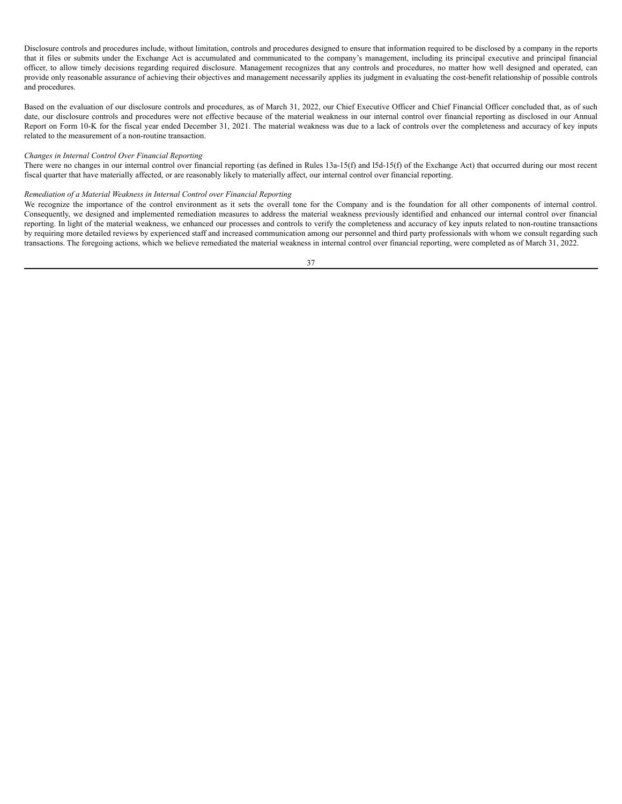Disclosure controls and procedures include, without limitation, controls and procedures designed to ensure that information required to be disclosed by a company in the reports that it files or submits under the Exchange Act is accumulated and communicated to the company's management, including its principal executive and principal financial officer, to allow timely decisions regarding required disclosure. Management recognizes that any controls and procedures, no matter how well designed and operated, can provide only reasonable assurance of achieving their objectives and management necessarily applies its judgment in evaluating the cost-benefit relationship of possible controls and procedures.

Based on the evaluation of our disclosure controls and procedures, as of March 31, 2022, our Chief Executive Officer and Chief Financial Officer concluded that, as of such date, our disclosure controls and procedures were not effective because of the material weakness in our internal control over financial reporting as disclosed in our Annual Report on Form 10-K for the fiscal year ended December 31, 2021. The material weakness was due to a lack of controls over the completeness and accuracy of key inputs related to the measurement of a non-routine transaction.

### *Changes in Internal Control Over Financial Reporting*

There were no changes in our internal control over financial reporting (as defined in Rules 13a-15(f) and l5d-15(f) of the Exchange Act) that occurred during our most recent fiscal quarter that have materially affected, or are reasonably likely to materially affect, our internal control over financial reporting.

# *Remediation of a Material Weakness in Internal Control over Financial Reporting*

We recognize the importance of the control environment as it sets the overall tone for the Company and is the foundation for all other components of internal control. Consequently, we designed and implemented remediation measures to address the material weakness previously identified and enhanced our internal control over financial reporting. In light of the material weakness, we enhanced our processes and controls to verify the completeness and accuracy of key inputs related to non-routine transactions by requiring more detailed reviews by experienced staff and increased communication among our personnel and third party professionals with whom we consult regarding such transactions. The foregoing actions, which we believe remediated the material weakness in internal control over financial reporting, were completed as of March 31, 2022.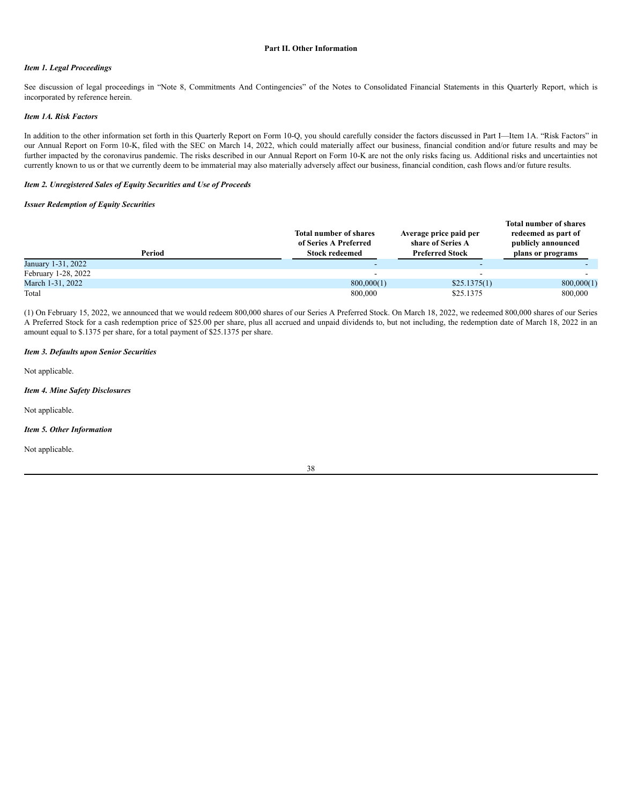# <span id="page-38-1"></span><span id="page-38-0"></span>*Item 1. Legal Proceedings*

See discussion of legal proceedings in "Note 8, Commitments And Contingencies" of the Notes to Consolidated Financial Statements in this Quarterly Report, which is incorporated by reference herein.

#### <span id="page-38-2"></span>*Item 1A. Risk Factors*

In addition to the other information set forth in this Quarterly Report on Form 10-Q, you should carefully consider the factors discussed in Part I—Item 1A. "Risk Factors" in our Annual Report on Form 10-K, filed with the SEC on March 14, 2022, which could materially affect our business, financial condition and/or future results and may be further impacted by the coronavirus pandemic. The risks described in our Annual Report on Form 10-K are not the only risks facing us. Additional risks and uncertainties not currently known to us or that we currently deem to be immaterial may also materially adversely affect our business, financial condition, cash flows and/or future results.

#### <span id="page-38-3"></span>*Item 2. Unregistered Sales of Equity Securities and Use of Proceeds*

#### *Issuer Redemption of Equity Securities*

| Period              | <b>Total number of shares</b><br>of Series A Preferred<br><b>Stock redeemed</b> | Average price paid per<br>share of Series A<br><b>Preferred Stock</b> | <b>Total number of shares</b><br>redeemed as part of<br>publicly announced<br>plans or programs |
|---------------------|---------------------------------------------------------------------------------|-----------------------------------------------------------------------|-------------------------------------------------------------------------------------------------|
| January 1-31, 2022  |                                                                                 |                                                                       |                                                                                                 |
| February 1-28, 2022 |                                                                                 |                                                                       |                                                                                                 |
| March 1-31, 2022    | 800,000(1)                                                                      | \$25.1375(1)                                                          | 800,000(1)                                                                                      |
| Total               | 800,000                                                                         | \$25.1375                                                             | 800,000                                                                                         |

(1) On February 15, 2022, we announced that we would redeem 800,000 shares of our Series A Preferred Stock. On March 18, 2022, we redeemed 800,000 shares of our Series A Preferred Stock for a cash redemption price of \$25.00 per share, plus all accrued and unpaid dividends to, but not including, the redemption date of March 18, 2022 in an amount equal to \$.1375 per share, for a total payment of \$25.1375 per share.

# <span id="page-38-4"></span>*Item 3. Defaults upon Senior Securities*

Not applicable.

#### <span id="page-38-5"></span>*Item 4. Mine Safety Disclosures*

Not applicable.

# <span id="page-38-6"></span>*Item 5. Other Information*

Not applicable.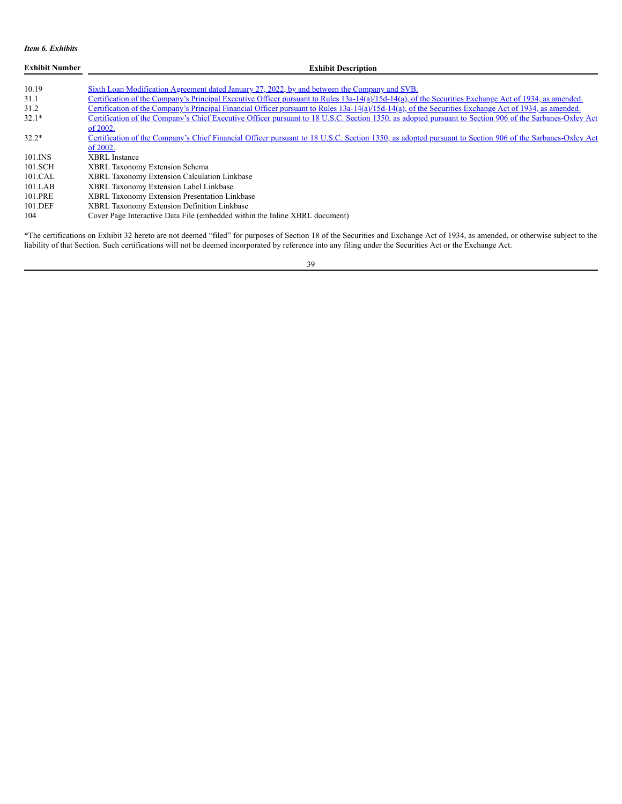# <span id="page-39-0"></span>*Item 6. Exhibits*

| <b>Exhibit Number</b> | <b>Exhibit Description</b>                                                                                                                              |
|-----------------------|---------------------------------------------------------------------------------------------------------------------------------------------------------|
|                       |                                                                                                                                                         |
| 10.19                 | Sixth Loan Modification Agreement dated January 27, 2022, by and between the Company and SVB.                                                           |
| 31.1                  | Certification of the Company's Principal Executive Officer pursuant to Rules 13a-14(a)/15d-14(a), of the Securities Exchange Act of 1934, as amended.   |
| 31.2                  | Certification of the Company's Principal Financial Officer pursuant to Rules 13a-14(a)/15d-14(a), of the Securities Exchange Act of 1934, as amended.   |
| $32.1*$               | Certification of the Company's Chief Executive Officer pursuant to 18 U.S.C. Section 1350, as adopted pursuant to Section 906 of the Sarbanes-Oxley Act |
|                       | of $2002$ .                                                                                                                                             |
| $32.2*$               | Certification of the Company's Chief Financial Officer pursuant to 18 U.S.C. Section 1350, as adopted pursuant to Section 906 of the Sarbanes-Oxley Act |
|                       | of $2002$ .                                                                                                                                             |
| 101.INS               | <b>XBRL</b> Instance                                                                                                                                    |
| 101.SCH               | <b>XBRL Taxonomy Extension Schema</b>                                                                                                                   |
| 101.CAL               | XBRL Taxonomy Extension Calculation Linkbase                                                                                                            |
| 101.LAB               | XBRL Taxonomy Extension Label Linkbase                                                                                                                  |
| 101.PRE               | XBRL Taxonomy Extension Presentation Linkbase                                                                                                           |
| 101.DEF               | XBRL Taxonomy Extension Definition Linkbase                                                                                                             |
| 104                   | Cover Page Interactive Data File (embedded within the Inline XBRL document)                                                                             |

\*The certifications on Exhibit 32 hereto are not deemed "filed" for purposes of Section 18 of the Securities and Exchange Act of 1934, as amended, or otherwise subject to the liability of that Section. Such certifications will not be deemed incorporated by reference into any filing under the Securities Act or the Exchange Act.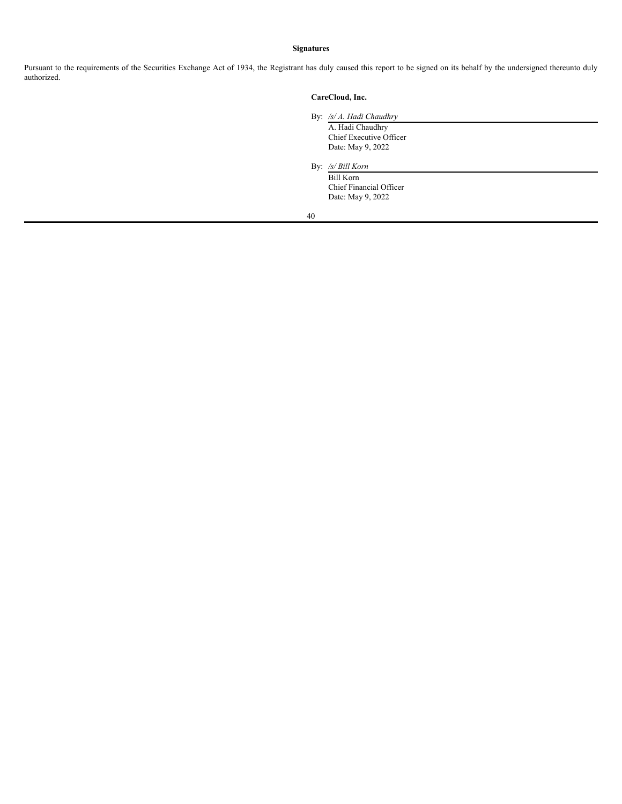#### **Signatures**

<span id="page-40-0"></span>Pursuant to the requirements of the Securities Exchange Act of 1934, the Registrant has duly caused this report to be signed on its behalf by the undersigned thereunto duly authorized.

# **CareCloud, Inc.**

# By: */s/ A. Hadi Chaudhry* A. Hadi Chaudhry Chief Executive Officer

Date: May 9, 2022

By: */s/ Bill Korn*

Bill Korn Chief Financial Officer Date: May 9, 2022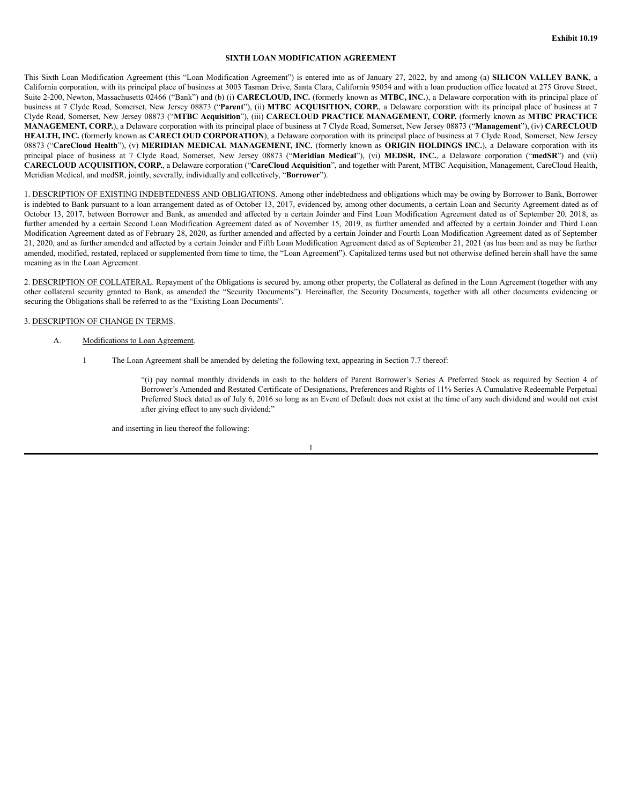#### **SIXTH LOAN MODIFICATION AGREEMENT**

This Sixth Loan Modification Agreement (this "Loan Modification Agreement") is entered into as of January 27, 2022, by and among (a) **SILICON VALLEY BANK**, a California corporation, with its principal place of business at 3003 Tasman Drive, Santa Clara, California 95054 and with a loan production office located at 275 Grove Street, Suite 2-200, Newton, Massachusetts 02466 ("Bank") and (b) (i) **CARECLOUD, INC.** (formerly known as **MTBC, INC.**), a Delaware corporation with its principal place of business at 7 Clyde Road, Somerset, New Jersey 08873 ("**Parent**"), (ii) **MTBC ACQUISITION, CORP.**, a Delaware corporation with its principal place of business at 7 Clyde Road, Somerset, New Jersey 08873 ("**MTBC Acquisition**"), (iii) **CARECLOUD PRACTICE MANAGEMENT, CORP.** (formerly known as **MTBC PRACTICE MANAGEMENT, CORP.**), a Delaware corporation with its principal place of business at 7 Clyde Road, Somerset, New Jersey 08873 ("**Management**"), (iv) **CARECLOUD HEALTH, INC.** (formerly known as **CARECLOUD CORPORATION**), a Delaware corporation with its principal place of business at 7 Clyde Road, Somerset, New Jersey 08873 ("**CareCloud Health**"), (v) **MERIDIAN MEDICAL MANAGEMENT, INC.** (formerly known as **ORIGIN HOLDINGS INC.**), a Delaware corporation with its principal place of business at 7 Clyde Road, Somerset, New Jersey 08873 ("**Meridian Medical**"), (vi) **MEDSR, INC.**, a Delaware corporation ("**medSR**") and (vii) **CARECLOUD ACQUISITION, CORP.**, a Delaware corporation ("**CareCloud Acquisition**", and together with Parent, MTBC Acquisition, Management, CareCloud Health, Meridian Medical, and medSR, jointly, severally, individually and collectively, "**Borrower**").

1. DESCRIPTION OF EXISTING INDEBTEDNESS AND OBLIGATIONS. Among other indebtedness and obligations which may be owing by Borrower to Bank, Borrower is indebted to Bank pursuant to a loan arrangement dated as of October 13, 2017, evidenced by, among other documents, a certain Loan and Security Agreement dated as of October 13, 2017, between Borrower and Bank, as amended and affected by a certain Joinder and First Loan Modification Agreement dated as of September 20, 2018, as further amended by a certain Second Loan Modification Agreement dated as of November 15, 2019, as further amended and affected by a certain Joinder and Third Loan Modification Agreement dated as of February 28, 2020, as further amended and affected by a certain Joinder and Fourth Loan Modification Agreement dated as of September 21, 2020, and as further amended and affected by a certain Joinder and Fifth Loan Modification Agreement dated as of September 21, 2021 (as has been and as may be further amended, modified, restated, replaced or supplemented from time to time, the "Loan Agreement"). Capitalized terms used but not otherwise defined herein shall have the same meaning as in the Loan Agreement.

2. DESCRIPTION OF COLLATERAL. Repayment of the Obligations is secured by, among other property, the Collateral as defined in the Loan Agreement (together with any other collateral security granted to Bank, as amended the "Security Documents"). Hereinafter, the Security Documents, together with all other documents evidencing or securing the Obligations shall be referred to as the "Existing Loan Documents".

# 3. DESCRIPTION OF CHANGE IN TERMS.

- A. Modifications to Loan Agreement.
	- 1 The Loan Agreement shall be amended by deleting the following text, appearing in Section 7.7 thereof:

"(i) pay normal monthly dividends in cash to the holders of Parent Borrower's Series A Preferred Stock as required by Section 4 of Borrower's Amended and Restated Certificate of Designations, Preferences and Rights of 11% Series A Cumulative Redeemable Perpetual Preferred Stock dated as of July 6, 2016 so long as an Event of Default does not exist at the time of any such dividend and would not exist after giving effect to any such dividend;"

and inserting in lieu thereof the following: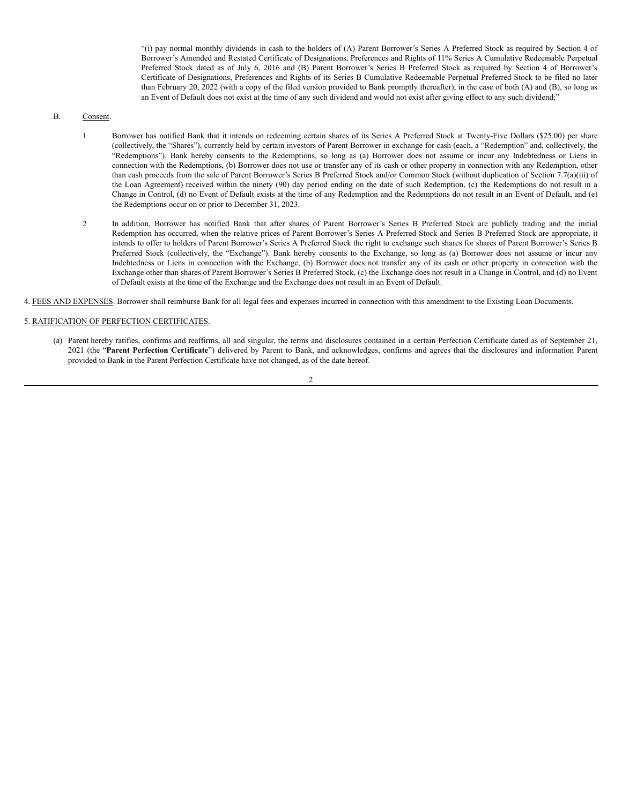"(i) pay normal monthly dividends in cash to the holders of (A) Parent Borrower's Series A Preferred Stock as required by Section 4 of Borrower's Amended and Restated Certificate of Designations, Preferences and Rights of 11% Series A Cumulative Redeemable Perpetual Preferred Stock dated as of July 6, 2016 and (B) Parent Borrower's Series B Preferred Stock as required by Section 4 of Borrower's Certificate of Designations, Preferences and Rights of its Series B Cumulative Redeemable Perpetual Preferred Stock to be filed no later than February 20, 2022 (with a copy of the filed version provided to Bank promptly thereafter), in the case of both (A) and (B), so long as an Event of Default does not exist at the time of any such dividend and would not exist after giving effect to any such dividend;"

- B. Consent.
	- 1 Borrower has notified Bank that it intends on redeeming certain shares of its Series A Preferred Stock at Twenty-Five Dollars (\$25.00) per share (collectively, the "Shares"), currently held by certain investors of Parent Borrower in exchange for cash (each, a "Redemption" and, collectively, the "Redemptions"). Bank hereby consents to the Redemptions, so long as (a) Borrower does not assume or incur any Indebtedness or Liens in connection with the Redemptions, (b) Borrower does not use or transfer any of its cash or other property in connection with any Redemption, other than cash proceeds from the sale of Parent Borrower's Series B Preferred Stock and/or Common Stock (without duplication of Section 7.7(a)(iii) of the Loan Agreement) received within the ninety (90) day period ending on the date of such Redemption, (c) the Redemptions do not result in a Change in Control, (d) no Event of Default exists at the time of any Redemption and the Redemptions do not result in an Event of Default, and (e) the Redemptions occur on or prior to December 31, 2023.
	- 2 In addition, Borrower has notified Bank that after shares of Parent Borrower's Series B Preferred Stock are publicly trading and the initial Redemption has occurred, when the relative prices of Parent Borrower's Series A Preferred Stock and Series B Preferred Stock are appropriate, it intends to offer to holders of Parent Borrower's Series A Preferred Stock the right to exchange such shares for shares of Parent Borrower's Series B Preferred Stock (collectively, the "Exchange"). Bank hereby consents to the Exchange, so long as (a) Borrower does not assume or incur any Indebtedness or Liens in connection with the Exchange, (b) Borrower does not transfer any of its cash or other property in connection with the Exchange other than shares of Parent Borrower's Series B Preferred Stock, (c) the Exchange does not result in a Change in Control, and (d) no Event of Default exists at the time of the Exchange and the Exchange does not result in an Event of Default.

4. FEES AND EXPENSES. Borrower shall reimburse Bank for all legal fees and expenses incurred in connection with this amendment to the Existing Loan Documents.

# 5. RATIFICATION OF PERFECTION CERTIFICATES.

(a) Parent hereby ratifies, confirms and reaffirms, all and singular, the terms and disclosures contained in a certain Perfection Certificate dated as of September 21, 2021 (the "**Parent Perfection Certificate**") delivered by Parent to Bank, and acknowledges, confirms and agrees that the disclosures and information Parent provided to Bank in the Parent Perfection Certificate have not changed, as of the date hereof.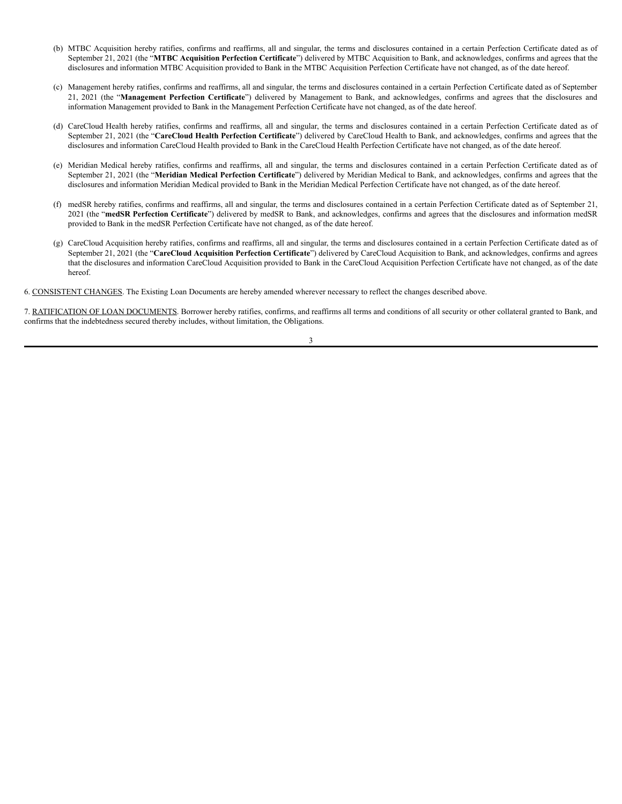- (b) MTBC Acquisition hereby ratifies, confirms and reaffirms, all and singular, the terms and disclosures contained in a certain Perfection Certificate dated as of September 21, 2021 (the "**MTBC Acquisition Perfection Certificate**") delivered by MTBC Acquisition to Bank, and acknowledges, confirms and agrees that the disclosures and information MTBC Acquisition provided to Bank in the MTBC Acquisition Perfection Certificate have not changed, as of the date hereof.
- (c) Management hereby ratifies, confirms and reaffirms, all and singular, the terms and disclosures contained in a certain Perfection Certificate dated as of September 21, 2021 (the "**Management Perfection Certificate**") delivered by Management to Bank, and acknowledges, confirms and agrees that the disclosures and information Management provided to Bank in the Management Perfection Certificate have not changed, as of the date hereof.
- (d) CareCloud Health hereby ratifies, confirms and reaffirms, all and singular, the terms and disclosures contained in a certain Perfection Certificate dated as of September 21, 2021 (the "**CareCloud Health Perfection Certificate**") delivered by CareCloud Health to Bank, and acknowledges, confirms and agrees that the disclosures and information CareCloud Health provided to Bank in the CareCloud Health Perfection Certificate have not changed, as of the date hereof.
- (e) Meridian Medical hereby ratifies, confirms and reaffirms, all and singular, the terms and disclosures contained in a certain Perfection Certificate dated as of September 21, 2021 (the "**Meridian Medical Perfection Certificate**") delivered by Meridian Medical to Bank, and acknowledges, confirms and agrees that the disclosures and information Meridian Medical provided to Bank in the Meridian Medical Perfection Certificate have not changed, as of the date hereof.
- (f) medSR hereby ratifies, confirms and reaffirms, all and singular, the terms and disclosures contained in a certain Perfection Certificate dated as of September 21, 2021 (the "**medSR Perfection Certificate**") delivered by medSR to Bank, and acknowledges, confirms and agrees that the disclosures and information medSR provided to Bank in the medSR Perfection Certificate have not changed, as of the date hereof.
- (g) CareCloud Acquisition hereby ratifies, confirms and reaffirms, all and singular, the terms and disclosures contained in a certain Perfection Certificate dated as of September 21, 2021 (the "**CareCloud Acquisition Perfection Certificate**") delivered by CareCloud Acquisition to Bank, and acknowledges, confirms and agrees that the disclosures and information CareCloud Acquisition provided to Bank in the CareCloud Acquisition Perfection Certificate have not changed, as of the date hereof.

6. CONSISTENT CHANGES. The Existing Loan Documents are hereby amended wherever necessary to reflect the changes described above.

7. RATIFICATION OF LOAN DOCUMENTS. Borrower hereby ratifies, confirms, and reaffirms all terms and conditions of all security or other collateral granted to Bank, and confirms that the indebtedness secured thereby includes, without limitation, the Obligations.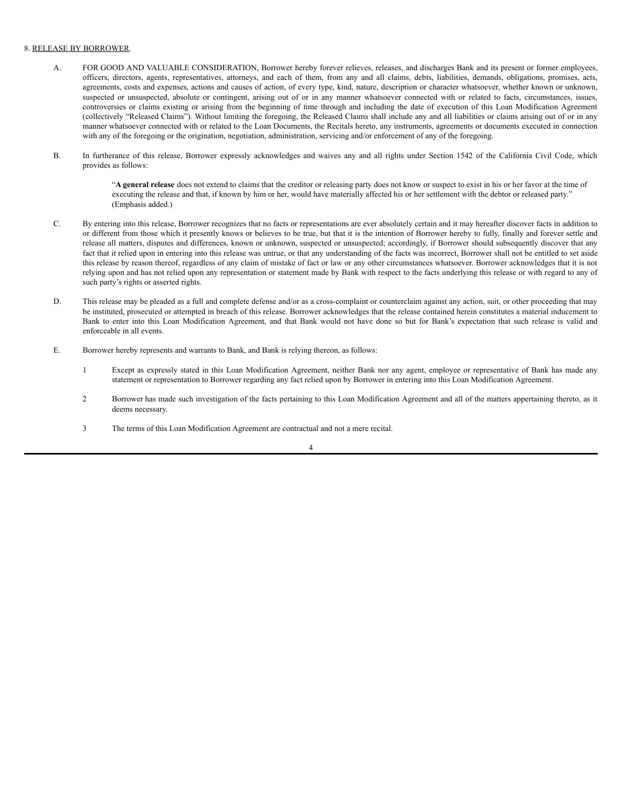#### 8. RELEASE BY BORROWER.

- A. FOR GOOD AND VALUABLE CONSIDERATION, Borrower hereby forever relieves, releases, and discharges Bank and its present or former employees, officers, directors, agents, representatives, attorneys, and each of them, from any and all claims, debts, liabilities, demands, obligations, promises, acts, agreements, costs and expenses, actions and causes of action, of every type, kind, nature, description or character whatsoever, whether known or unknown, suspected or unsuspected, absolute or contingent, arising out of or in any manner whatsoever connected with or related to facts, circumstances, issues, controversies or claims existing or arising from the beginning of time through and including the date of execution of this Loan Modification Agreement (collectively "Released Claims"). Without limiting the foregoing, the Released Claims shall include any and all liabilities or claims arising out of or in any manner whatsoever connected with or related to the Loan Documents, the Recitals hereto, any instruments, agreements or documents executed in connection with any of the foregoing or the origination, negotiation, administration, servicing and/or enforcement of any of the foregoing.
- B. In furtherance of this release, Borrower expressly acknowledges and waives any and all rights under Section 1542 of the California Civil Code, which provides as follows:

"**A general release** does not extend to claims that the creditor or releasing party does not know or suspect to exist in his or her favor at the time of executing the release and that, if known by him or her, would have materially affected his or her settlement with the debtor or released party." (Emphasis added.)

- C. By entering into this release, Borrower recognizes that no facts or representations are ever absolutely certain and it may hereafter discover facts in addition to or different from those which it presently knows or believes to be true, but that it is the intention of Borrower hereby to fully, finally and forever settle and release all matters, disputes and differences, known or unknown, suspected or unsuspected; accordingly, if Borrower should subsequently discover that any fact that it relied upon in entering into this release was untrue, or that any understanding of the facts was incorrect, Borrower shall not be entitled to set aside this release by reason thereof, regardless of any claim of mistake of fact or law or any other circumstances whatsoever. Borrower acknowledges that it is not relying upon and has not relied upon any representation or statement made by Bank with respect to the facts underlying this release or with regard to any of such party's rights or asserted rights.
- D. This release may be pleaded as a full and complete defense and/or as a cross-complaint or counterclaim against any action, suit, or other proceeding that may be instituted, prosecuted or attempted in breach of this release. Borrower acknowledges that the release contained herein constitutes a material inducement to Bank to enter into this Loan Modification Agreement, and that Bank would not have done so but for Bank's expectation that such release is valid and enforceable in all events.
- E. Borrower hereby represents and warrants to Bank, and Bank is relying thereon, as follows:
	- 1 Except as expressly stated in this Loan Modification Agreement, neither Bank nor any agent, employee or representative of Bank has made any statement or representation to Borrower regarding any fact relied upon by Borrower in entering into this Loan Modification Agreement.
	- 2 Borrower has made such investigation of the facts pertaining to this Loan Modification Agreement and all of the matters appertaining thereto, as it deems necessary.
	- 3 The terms of this Loan Modification Agreement are contractual and not a mere recital.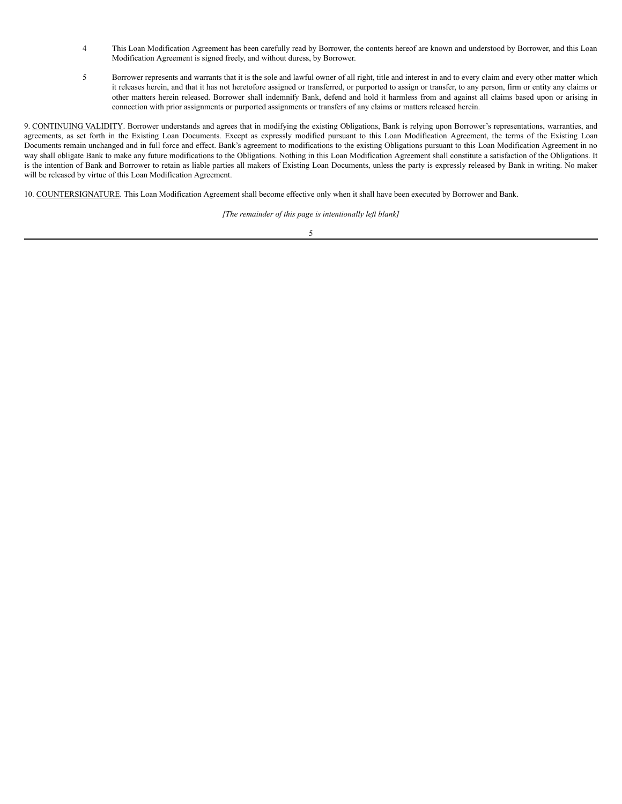- 4 This Loan Modification Agreement has been carefully read by Borrower, the contents hereof are known and understood by Borrower, and this Loan Modification Agreement is signed freely, and without duress, by Borrower.
- 5 Borrower represents and warrants that it is the sole and lawful owner of all right, title and interest in and to every claim and every other matter which it releases herein, and that it has not heretofore assigned or transferred, or purported to assign or transfer, to any person, firm or entity any claims or other matters herein released. Borrower shall indemnify Bank, defend and hold it harmless from and against all claims based upon or arising in connection with prior assignments or purported assignments or transfers of any claims or matters released herein.

9. CONTINUING VALIDITY. Borrower understands and agrees that in modifying the existing Obligations, Bank is relying upon Borrower's representations, warranties, and agreements, as set forth in the Existing Loan Documents. Except as expressly modified pursuant to this Loan Modification Agreement, the terms of the Existing Loan Documents remain unchanged and in full force and effect. Bank's agreement to modifications to the existing Obligations pursuant to this Loan Modification Agreement in no way shall obligate Bank to make any future modifications to the Obligations. Nothing in this Loan Modification Agreement shall constitute a satisfaction of the Obligations. It is the intention of Bank and Borrower to retain as liable parties all makers of Existing Loan Documents, unless the party is expressly released by Bank in writing. No maker will be released by virtue of this Loan Modification Agreement.

10. COUNTERSIGNATURE. This Loan Modification Agreement shall become effective only when it shall have been executed by Borrower and Bank.

*[The remainder of this page is intentionally left blank]*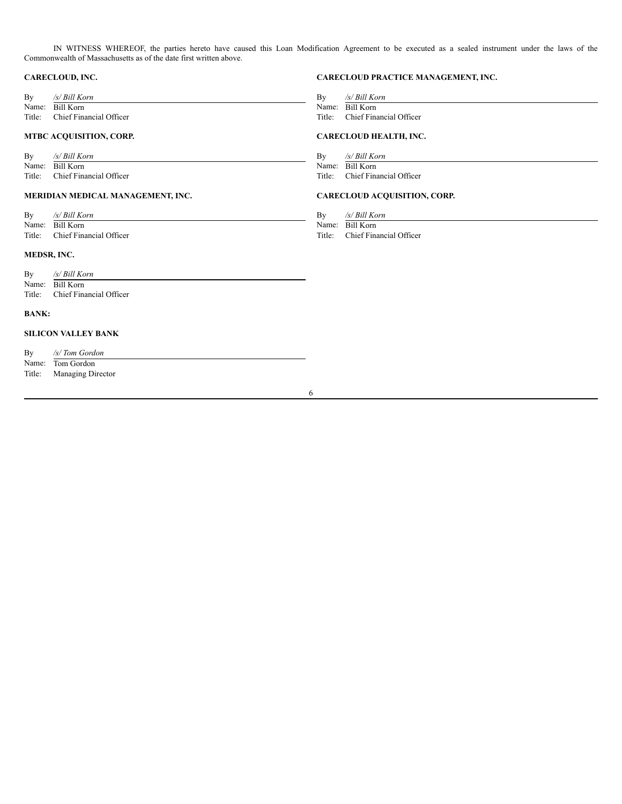IN WITNESS WHEREOF, the parties hereto have caused this Loan Modification Agreement to be executed as a sealed instrument under the laws of the Commonwealth of Massachusetts as of the date first written above.

| Bv     | /s/ Bill Korn           | B۱     | /s/ Bill Korn           |
|--------|-------------------------|--------|-------------------------|
| Name:  | Bill Korn               |        | Name: Bill Korn         |
| Title: | Chief Financial Officer | Title: | Chief Financial Officer |

# **MTBC ACQUISITION, CORP. CARECLOUD HEALTH, INC.**

By */s/ Bill Korn* By */s/ Bill Korn* Name: Bill Korn Name: Bill Korn Name: Bill Korn Name: Bill Korn Name: Bill Korn Title: Chief Financial Officer

# **MERIDIAN MEDICAL MANAGEMENT, INC. CARECLOUD ACQUISITION, CORP.**

| By     | /s/ Bill Korn           | Bv | /s/ Bill Korn       |
|--------|-------------------------|----|---------------------|
|        | Name: Bill Korn         |    | Name: Bill Korn     |
| Title: | Chief Financial Officer |    | Title: Chief Financ |

# **MEDSR, INC.**

| By           | /s/ Bill Korn                  |  |
|--------------|--------------------------------|--|
|              | Name: Bill Korn                |  |
|              | Title: Chief Financial Officer |  |
| <b>BANK:</b> |                                |  |

# **SILICON VALLEY BANK**

| By    | /s/ Tom Gordon |
|-------|----------------|
| Name: | Tom Gordon     |

Title: Managing Director

# **CARECLOUD, INC. CARECLOUD PRACTICE MANAGEMENT, INC.**

Title: Chief Financial Officer

Title: Chief Financial Officer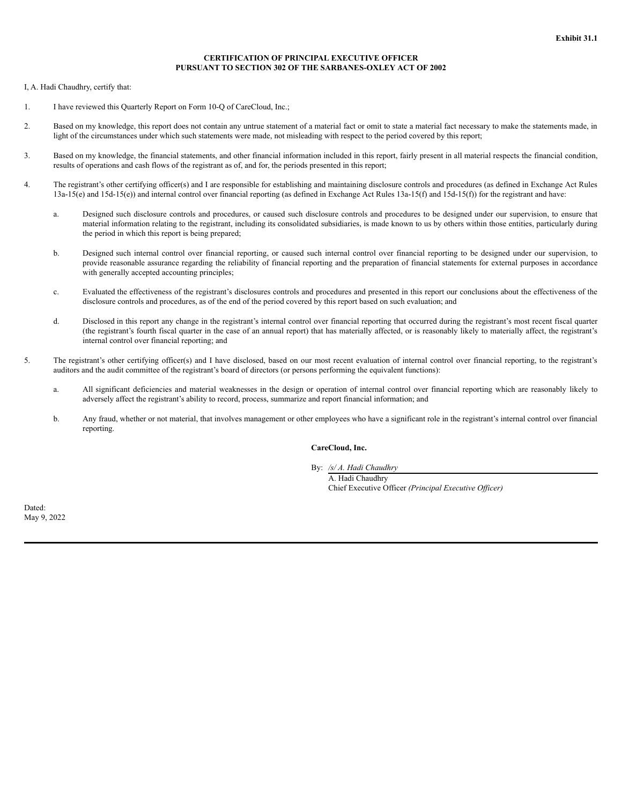# **CERTIFICATION OF PRINCIPAL EXECUTIVE OFFICER PURSUANT TO SECTION 302 OF THE SARBANES-OXLEY ACT OF 2002**

I, A. Hadi Chaudhry, certify that:

- 1. I have reviewed this Quarterly Report on Form 10-Q of CareCloud, Inc.;
- 2. Based on my knowledge, this report does not contain any untrue statement of a material fact or omit to state a material fact necessary to make the statements made, in light of the circumstances under which such statements were made, not misleading with respect to the period covered by this report;
- 3. Based on my knowledge, the financial statements, and other financial information included in this report, fairly present in all material respects the financial condition, results of operations and cash flows of the registrant as of, and for, the periods presented in this report;
- 4. The registrant's other certifying officer(s) and I are responsible for establishing and maintaining disclosure controls and procedures (as defined in Exchange Act Rules  $13a-15(e)$  and  $15d-15(e)$ ) and internal control over financial reporting (as defined in Exchange Act Rules  $13a-15(f)$  and  $15d-15(f)$ ) for the registrant and have:
	- a. Designed such disclosure controls and procedures, or caused such disclosure controls and procedures to be designed under our supervision, to ensure that material information relating to the registrant, including its consolidated subsidiaries, is made known to us by others within those entities, particularly during the period in which this report is being prepared;
	- b. Designed such internal control over financial reporting, or caused such internal control over financial reporting to be designed under our supervision, to provide reasonable assurance regarding the reliability of financial reporting and the preparation of financial statements for external purposes in accordance with generally accepted accounting principles;
	- c. Evaluated the effectiveness of the registrant's disclosures controls and procedures and presented in this report our conclusions about the effectiveness of the disclosure controls and procedures, as of the end of the period covered by this report based on such evaluation; and
	- d. Disclosed in this report any change in the registrant's internal control over financial reporting that occurred during the registrant's most recent fiscal quarter (the registrant's fourth fiscal quarter in the case of an annual report) that has materially affected, or is reasonably likely to materially affect, the registrant's internal control over financial reporting; and
- 5. The registrant's other certifying officer(s) and I have disclosed, based on our most recent evaluation of internal control over financial reporting, to the registrant's auditors and the audit committee of the registrant's board of directors (or persons performing the equivalent functions):
	- a. All significant deficiencies and material weaknesses in the design or operation of internal control over financial reporting which are reasonably likely to adversely affect the registrant's ability to record, process, summarize and report financial information; and
	- b. Any fraud, whether or not material, that involves management or other employees who have a significant role in the registrant's internal control over financial reporting.

# **CareCloud, Inc.**

By: */s/ A. Hadi Chaudhry*

A. Hadi Chaudhry Chief Executive Officer *(Principal Executive Of icer)*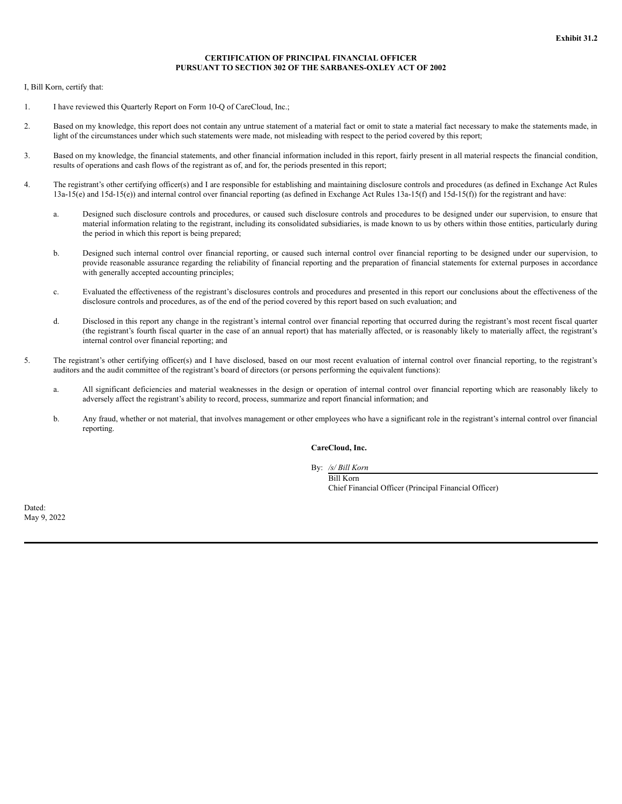# **CERTIFICATION OF PRINCIPAL FINANCIAL OFFICER PURSUANT TO SECTION 302 OF THE SARBANES-OXLEY ACT OF 2002**

I, Bill Korn, certify that:

- 1. I have reviewed this Quarterly Report on Form 10-Q of CareCloud, Inc.;
- 2. Based on my knowledge, this report does not contain any untrue statement of a material fact or omit to state a material fact necessary to make the statements made, in light of the circumstances under which such statements were made, not misleading with respect to the period covered by this report;
- 3. Based on my knowledge, the financial statements, and other financial information included in this report, fairly present in all material respects the financial condition, results of operations and cash flows of the registrant as of, and for, the periods presented in this report;
- 4. The registrant's other certifying officer(s) and I are responsible for establishing and maintaining disclosure controls and procedures (as defined in Exchange Act Rules  $13a-15(e)$  and  $15d-15(e)$ ) and internal control over financial reporting (as defined in Exchange Act Rules  $13a-15(f)$  and  $15d-15(f)$ ) for the registrant and have:
	- a. Designed such disclosure controls and procedures, or caused such disclosure controls and procedures to be designed under our supervision, to ensure that material information relating to the registrant, including its consolidated subsidiaries, is made known to us by others within those entities, particularly during the period in which this report is being prepared;
	- b. Designed such internal control over financial reporting, or caused such internal control over financial reporting to be designed under our supervision, to provide reasonable assurance regarding the reliability of financial reporting and the preparation of financial statements for external purposes in accordance with generally accepted accounting principles;
	- c. Evaluated the effectiveness of the registrant's disclosures controls and procedures and presented in this report our conclusions about the effectiveness of the disclosure controls and procedures, as of the end of the period covered by this report based on such evaluation; and
	- d. Disclosed in this report any change in the registrant's internal control over financial reporting that occurred during the registrant's most recent fiscal quarter (the registrant's fourth fiscal quarter in the case of an annual report) that has materially affected, or is reasonably likely to materially affect, the registrant's internal control over financial reporting; and
- 5. The registrant's other certifying officer(s) and I have disclosed, based on our most recent evaluation of internal control over financial reporting, to the registrant's auditors and the audit committee of the registrant's board of directors (or persons performing the equivalent functions):
	- a. All significant deficiencies and material weaknesses in the design or operation of internal control over financial reporting which are reasonably likely to adversely affect the registrant's ability to record, process, summarize and report financial information; and
	- b. Any fraud, whether or not material, that involves management or other employees who have a significant role in the registrant's internal control over financial reporting.

#### **CareCloud, Inc.**

By: */s/ Bill Korn*

Bill Korn Chief Financial Officer (Principal Financial Officer)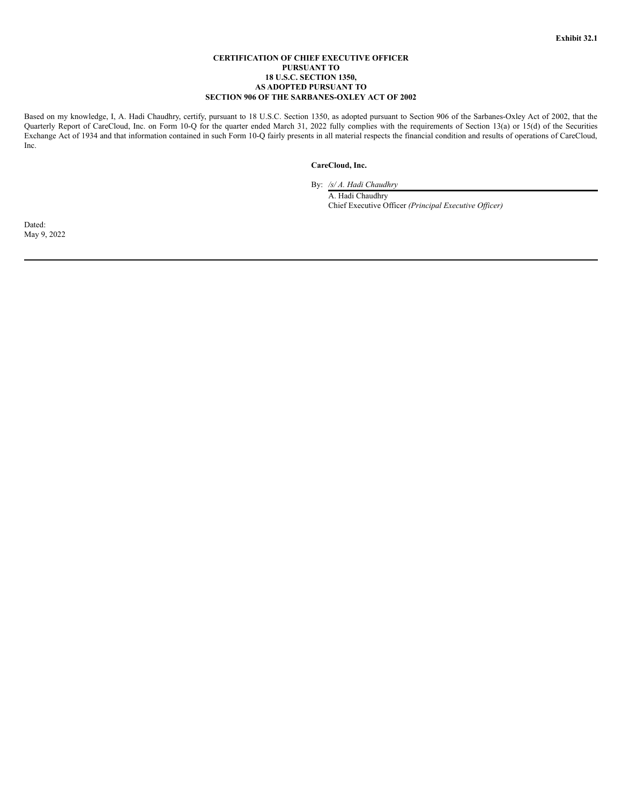### **CERTIFICATION OF CHIEF EXECUTIVE OFFICER PURSUANT TO 18 U.S.C. SECTION 1350, AS ADOPTED PURSUANT TO SECTION 906 OF THE SARBANES-OXLEY ACT OF 2002**

Based on my knowledge, I, A. Hadi Chaudhry, certify, pursuant to 18 U.S.C. Section 1350, as adopted pursuant to Section 906 of the Sarbanes-Oxley Act of 2002, that the Quarterly Report of CareCloud, Inc. on Form 10-Q for the quarter ended March 31, 2022 fully complies with the requirements of Section 13(a) or 15(d) of the Securities Exchange Act of 1934 and that information contained in such Form 10-Q fairly presents in all material respects the financial condition and results of operations of CareCloud, Inc.

# **CareCloud, Inc.**

By: */s/ A. Hadi Chaudhry*

A. Hadi Chaudhry Chief Executive Officer *(Principal Executive Of icer)*